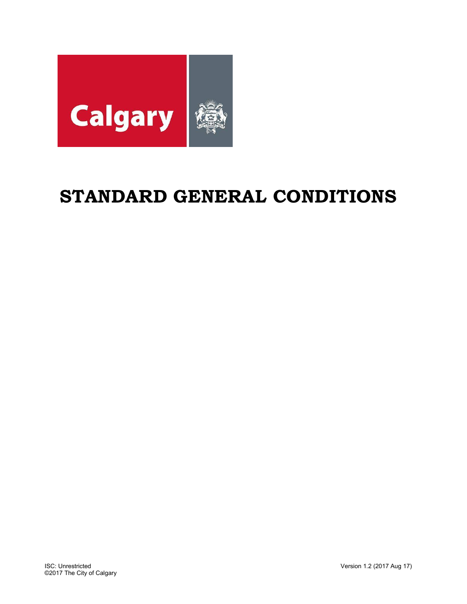

# **STANDARD GENERAL CONDITIONS**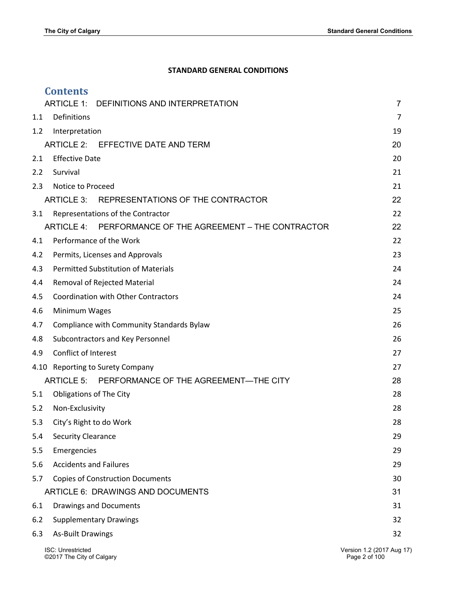# **STANDARD GENERAL CONDITIONS**

|     | <b>Contents</b>                                             |                           |
|-----|-------------------------------------------------------------|---------------------------|
|     | <b>ARTICLE 1:</b><br>DEFINITIONS AND INTERPRETATION         | $\overline{7}$            |
| 1.1 | Definitions                                                 | 7                         |
| 1.2 | Interpretation                                              | 19                        |
|     | ARTICLE 2: EFFECTIVE DATE AND TERM                          | 20                        |
| 2.1 | <b>Effective Date</b>                                       | 20                        |
| 2.2 | Survival                                                    | 21                        |
| 2.3 | Notice to Proceed                                           | 21                        |
|     | ARTICLE 3:<br>REPRESENTATIONS OF THE CONTRACTOR             | 22                        |
| 3.1 | Representations of the Contractor                           | 22                        |
|     | ARTICLE 4:<br>PERFORMANCE OF THE AGREEMENT - THE CONTRACTOR | 22                        |
| 4.1 | Performance of the Work                                     | 22                        |
| 4.2 | Permits, Licenses and Approvals                             | 23                        |
| 4.3 | <b>Permitted Substitution of Materials</b>                  | 24                        |
| 4.4 | Removal of Rejected Material                                | 24                        |
| 4.5 | <b>Coordination with Other Contractors</b>                  | 24                        |
| 4.6 | Minimum Wages                                               | 25                        |
| 4.7 | Compliance with Community Standards Bylaw                   | 26                        |
| 4.8 | Subcontractors and Key Personnel                            | 26                        |
| 4.9 | Conflict of Interest                                        | 27                        |
|     | 4.10 Reporting to Surety Company                            | 27                        |
|     | PERFORMANCE OF THE AGREEMENT-THE CITY<br><b>ARTICLE 5:</b>  | 28                        |
| 5.1 | <b>Obligations of The City</b>                              | 28                        |
| 5.2 | Non-Exclusivity                                             | 28                        |
| 5.3 | City's Right to do Work                                     | 28                        |
| 5.4 | <b>Security Clearance</b>                                   | 29                        |
| 5.5 | Emergencies                                                 | 29                        |
| 5.6 | <b>Accidents and Failures</b>                               | 29                        |
| 5.7 | <b>Copies of Construction Documents</b>                     | 30                        |
|     | ARTICLE 6: DRAWINGS AND DOCUMENTS                           | 31                        |
| 6.1 | <b>Drawings and Documents</b>                               | 31                        |
| 6.2 | <b>Supplementary Drawings</b>                               | 32                        |
| 6.3 | <b>As-Built Drawings</b>                                    | 32                        |
|     | ISC: Unrestricted                                           | Version 1.2 (2017 Aug 17) |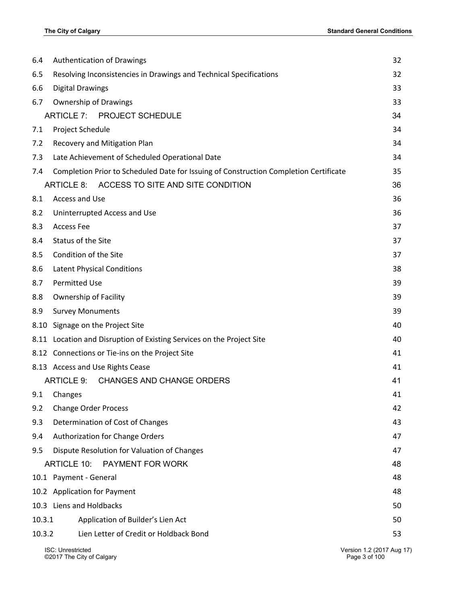| 6.4    | Authentication of Drawings                                                            | 32 |
|--------|---------------------------------------------------------------------------------------|----|
| 6.5    | Resolving Inconsistencies in Drawings and Technical Specifications                    | 32 |
| 6.6    | <b>Digital Drawings</b>                                                               | 33 |
| 6.7    | <b>Ownership of Drawings</b>                                                          | 33 |
|        | <b>ARTICLE 7:</b><br><b>PROJECT SCHEDULE</b>                                          | 34 |
| 7.1    | Project Schedule                                                                      | 34 |
| 7.2    | Recovery and Mitigation Plan                                                          | 34 |
| 7.3    | Late Achievement of Scheduled Operational Date                                        | 34 |
| 7.4    | Completion Prior to Scheduled Date for Issuing of Construction Completion Certificate | 35 |
|        | ARTICLE 8: ACCESS TO SITE AND SITE CONDITION                                          | 36 |
| 8.1    | Access and Use                                                                        | 36 |
| 8.2    | Uninterrupted Access and Use                                                          | 36 |
| 8.3    | <b>Access Fee</b>                                                                     | 37 |
| 8.4    | Status of the Site                                                                    | 37 |
| 8.5    | Condition of the Site                                                                 | 37 |
| 8.6    | <b>Latent Physical Conditions</b>                                                     | 38 |
| 8.7    | <b>Permitted Use</b>                                                                  | 39 |
| 8.8    | Ownership of Facility                                                                 | 39 |
| 8.9    | <b>Survey Monuments</b>                                                               | 39 |
| 8.10   | Signage on the Project Site                                                           | 40 |
|        | 8.11 Location and Disruption of Existing Services on the Project Site                 | 40 |
|        | 8.12 Connections or Tie-ins on the Project Site                                       | 41 |
|        | 8.13 Access and Use Rights Cease                                                      | 41 |
|        | ARTICLE 9:<br><b>CHANGES AND CHANGE ORDERS</b>                                        | 41 |
| 9.1    | Changes                                                                               | 41 |
| 9.2    | <b>Change Order Process</b>                                                           | 42 |
| 9.3    | Determination of Cost of Changes                                                      | 43 |
| 9.4    | Authorization for Change Orders                                                       | 47 |
| 9.5    | Dispute Resolution for Valuation of Changes                                           | 47 |
|        | <b>ARTICLE 10:</b><br>PAYMENT FOR WORK                                                | 48 |
|        | 10.1 Payment - General                                                                | 48 |
|        | 10.2 Application for Payment                                                          | 48 |
|        | 10.3 Liens and Holdbacks                                                              | 50 |
| 10.3.1 | Application of Builder's Lien Act                                                     | 50 |
| 10.3.2 | Lien Letter of Credit or Holdback Bond                                                | 53 |
|        | <b>ISC: Unrestricted</b><br>Version 1 2 (2017 Aug 1                                   |    |

ิะเรเงท 1.2 (2017 Aug 17)<br>Page 3 of 100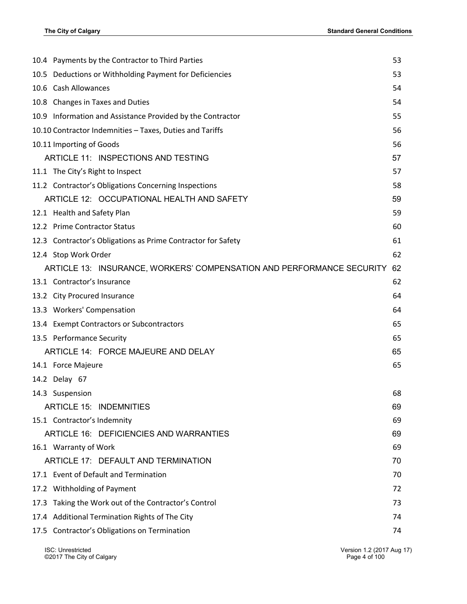| 10.4 Payments by the Contractor to Third Parties                      | 53 |
|-----------------------------------------------------------------------|----|
| 10.5 Deductions or Withholding Payment for Deficiencies               | 53 |
| 10.6 Cash Allowances                                                  | 54 |
| 10.8 Changes in Taxes and Duties                                      | 54 |
| 10.9 Information and Assistance Provided by the Contractor            | 55 |
| 10.10 Contractor Indemnities - Taxes, Duties and Tariffs              | 56 |
| 10.11 Importing of Goods                                              | 56 |
| ARTICLE 11: INSPECTIONS AND TESTING                                   | 57 |
| 11.1 The City's Right to Inspect                                      | 57 |
| 11.2 Contractor's Obligations Concerning Inspections                  | 58 |
| ARTICLE 12: OCCUPATIONAL HEALTH AND SAFETY                            | 59 |
| 12.1 Health and Safety Plan                                           | 59 |
| 12.2 Prime Contractor Status                                          | 60 |
| 12.3 Contractor's Obligations as Prime Contractor for Safety          | 61 |
| 12.4 Stop Work Order                                                  | 62 |
| ARTICLE 13: INSURANCE, WORKERS' COMPENSATION AND PERFORMANCE SECURITY | 62 |
| 13.1 Contractor's Insurance                                           | 62 |
| 13.2 City Procured Insurance                                          | 64 |
| 13.3 Workers' Compensation                                            | 64 |
| 13.4 Exempt Contractors or Subcontractors                             | 65 |
| 13.5 Performance Security                                             | 65 |
| ARTICLE 14: FORCE MAJEURE AND DELAY                                   | 65 |
| 14.1 Force Majeure                                                    | 65 |
| 14.2 Delay 67                                                         |    |
| 14.3 Suspension                                                       | 68 |
| <b>ARTICLE 15: INDEMNITIES</b>                                        | 69 |
| 15.1 Contractor's Indemnity                                           | 69 |
| ARTICLE 16: DEFICIENCIES AND WARRANTIES                               | 69 |
| 16.1 Warranty of Work                                                 | 69 |
| ARTICLE 17: DEFAULT AND TERMINATION                                   | 70 |
| 17.1 Event of Default and Termination                                 | 70 |
| 17.2 Withholding of Payment                                           | 72 |
| 17.3 Taking the Work out of the Contractor's Control                  | 73 |
| 17.4 Additional Termination Rights of The City                        | 74 |
| 17.5 Contractor's Obligations on Termination                          | 74 |
|                                                                       |    |

ISC: Unrestricted Version 1.2 (2017 Aug 17)<br>
©2017 The City of Calgary Carry Contract Contract Contract Contract Contract Contract Contract Contract Contra<br>
Page 4 of 100 ©2017 The City of Calgary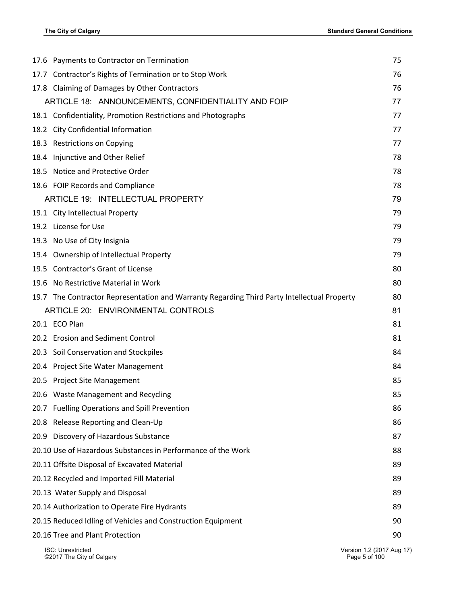| 17.6 Payments to Contractor on Termination                                                  | 75                                         |
|---------------------------------------------------------------------------------------------|--------------------------------------------|
| 17.7 Contractor's Rights of Termination or to Stop Work                                     | 76                                         |
| 17.8 Claiming of Damages by Other Contractors                                               | 76                                         |
| ARTICLE 18: ANNOUNCEMENTS, CONFIDENTIALITY AND FOIP                                         | 77                                         |
| 18.1 Confidentiality, Promotion Restrictions and Photographs                                | 77                                         |
| 18.2 City Confidential Information                                                          | 77                                         |
| 18.3 Restrictions on Copying                                                                | 77                                         |
| 18.4 Injunctive and Other Relief                                                            | 78                                         |
| 18.5 Notice and Protective Order                                                            | 78                                         |
| 18.6 FOIP Records and Compliance                                                            | 78                                         |
| ARTICLE 19: INTELLECTUAL PROPERTY                                                           | 79                                         |
| 19.1 City Intellectual Property                                                             | 79                                         |
| 19.2 License for Use                                                                        | 79                                         |
| 19.3 No Use of City Insignia                                                                | 79                                         |
| 19.4 Ownership of Intellectual Property                                                     | 79                                         |
| 19.5 Contractor's Grant of License                                                          | 80                                         |
| No Restrictive Material in Work<br>19.6                                                     | 80                                         |
| 19.7 The Contractor Representation and Warranty Regarding Third Party Intellectual Property | 80                                         |
| ARTICLE 20: ENVIRONMENTAL CONTROLS                                                          | 81                                         |
| 20.1 ECO Plan                                                                               | 81                                         |
| 20.2 Erosion and Sediment Control                                                           | 81                                         |
| 20.3 Soil Conservation and Stockpiles                                                       | 84                                         |
| 20.4 Project Site Water Management                                                          | 84                                         |
| 20.5 Project Site Management                                                                | 85                                         |
| 20.6 Waste Management and Recycling                                                         | 85                                         |
| 20.7 Fuelling Operations and Spill Prevention                                               | 86                                         |
| 20.8 Release Reporting and Clean-Up                                                         | 86                                         |
| 20.9 Discovery of Hazardous Substance                                                       | 87                                         |
| 20.10 Use of Hazardous Substances in Performance of the Work                                | 88                                         |
| 20.11 Offsite Disposal of Excavated Material                                                | 89                                         |
| 20.12 Recycled and Imported Fill Material                                                   | 89                                         |
| 20.13 Water Supply and Disposal                                                             | 89                                         |
| 20.14 Authorization to Operate Fire Hydrants                                                | 89                                         |
| 20.15 Reduced Idling of Vehicles and Construction Equipment                                 | 90                                         |
| 20.16 Tree and Plant Protection                                                             | 90                                         |
| <b>ISC: Unrestricted</b><br>©2017 The City of Calgary                                       | Version 1.2 (2017 Aug 17)<br>Page 5 of 100 |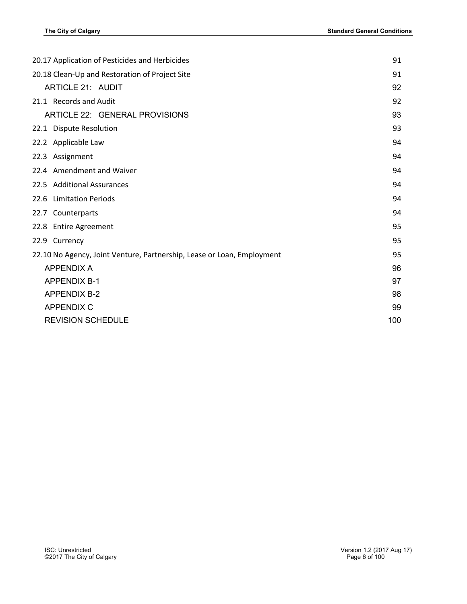| 20.17 Application of Pesticides and Herbicides                         |     |
|------------------------------------------------------------------------|-----|
| 20.18 Clean-Up and Restoration of Project Site                         |     |
| <b>ARTICLE 21: AUDIT</b>                                               | 92  |
| 21.1 Records and Audit                                                 | 92  |
| ARTICLE 22: GENERAL PROVISIONS                                         | 93  |
| 22.1 Dispute Resolution                                                | 93  |
| 22.2 Applicable Law                                                    | 94  |
| 22.3 Assignment                                                        | 94  |
| 22.4 Amendment and Waiver                                              | 94  |
| 22.5 Additional Assurances                                             | 94  |
| 22.6 Limitation Periods                                                | 94  |
| 22.7 Counterparts                                                      | 94  |
| 22.8 Entire Agreement                                                  | 95  |
| 22.9 Currency                                                          | 95  |
| 22.10 No Agency, Joint Venture, Partnership, Lease or Loan, Employment | 95  |
| <b>APPENDIX A</b>                                                      | 96  |
| <b>APPENDIX B-1</b>                                                    | 97  |
| <b>APPENDIX B-2</b>                                                    | 98  |
| <b>APPENDIX C</b>                                                      | 99  |
| <b>REVISION SCHEDULE</b>                                               | 100 |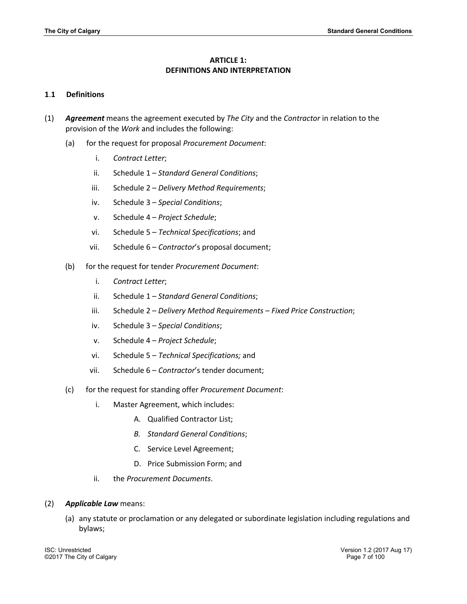# **ARTICLE 1: DEFINITIONS AND INTERPRETATION**

## **1**.**1 Definitions**

- (1) *Agreement* means the agreement executed by *The City* and the *Contractor* in relation to the provision of the *Work* and includes the following:
	- (a) for the request for proposal *Procurement Document*:
		- i. *Contract Letter*;
		- ii. Schedule 1 *Standard General Conditions*;
		- iii. Schedule 2 *Delivery Method Requirements*;
		- iv. Schedule 3 *Special Conditions*;
		- v. Schedule 4 *Project Schedule*;
		- vi. Schedule 5 *Technical Specifications*; and
		- vii. Schedule 6 *Contractor*'s proposal document;
	- (b) for the request for tender *Procurement Document*:
		- i. *Contract Letter*;
		- ii. Schedule 1 *Standard General Conditions*;
		- iii. Schedule 2 *Delivery Method Requirements – Fixed Price Construction*;
		- iv. Schedule 3 *Special Conditions*;
		- v. Schedule 4 *Project Schedule*;
		- vi. Schedule 5 *Technical Specifications;* and
		- vii. Schedule 6 *Contractor*'s tender document;
	- (c) for the request for standing offer *Procurement Document*:
		- i. Master Agreement, which includes:
			- A. Qualified Contractor List;
			- *B. Standard General Conditions*;
			- C. Service Level Agreement;
			- D. Price Submission Form; and
		- ii. the *Procurement Documents*.

#### (2) *Applicable Law* means:

(a) any statute or proclamation or any delegated or subordinate legislation including regulations and bylaws;

ISC: Unrestricted Version 1.2 (2017 Aug 17) ©2017 The City of Calgary Page 7 of 100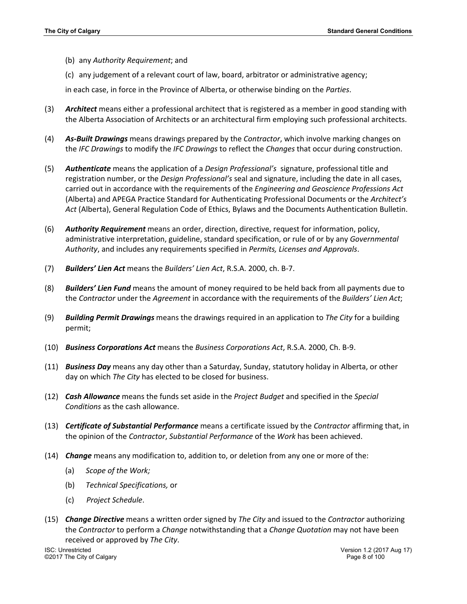- (b) any *Authority Requirement*; and
- (c) any judgement of a relevant court of law, board, arbitrator or administrative agency;

in each case, in force in the Province of Alberta, or otherwise binding on the *Parties*.

- (3) *Architect* means either a professional architect that is registered as a member in good standing with the Alberta Association of Architects or an architectural firm employing such professional architects.
- (4) *As-Built Drawings* means drawings prepared by the *Contractor*, which involve marking changes on the *IFC Drawings* to modify the *IFC Drawings* to reflect the *Changes* that occur during construction.
- (5) *Authenticate* means the application of a *Design Professional's* signature, professional title and registration number, or the *Design Professional's* seal and signature, including the date in all cases, carried out in accordance with the requirements of the *Engineering and Geoscience Professions Act* (Alberta) and APEGA Practice Standard for Authenticating Professional Documents or the *Architect's Act* (Alberta), General Regulation Code of Ethics, Bylaws and the Documents Authentication Bulletin.
- (6) *Authority Requirement* means an order, direction, directive, request for information, policy, administrative interpretation, guideline, standard specification, or rule of or by any *Governmental Authority*, and includes any requirements specified in *Permits, Licenses and Approvals*.
- (7) *Builders' Lien Act* means the *Builders' Lien Act*, R.S.A. 2000, ch. B-7.
- (8) *Builders' Lien Fund* means the amount of money required to be held back from all payments due to the *Contractor* under the *Agreement* in accordance with the requirements of the *Builders' Lien Act*;
- (9) *Building Permit Drawings* means the drawings required in an application to *The City* for a building permit;
- (10) *Business Corporations Act* means the *Business Corporations Act*, R.S.A. 2000, Ch. B-9.
- (11) *Business Day* means any day other than a Saturday, Sunday, statutory holiday in Alberta, or other day on which *The City* has elected to be closed for business.
- (12) *Cash Allowance* means the funds set aside in the *Project Budget* and specified in the *Special Conditions* as the cash allowance.
- (13) *Certificate of Substantial Performance* means a certificate issued by the *Contractor* affirming that, in the opinion of the *Contractor*, *Substantial Performance* of the *Work* has been achieved.
- (14) *Change* means any modification to, addition to, or deletion from any one or more of the:
	- (a) *Scope of the Work;*
	- (b) *Technical Specifications,* or
	- (c) *Project Schedule*.
- (15) *Change Directive* means a written order signed by *The City* and issued to the *Contractor* authorizing the *Contractor* to perform a *Change* notwithstanding that a *Change Quotation* may not have been received or approved by *The City*.

ISC: Unrestricted Version 1.2 (2017 Aug 17) ©2017 The City of Calgary Page 8 of 100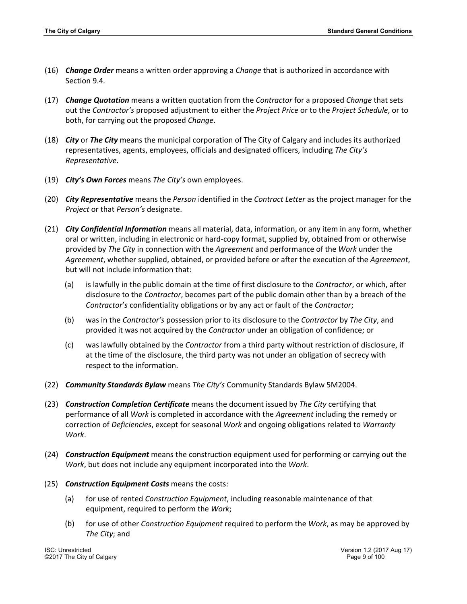- (16) *Change Order* means a written order approving a *Change* that is authorized in accordance with Section 9.4*.*
- (17) *Change Quotation* means a written quotation from the *Contractor* for a proposed *Change* that sets out the *Contractor's* proposed adjustment to either the *Project Price* or to the *Project Schedule*, or to both, for carrying out the proposed *Change*.
- (18) *City* or *The City* means the municipal corporation of The City of Calgary and includes its authorized representatives, agents, employees, officials and designated officers, including *The City's Representative*.
- (19) *City's Own Forces* means *The City's* own employees.
- (20) *City Representative* means the *Person* identified in the *Contract Letter* as the project manager for the *Project* or that *Person's* designate.
- (21) *City Confidential Information* means all material, data, information, or any item in any form, whether oral or written, including in electronic or hard-copy format, supplied by, obtained from or otherwise provided by *The City* in connection with the *Agreement* and performance of the *Work* under the *Agreement*, whether supplied, obtained, or provided before or after the execution of the *Agreement*, but will not include information that:
	- (a) is lawfully in the public domain at the time of first disclosure to the *Contractor*, or which, after disclosure to the *Contractor*, becomes part of the public domain other than by a breach of the *Contractor*'*s* confidentiality obligations or by any act or fault of the *Contractor*;
	- (b) was in the *Contractor's* possession prior to its disclosure to the *Contractor* by *The City*, and provided it was not acquired by the *Contractor* under an obligation of confidence; or
	- (c) was lawfully obtained by the *Contractor* from a third party without restriction of disclosure, if at the time of the disclosure, the third party was not under an obligation of secrecy with respect to the information.
- (22) *Community Standards Bylaw* means *The City's* Community Standards Bylaw 5M2004.
- (23) *Construction Completion Certificate* means the document issued by *The City* certifying that performance of all *Work* is completed in accordance with the *Agreement* including the remedy or correction of *Deficiencies*, except for seasonal *Work* and ongoing obligations related to *Warranty Work*.
- (24) *Construction Equipment* means the construction equipment used for performing or carrying out the *Work*, but does not include any equipment incorporated into the *Work*.
- (25) *Construction Equipment Costs* means the costs:
	- (a) for use of rented *Construction Equipment*, including reasonable maintenance of that equipment, required to perform the *Work*;
	- (b) for use of other *Construction Equipment* required to perform the *Work*, as may be approved by *The City*; and

©2017 The City of Calgary Page 9 of 100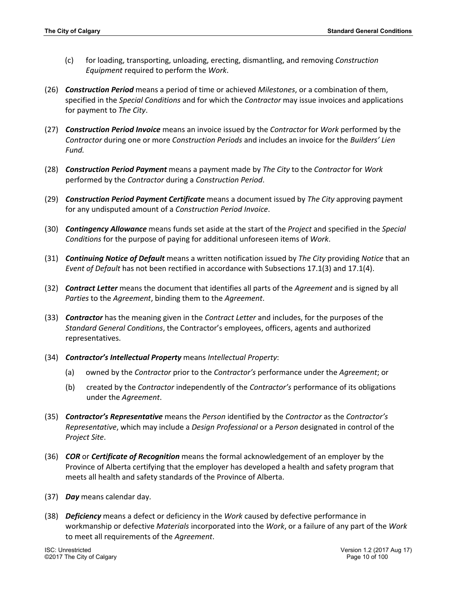- (c) for loading, transporting, unloading, erecting, dismantling, and removing *Construction Equipment* required to perform the *Work*.
- (26) *Construction Period* means a period of time or achieved *Milestones*, or a combination of them, specified in the *Special Conditions* and for which the *Contractor* may issue invoices and applications for payment to *The City*.
- (27) *Construction Period Invoice* means an invoice issued by the *Contractor* for *Work* performed by the *Contractor* during one or more *Construction Periods* and includes an invoice for the *Builders' Lien Fund.*
- (28) *Construction Period Payment* means a payment made by *The City* to the *Contractor* for *Work* performed by the *Contractor* during a *Construction Period*.
- (29) *Construction Period Payment Certificate* means a document issued by *The City* approving payment for any undisputed amount of a *Construction Period Invoice*.
- (30) *Contingency Allowance* means funds set aside at the start of the *Project* and specified in the *Special Conditions* for the purpose of paying for additional unforeseen items of *Work*.
- (31) *Continuing Notice of Default* means a written notification issued by *The City* providing *Notice* that an *Event of Default* has not been rectified in accordance with Subsections 17.1(3) and 17.1(4).
- (32) *Contract Letter* means the document that identifies all parts of the *Agreement* and is signed by all *Parties* to the *Agreement*, binding them to the *Agreement*.
- (33) *Contractor* has the meaning given in the *Contract Letter* and includes, for the purposes of the *Standard General Conditions*, the Contractor's employees, officers, agents and authorized representatives.
- (34) *Contractor's Intellectual Property* means *Intellectual Property*:
	- (a) owned by the *Contractor* prior to the *Contractor's* performance under the *Agreement*; or
	- (b) created by the *Contractor* independently of the *Contractor's* performance of its obligations under the *Agreement*.
- (35) *Contractor's Representative* means the *Person* identified by the *Contractor* as the *Contractor's Representative*, which may include a *Design Professional* or a *Person* designated in control of the *Project Site*.
- (36) *COR* or *Certificate of Recognition* means the formal acknowledgement of an employer by the Province of Alberta certifying that the employer has developed a health and safety program that meets all health and safety standards of the Province of Alberta.
- (37) *Day* means calendar day.
- (38) *Deficiency* means a defect or deficiency in the *Work* caused by defective performance in workmanship or defective *Materials* incorporated into the *Work*, or a failure of any part of the *Work* to meet all requirements of the *Agreement*.

©2017 The City of Calgary Page 10 of 100

ISC: Unrestricted Version 1.2 (2017 Aug 17)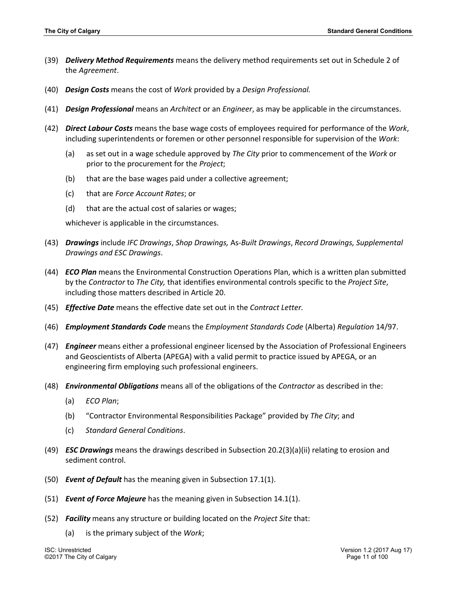- (39) *Delivery Method Requirements* means the delivery method requirements set out in Schedule 2 of the *Agreement*.
- (40) *Design Costs* means the cost of *Work* provided by a *Design Professional.*
- (41) *Design Professional* means an *Architect* or an *Engineer*, as may be applicable in the circumstances.
- (42) *Direct Labour Costs* means the base wage costs of employees required for performance of the *Work*, including superintendents or foremen or other personnel responsible for supervision of the *Work*:
	- (a) as set out in a wage schedule approved by *The City* prior to commencement of the *Work* or prior to the procurement for the *Project*;
	- (b) that are the base wages paid under a collective agreement;
	- (c) that are *Force Account Rates*; or
	- (d) that are the actual cost of salaries or wages;

whichever is applicable in the circumstances.

- (43) *Drawings* include *IFC Drawings*, *Shop Drawings,* As*-Built Drawings*, *Record Drawings, Supplemental Drawings and ESC Drawings*.
- (44) *ECO Plan* means the Environmental Construction Operations Plan, which is a written plan submitted by the *Contractor* to *The City,* that identifies environmental controls specific to the *Project Site*, including those matters described in Article 20.
- (45) *Effective Date* means the effective date set out in the *Contract Letter.*
- (46) *Employment Standards Code* means the *Employment Standards Code* (Alberta) *Regulation* 14/97.
- (47) *Engineer* means either a professional engineer licensed by the Association of Professional Engineers and Geoscientists of Alberta (APEGA) with a valid permit to practice issued by APEGA, or an engineering firm employing such professional engineers.
- (48) *Environmental Obligations* means all of the obligations of the *Contractor* as described in the:
	- (a) *ECO Plan*;
	- (b) "Contractor Environmental Responsibilities Package" provided by *The City*; and
	- (c) *Standard General Conditions*.
- (49) *ESC Drawings* means the drawings described in Subsection 20.2(3)(a)(ii) relating to erosion and sediment control.
- (50) *Event of Default* has the meaning given in Subsection 17.1(1).
- (51) *Event of Force Majeure* has the meaning given in Subsection 14.1(1).
- (52) *Facility* means any structure or building located on the *Project Site* that:
	- (a) is the primary subject of the *Work*;

©2017 The City of Calgary Page 11 of 100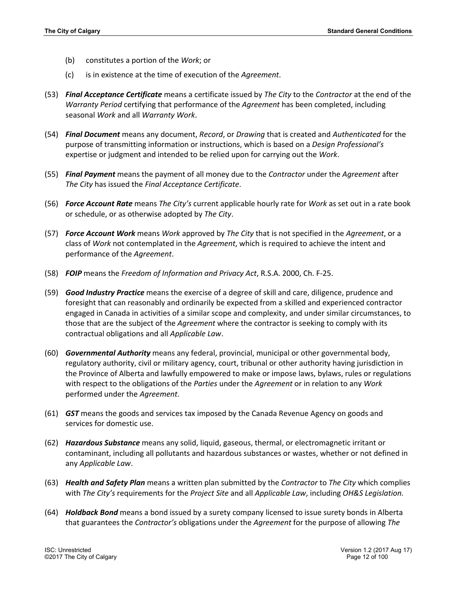- (b) constitutes a portion of the *Work*; or
- (c) is in existence at the time of execution of the *Agreement*.
- (53) *Final Acceptance Certificate* means a certificate issued by *The City* to the *Contractor* at the end of the *Warranty Period* certifying that performance of the *Agreement* has been completed, including seasonal *Work* and all *Warranty Work*.
- (54) *Final Document* means any document, *Record*, or *Drawing* that is created and *Authenticated* for the purpose of transmitting information or instructions, which is based on a *Design Professional's* expertise or judgment and intended to be relied upon for carrying out the *Work*.
- (55) *Final Payment* means the payment of all money due to the *Contractor* under the *Agreement* after *The City* has issued the *Final Acceptance Certificate*.
- (56) *Force Account Rate* means *The City's* current applicable hourly rate for *Work* as set out in a rate book or schedule, or as otherwise adopted by *The City*.
- (57) *Force Account Work* means *Work* approved by *The City* that is not specified in the *Agreement*, or a class of *Work* not contemplated in the *Agreement*, which is required to achieve the intent and performance of the *Agreement*.
- (58) *FOIP* means the *Freedom of Information and Privacy Act*, R.S.A. 2000, Ch. F-25.
- (59) *Good Industry Practice* means the exercise of a degree of skill and care, diligence, prudence and foresight that can reasonably and ordinarily be expected from a skilled and experienced contractor engaged in Canada in activities of a similar scope and complexity, and under similar circumstances, to those that are the subject of the *Agreement* where the contractor is seeking to comply with its contractual obligations and all *Applicable Law*.
- (60) *Governmental Authority* means any federal, provincial, municipal or other governmental body, regulatory authority, civil or military agency, court, tribunal or other authority having jurisdiction in the Province of Alberta and lawfully empowered to make or impose laws, bylaws, rules or regulations with respect to the obligations of the *Parties* under the *Agreement* or in relation to any *Work* performed under the *Agreement*.
- (61) *GST* means the goods and services tax imposed by the Canada Revenue Agency on goods and services for domestic use.
- (62) *Hazardous Substance* means any solid, liquid, gaseous, thermal, or electromagnetic irritant or contaminant, including all pollutants and hazardous substances or wastes, whether or not defined in any *Applicable Law*.
- (63) *Health and Safety Plan* means a written plan submitted by the *Contractor* to *The City* which complies with *The City's* requirements for the *Project Site* and all *Applicable Law*, including *OH&S Legislation.*
- (64) *Holdback Bond* means a bond issued by a surety company licensed to issue surety bonds in Alberta that guarantees the *Contractor's* obligations under the *Agreement* for the purpose of allowing *The*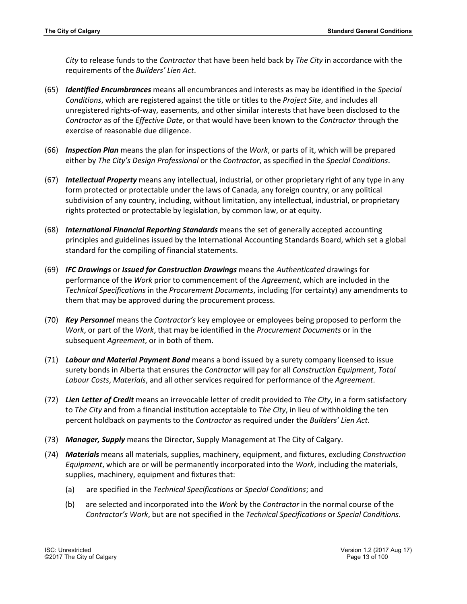*City* to release funds to the *Contractor* that have been held back by *The City* in accordance with the requirements of the *Builders' Lien Act*.

- (65) *Identified Encumbrances* means all encumbrances and interests as may be identified in the *Special Conditions*, which are registered against the title or titles to the *Project Site*, and includes all unregistered rights-of-way, easements, and other similar interests that have been disclosed to the *Contractor* as of the *Effective Date*, or that would have been known to the *Contractor* through the exercise of reasonable due diligence.
- (66) *Inspection Plan* means the plan for inspections of the *Work*, or parts of it, which will be prepared either by *The City's Design Professional* or the *Contractor*, as specified in the *Special Conditions*.
- (67) *Intellectual Property* means any intellectual, industrial, or other proprietary right of any type in any form protected or protectable under the laws of Canada, any foreign country, or any political subdivision of any country, including, without limitation, any intellectual, industrial, or proprietary rights protected or protectable by legislation, by common law, or at equity.
- (68) *International Financial Reporting Standards* means the set of generally accepted accounting principles and guidelines issued by the International Accounting Standards Board, which set a global standard for the compiling of financial statements.
- (69) *IFC Drawings* or *Issued for Construction Drawings* means the *Authenticated* drawings for performance of the *Work* prior to commencement of the *Agreement*, which are included in the *Technical Specifications* in the *Procurement Documents*, including (for certainty) any amendments to them that may be approved during the procurement process.
- (70) *Key Personnel* means the *Contractor's* key employee or employees being proposed to perform the *Work*, or part of the *Work*, that may be identified in the *Procurement Documents* or in the subsequent *Agreement*, or in both of them.
- (71) *Labour and Material Payment Bond* means a bond issued by a surety company licensed to issue surety bonds in Alberta that ensures the *Contractor* will pay for all *Construction Equipment*, *Total Labour Costs*, *Materials*, and all other services required for performance of the *Agreement*.
- (72) *Lien Letter of Credit* means an irrevocable letter of credit provided to *The City*, in a form satisfactory to *The City* and from a financial institution acceptable to *The City*, in lieu of withholding the ten percent holdback on payments to the *Contractor* as required under the *Builders' Lien Act*.
- (73) *Manager, Supply* means the Director, Supply Management at The City of Calgary.
- (74) *Materials* means all materials, supplies, machinery, equipment, and fixtures, excluding *Construction Equipment*, which are or will be permanently incorporated into the *Work*, including the materials, supplies, machinery, equipment and fixtures that:
	- (a) are specified in the *Technical Specifications* or *Special Conditions*; and
	- (b) are selected and incorporated into the *Work* by the *Contractor* in the normal course of the *Contractor's Work*, but are not specified in the *Technical Specifications* or *Special Conditions*.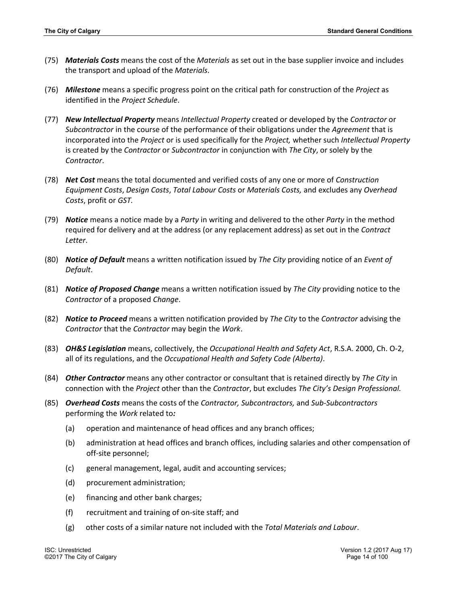- (75) *Materials Costs* means the cost of the *Materials* as set out in the base supplier invoice and includes the transport and upload of the *Materials*.
- (76) *Milestone* means a specific progress point on the critical path for construction of the *Project* as identified in the *Project Schedule*.
- (77) *New Intellectual Property* means *Intellectual Property* created or developed by the *Contractor* or *Subcontractor* in the course of the performance of their obligations under the *Agreement* that is incorporated into the *Project* or is used specifically for the *Project,* whether such *Intellectual Property* is created by the *Contractor* or *Subcontractor* in conjunction with *The City*, or solely by the *Contractor*.
- (78) *Net Cost* means the total documented and verified costs of any one or more of *Construction Equipment Costs*, *Design Costs*, *Total Labour Costs* or *Materials Costs,* and excludes any *Overhead Costs*, profit or *GST.*
- (79) *Notice* means a notice made by a *Party* in writing and delivered to the other *Party* in the method required for delivery and at the address (or any replacement address) as set out in the *Contract Letter*.
- (80) *Notice of Default* means a written notification issued by *The City* providing notice of an *Event of Default*.
- (81) *Notice of Proposed Change* means a written notification issued by *The City* providing notice to the *Contractor* of a proposed *Change*.
- (82) *Notice to Proceed* means a written notification provided by *The City* to the *Contractor* advising the *Contractor* that the *Contractor* may begin the *Work*.
- (83) *OH&S Legislation* means, collectively, the *Occupational Health and Safety Act*, R.S.A. 2000, Ch. O-2, all of its regulations, and the *Occupational Health and Safety Code (Alberta)*.
- (84) *Other Contractor* means any other contractor or consultant that is retained directly by *The City* in connection with the *Project* other than the *Contractor*, but excludes *The City's Design Professional.*
- (85) *Overhead Costs* means the costs of the *Contractor, Subcontractors,* and *Sub*-*Subcontractors* performing the *Work* related to*:*
	- (a) operation and maintenance of head offices and any branch offices;
	- (b) administration at head offices and branch offices, including salaries and other compensation of off-site personnel;
	- (c) general management, legal, audit and accounting services;
	- (d) procurement administration;
	- (e) financing and other bank charges;
	- (f) recruitment and training of on-site staff; and
	- (g) other costs of a similar nature not included with the *Total Materials and Labour*.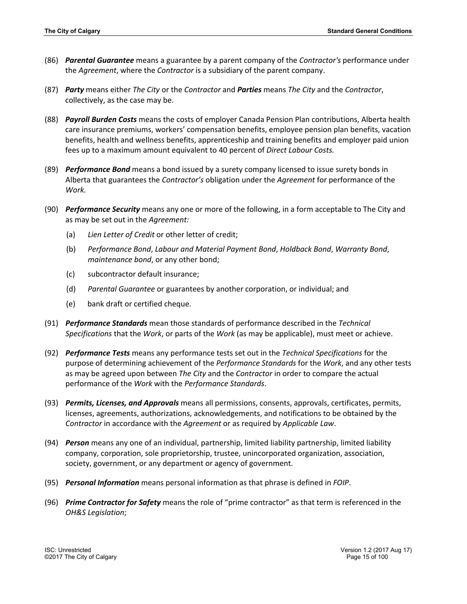- (86) *Parental Guarantee* means a guarantee by a parent company of the *Contractor's* performance under the *Agreement*, where the *Contractor* is a subsidiary of the parent company.
- (87) *Party* means either *The City* or the *Contractor* and *Parties* means *The City* and the *Contractor*, collectively, as the case may be.
- (88) *Payroll Burden Costs* means the costs of employer Canada Pension Plan contributions, Alberta health care insurance premiums, workers' compensation benefits, employee pension plan benefits, vacation benefits, health and wellness benefits, apprenticeship and training benefits and employer paid union fees up to a maximum amount equivalent to 40 percent of *Direct Labour Costs.*
- (89) *Performance Bond* means a bond issued by a surety company licensed to issue surety bonds in Alberta that guarantees the *Contractor's* obligation under the *Agreement* for performance of the *Work.*
- (90) *Performance Security* means any one or more of the following, in a form acceptable to The City and as may be set out in the *Agreement:*
	- (a) *Lien Letter of Credit* or other letter of credit;
	- (b) *Performance Bond*, *Labour and Material Payment Bond*, *Holdback Bond*, *Warranty Bond*, *maintenance bond*, or any other bond;
	- (c) subcontractor default insurance;
	- (d) *Parental Guarantee* or guarantees by another corporation, or individual; and
	- (e) bank draft or certified cheque.
- (91) *Performance Standards* mean those standards of performance described in the *Technical Specifications* that the *Work*, or parts of the *Work* (as may be applicable), must meet or achieve.
- (92) *Performance Tests* means any performance tests set out in the *Technical Specifications* for the purpose of determining achievement of the *Performance Standards* for the *Work*, and any other tests as may be agreed upon between *The City* and the *Contractor* in order to compare the actual performance of the *Work* with the *Performance Standards*.
- (93) *Permits, Licenses, and Approvals* means all permissions, consents, approvals, certificates, permits, licenses, agreements, authorizations, acknowledgements, and notifications to be obtained by the *Contractor* in accordance with the *Agreement* or as required by *Applicable Law*.
- (94) *Person* means any one of an individual, partnership, limited liability partnership, limited liability company, corporation, sole proprietorship, trustee, unincorporated organization, association, society, government, or any department or agency of government.
- (95) *Personal Information* means personal information as that phrase is defined in *FOIP*.
- (96) *Prime Contractor for Safety* means the role of "prime contractor" as that term is referenced in the *OH&S Legislation*;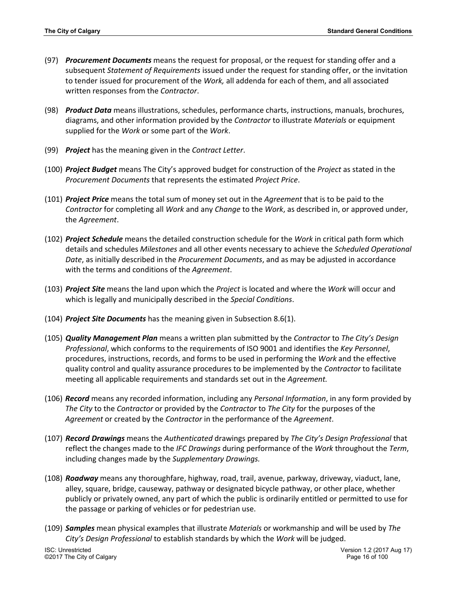- (97) *Procurement Documents* means the request for proposal, or the request for standing offer and a subsequent *Statement of Requirements* issued under the request for standing offer, or the invitation to tender issued for procurement of the *Work,* all addenda for each of them, and all associated written responses from the *Contractor*.
- (98) *Product Data* means illustrations, schedules, performance charts, instructions, manuals, brochures, diagrams, and other information provided by the *Contractor* to illustrate *Materials* or equipment supplied for the *Work* or some part of the *Work*.
- (99) *Project* has the meaning given in the *Contract Letter*.
- (100) *Project Budget* means The City's approved budget for construction of the *Project* as stated in the *Procurement Documents* that represents the estimated *Project Price*.
- (101) *Project Price* means the total sum of money set out in the *Agreement* that is to be paid to the *Contractor* for completing all *Work* and any *Change* to the *Work*, as described in, or approved under, the *Agreement*.
- (102) *Project Schedule* means the detailed construction schedule for the *Work* in critical path form which details and schedules *Milestones* and all other events necessary to achieve the *Scheduled Operational Date*, as initially described in the *Procurement Documents*, and as may be adjusted in accordance with the terms and conditions of the *Agreement*.
- (103) *Project Site* means the land upon which the *Project* is located and where the *Work* will occur and which is legally and municipally described in the *Special Conditions*.
- (104) *Project Site Documents* has the meaning given in Subsection 8.6(1).
- (105) *Quality Management Plan* means a written plan submitted by the *Contractor* to *The City's Design Professional*, which conforms to the requirements of ISO 9001 and identifies the *Key Personnel*, procedures, instructions, records, and forms to be used in performing the *Work* and the effective quality control and quality assurance procedures to be implemented by the *Contractor* to facilitate meeting all applicable requirements and standards set out in the *Agreement.*
- (106) *Record* means any recorded information, including any *Personal Information*, in any form provided by *The City* to the *Contractor* or provided by the *Contractor* to *The City* for the purposes of the *Agreement* or created by the *Contractor* in the performance of the *Agreement*.
- (107) *Record Drawings* means the *Authenticated* drawings prepared by *The City's Design Professional* that reflect the changes made to the *IFC Drawings* during performance of the *Work* throughout the *Term*, including changes made by the *Supplementary Drawings.*
- (108) *Roadway* means any thoroughfare, highway, road, trail, avenue, parkway, driveway, viaduct, lane, alley, square, bridge, causeway, pathway or designated bicycle pathway, or other place, whether publicly or privately owned, any part of which the public is ordinarily entitled or permitted to use for the passage or parking of vehicles or for pedestrian use.
- (109) *Samples* mean physical examples that illustrate *Materials* or workmanship and will be used by *The City's Design Professional* to establish standards by which the *Work* will be judged.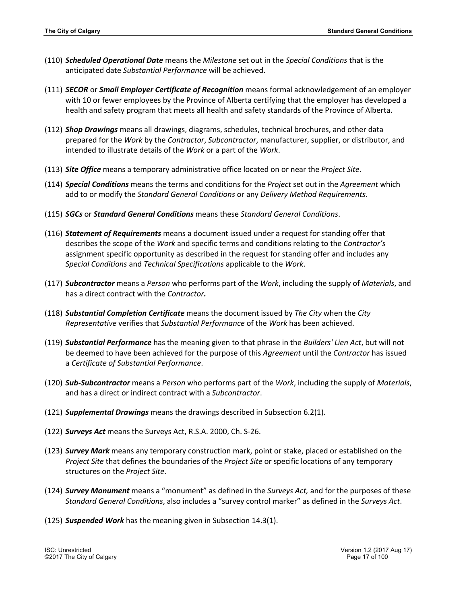- (110) *Scheduled Operational Date* means the *Milestone* set out in the *Special Conditions* that is the anticipated date *Substantial Performance* will be achieved.
- (111) *SECOR* or *Small Employer Certificate of Recognition* means formal acknowledgement of an employer with 10 or fewer employees by the Province of Alberta certifying that the employer has developed a health and safety program that meets all health and safety standards of the Province of Alberta.
- (112) *Shop Drawings* means all drawings, diagrams, schedules, technical brochures, and other data prepared for the *Work* by the *Contractor*, *Subcontractor*, manufacturer, supplier, or distributor, and intended to illustrate details of the *Work* or a part of the *Work*.
- (113) *Site Office* means a temporary administrative office located on or near the *Project Site*.
- (114) *Special Conditions* means the terms and conditions for the *Project* set out in the *Agreement* which add to or modify the *Standard General Conditions* or any *Delivery Method Requirements*.
- (115) *SGCs* or *Standard General Conditions* means these *Standard General Conditions*.
- (116) *Statement of Requirements* means a document issued under a request for standing offer that describes the scope of the *Work* and specific terms and conditions relating to the *Contractor's* assignment specific opportunity as described in the request for standing offer and includes any *Special Conditions* and *Technical Specifications* applicable to the *Work*.
- (117) *Subcontractor* means a *Person* who performs part of the *Work*, including the supply of *Materials*, and has a direct contract with the *Contractor.*
- (118) *Substantial Completion Certificate* means the document issued by *The City* when the *City Representative* verifies that *Substantial Performance* of the *Work* has been achieved.
- (119) *Substantial Performance* has the meaning given to that phrase in the *Builders' Lien Act*, but will not be deemed to have been achieved for the purpose of this *Agreement* until the *Contractor* has issued a *Certificate of Substantial Performance*.
- (120) *Sub-Subcontractor* means a *Person* who performs part of the *Work*, including the supply of *Materials*, and has a direct or indirect contract with a *Subcontractor*.
- (121) *Supplemental Drawings* means the drawings described in Subsection 6.2(1).
- (122) *Surveys Act* means the Surveys Act, R.S.A. 2000, Ch. S-26.
- (123) *Survey Mark* means any temporary construction mark, point or stake, placed or established on the *Project Site* that defines the boundaries of the *Project Site* or specific locations of any temporary structures on the *Project Site*.
- (124) *Survey Monument* means a "monument" as defined in the *Surveys Act,* and for the purposes of these *Standard General Conditions*, also includes a "survey control marker" as defined in the *Surveys Act*.
- (125) *Suspended Work* has the meaning given in Subsection 14.3(1).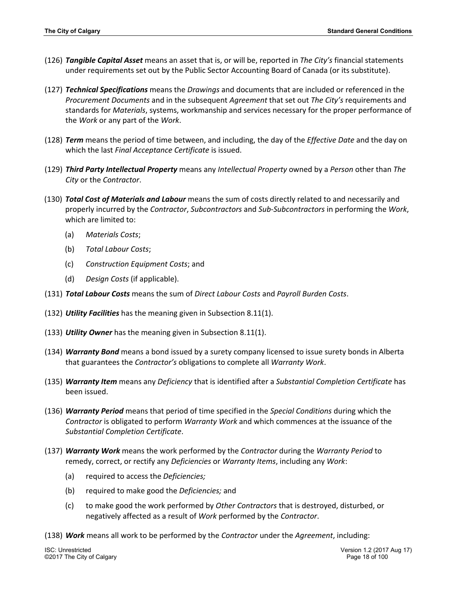- (126) *Tangible Capital Asset* means an asset that is, or will be, reported in *The City's* financial statements under requirements set out by the Public Sector Accounting Board of Canada (or its substitute).
- (127) *Technical Specifications* means the *Drawings* and documents that are included or referenced in the *Procurement Documents* and in the subsequent *Agreement* that set out *The City's* requirements and standards for *Materials*, systems, workmanship and services necessary for the proper performance of the *Work* or any part of the *Work*.
- (128) *Term* means the period of time between, and including, the day of the *Effective Date* and the day on which the last *Final Acceptance Certificate* is issued.
- (129) *Third Party Intellectual Property* means any *Intellectual Property* owned by a *Person* other than *The City* or the *Contractor*.
- (130) *Total Cost of Materials and Labour* means the sum of costs directly related to and necessarily and properly incurred by the *Contractor*, *Subcontractors* and *Sub*-*Subcontractors* in performing the *Work*, which are limited to:
	- (a) *Materials Costs*;
	- (b) *Total Labour Costs*;
	- (c) *Construction Equipment Costs*; and
	- (d) *Design Costs* (if applicable).
- (131) *Total Labour Costs* means the sum of *Direct Labour Costs* and *Payroll Burden Costs*.
- (132) *Utility Facilities* has the meaning given in Subsection 8.11(1).
- (133) *Utility Owner* has the meaning given in Subsection 8.11(1).
- (134) *Warranty Bond* means a bond issued by a surety company licensed to issue surety bonds in Alberta that guarantees the *Contractor's* obligations to complete all *Warranty Work*.
- (135) *Warranty Item* means any *Deficiency* that is identified after a *Substantial Completion Certificate* has been issued.
- (136) *Warranty Period* means that period of time specified in the *Special Conditions* during which the *Contractor* is obligated to perform *Warranty Work* and which commences at the issuance of the *Substantial Completion Certificate*.
- (137) *Warranty Work* means the work performed by the *Contractor* during the *Warranty Period* to remedy, correct, or rectify any *Deficiencies* or *Warranty Items*, including any *Work*:
	- (a) required to access the *Deficiencies;*
	- (b) required to make good the *Deficiencies;* and
	- (c) to make good the work performed by *Other Contractors* that is destroyed, disturbed, or negatively affected as a result of *Work* performed by the *Contractor*.
- (138) *Work* means all work to be performed by the *Contractor* under the *Agreement*, including:

©2017 The City of Calgary Page 18 of 100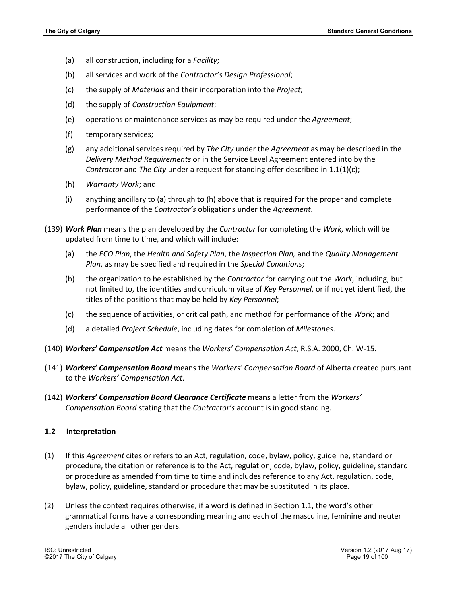- (a) all construction, including for a *Facility*;
- (b) all services and work of the *Contractor's Design Professional*;
- (c) the supply of *Materials* and their incorporation into the *Project*;
- (d) the supply of *Construction Equipment*;
- (e) operations or maintenance services as may be required under the *Agreement*;
- (f) temporary services;
- (g) any additional services required by *The City* under the *Agreement* as may be described in the *Delivery Method Requirements* or in the Service Level Agreement entered into by the *Contractor* and *The City* under a request for standing offer described in 1.1(1)(c);
- (h) *Warranty Work*; and
- (i) anything ancillary to (a) through to (h) above that is required for the proper and complete performance of the *Contractor's* obligations under the *Agreement*.
- (139) *Work Plan* means the plan developed by the *Contractor* for completing the *Work*, which will be updated from time to time, and which will include:
	- (a) the *ECO Plan*, the *Health and Safety Plan*, the *Inspection Plan,* and the *Quality Management Plan*, as may be specified and required in the *Special Conditions*;
	- (b) the organization to be established by the *Contractor* for carrying out the *Work*, including, but not limited to, the identities and curriculum vitae of *Key Personnel*, or if not yet identified, the titles of the positions that may be held by *Key Personnel*;
	- (c) the sequence of activities, or critical path, and method for performance of the *Work*; and
	- (d) a detailed *Project Schedule*, including dates for completion of *Milestones*.
- (140) *Workers' Compensation Act* means the *Workers' Compensation Act*, R.S.A. 2000, Ch. W-15.
- (141) *Workers' Compensation Board* means the *Workers' Compensation Board* of Alberta created pursuant to the *Workers' Compensation Act*.
- (142) *Workers' Compensation Board Clearance Certificate* means a letter from the *Workers' Compensation Board* stating that the *Contractor's* account is in good standing.

#### **1.2 Interpretation**

- (1) If this *Agreement* cites or refers to an Act, regulation, code, bylaw, policy, guideline, standard or procedure, the citation or reference is to the Act, regulation, code, bylaw, policy, guideline, standard or procedure as amended from time to time and includes reference to any Act, regulation, code, bylaw, policy, guideline, standard or procedure that may be substituted in its place.
- (2) Unless the context requires otherwise, if a word is defined in Section 1.1, the word's other grammatical forms have a corresponding meaning and each of the masculine, feminine and neuter genders include all other genders.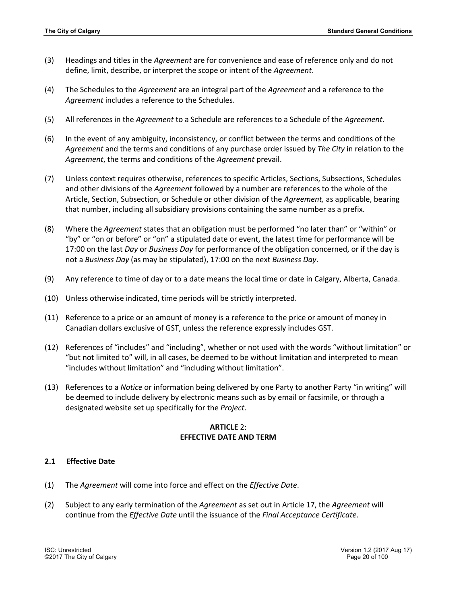- (3) Headings and titles in the *Agreement* are for convenience and ease of reference only and do not define, limit, describe, or interpret the scope or intent of the *Agreement*.
- (4) The Schedules to the *Agreement* are an integral part of the *Agreement* and a reference to the *Agreement* includes a reference to the Schedules.
- (5) All references in the *Agreement* to a Schedule are references to a Schedule of the *Agreement*.
- (6) In the event of any ambiguity, inconsistency, or conflict between the terms and conditions of the *Agreement* and the terms and conditions of any purchase order issued by *The City* in relation to the *Agreement*, the terms and conditions of the *Agreement* prevail.
- (7) Unless context requires otherwise, references to specific Articles, Sections, Subsections, Schedules and other divisions of the *Agreement* followed by a number are references to the whole of the Article, Section, Subsection, or Schedule or other division of the *Agreement,* as applicable, bearing that number, including all subsidiary provisions containing the same number as a prefix.
- (8) Where the *Agreement* states that an obligation must be performed "no later than" or "within" or "by" or "on or before" or "on" a stipulated date or event, the latest time for performance will be 17:00 on the last *Day* or *Business Day* for performance of the obligation concerned, or if the day is not a *Business Day* (as may be stipulated), 17:00 on the next *Business Day*.
- (9) Any reference to time of day or to a date means the local time or date in Calgary, Alberta, Canada.
- (10) Unless otherwise indicated, time periods will be strictly interpreted.
- (11) Reference to a price or an amount of money is a reference to the price or amount of money in Canadian dollars exclusive of GST, unless the reference expressly includes GST.
- (12) References of "includes" and "including", whether or not used with the words "without limitation" or "but not limited to" will, in all cases, be deemed to be without limitation and interpreted to mean "includes without limitation" and "including without limitation".
- (13) References to a *Notice* or information being delivered by one Party to another Party "in writing" will be deemed to include delivery by electronic means such as by email or facsimile, or through a designated website set up specifically for the *Project*.

# **ARTICLE** 2: **EFFECTIVE DATE AND TERM**

# **2.1 Effective Date**

- (1) The *Agreement* will come into force and effect on the *Effective Date*.
- (2) Subject to any early termination of the *Agreement* as set out in Article 17, the *Agreement* will continue from the *Effective Date* until the issuance of the *Final Acceptance Certificate*.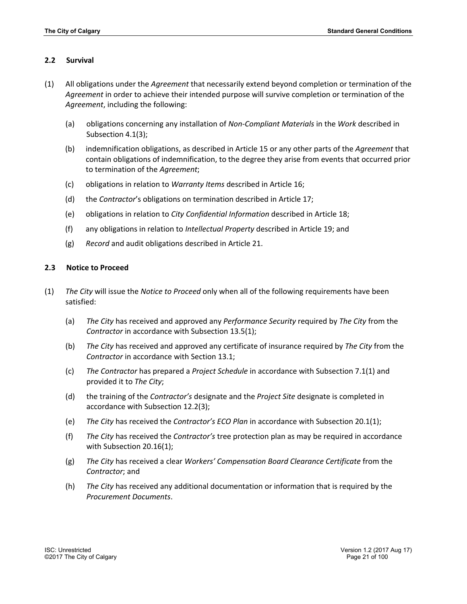## **2.2 Survival**

- (1) All obligations under the *Agreement* that necessarily extend beyond completion or termination of the *Agreement* in order to achieve their intended purpose will survive completion or termination of the *Agreement*, including the following:
	- (a) obligations concerning any installation of *Non-Compliant Materials* in the *Work* described in Subsection 4.1(3);
	- (b) indemnification obligations, as described in Article 15 or any other parts of the *Agreement* that contain obligations of indemnification, to the degree they arise from events that occurred prior to termination of the *Agreement*;
	- (c) obligations in relation to *Warranty Items* described in Article 16;
	- (d) the *Contractor*'s obligations on termination described in Article 17;
	- (e) obligations in relation to *City Confidential Information* described in Article 18;
	- (f) any obligations in relation to *Intellectual Property* described in Article 19; and
	- (g) *Record* and audit obligations described in Article 21.

# **2.3 Notice to Proceed**

- (1) *The City* will issue the *Notice to Proceed* only when all of the following requirements have been satisfied:
	- (a) *The City* has received and approved any *Performance Security* required by *The City* from the *Contractor* in accordance with Subsection 13.5(1);
	- (b) *The City* has received and approved any certificate of insurance required by *The City* from the *Contractor* in accordance with Section 13.1;
	- (c) *The Contractor* has prepared a *Project Schedule* in accordance with Subsection 7.1(1) and provided it to *The City*;
	- (d) the training of the *Contractor's* designate and the *Project Site* designate is completed in accordance with Subsection 12.2(3);
	- (e) *The City* has received the *Contractor's ECO Plan* in accordance with Subsection 20.1(1);
	- (f) *The City* has received the *Contractor's* tree protection plan as may be required in accordance with Subsection 20.16(1);
	- (g) *The City* has received a clear *Workers' Compensation Board Clearance Certificate* from the *Contractor*; and
	- (h) *The City* has received any additional documentation or information that is required by the *Procurement Documents*.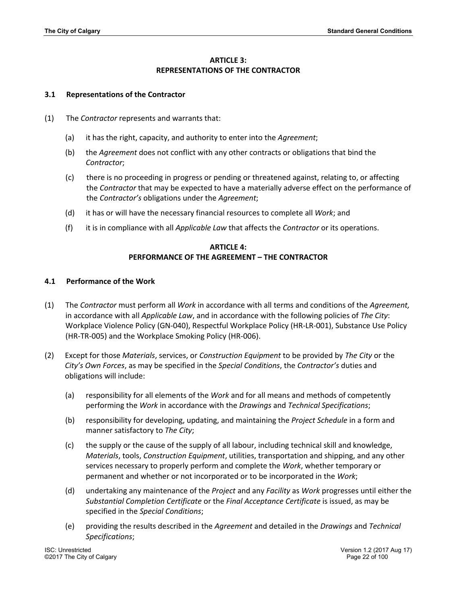# **ARTICLE 3: REPRESENTATIONS OF THE CONTRACTOR**

## **3.1 Representations of the Contractor**

- (1) The *Contractor* represents and warrants that:
	- (a) it has the right, capacity, and authority to enter into the *Agreement*;
	- (b) the *Agreement* does not conflict with any other contracts or obligations that bind the *Contractor*;
	- (c) there is no proceeding in progress or pending or threatened against, relating to, or affecting the *Contractor* that may be expected to have a materially adverse effect on the performance of the *Contractor's* obligations under the *Agreement*;
	- (d) it has or will have the necessary financial resources to complete all *Work*; and
	- (f) it is in compliance with all *Applicable Law* that affects the *Contractor* or its operations.

# **ARTICLE 4: PERFORMANCE OF THE AGREEMENT – THE CONTRACTOR**

## **4.1 Performance of the Work**

- (1) The *Contractor* must perform all *Work* in accordance with all terms and conditions of the *Agreement,* in accordance with all *Applicable Law*, and in accordance with the following policies of *The City*: Workplace Violence Policy (GN-040), Respectful Workplace Policy (HR-LR-001), Substance Use Policy (HR-TR-005) and the Workplace Smoking Policy (HR-006).
- (2) Except for those *Materials*, services, or *Construction Equipment* to be provided by *The City* or the *City's Own Forces*, as may be specified in the *Special Conditions*, the *Contractor's* duties and obligations will include:
	- (a) responsibility for all elements of the *Work* and for all means and methods of competently performing the *Work* in accordance with the *Drawings* and *Technical Specifications*;
	- (b) responsibility for developing, updating, and maintaining the *Project Schedule* in a form and manner satisfactory to *The City*;
	- (c) the supply or the cause of the supply of all labour, including technical skill and knowledge, *Materials*, tools, *Construction Equipment*, utilities, transportation and shipping, and any other services necessary to properly perform and complete the *Work*, whether temporary or permanent and whether or not incorporated or to be incorporated in the *Work*;
	- (d) undertaking any maintenance of the *Project* and any *Facility* as *Work* progresses until either the *Substantial Completion Certificate* or the *Final Acceptance Certificate* is issued, as may be specified in the *Special Conditions*;
	- (e) providing the results described in the *Agreement* and detailed in the *Drawings* and *Technical Specifications*;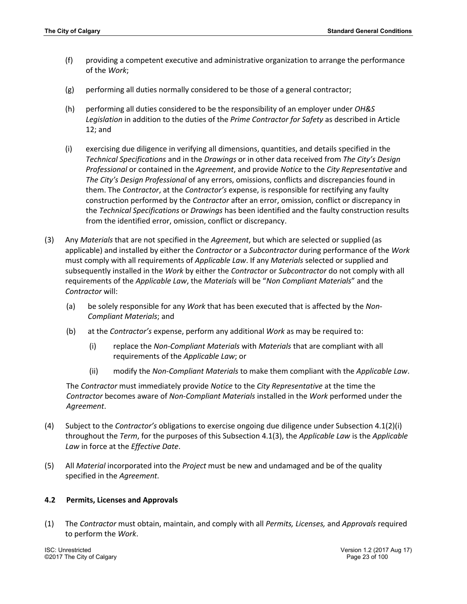- (f) providing a competent executive and administrative organization to arrange the performance of the *Work*;
- (g) performing all duties normally considered to be those of a general contractor;
- (h) performing all duties considered to be the responsibility of an employer under *OH&S Legislation* in addition to the duties of the *Prime Contractor for Safety* as described in Article 12; and
- (i) exercising due diligence in verifying all dimensions, quantities, and details specified in the *Technical Specifications* and in the *Drawings* or in other data received from *The City's Design Professional* or contained in the *Agreement*, and provide *Notice* to the *City Representative* and *The City's Design Professional* of any errors, omissions, conflicts and discrepancies found in them. The *Contractor*, at the *Contractor's* expense, is responsible for rectifying any faulty construction performed by the *Contractor* after an error, omission, conflict or discrepancy in the *Technical Specifications* or *Drawings* has been identified and the faulty construction results from the identified error, omission, conflict or discrepancy.
- (3) Any *Materials* that are not specified in the *Agreement*, but which are selected or supplied (as applicable) and installed by either the *Contractor* or a *Subcontractor* during performance of the *Work* must comply with all requirements of *Applicable Law*. If any *Materials* selected or supplied and subsequently installed in the *Work* by either the *Contractor* or *Subcontractor* do not comply with all requirements of the *Applicable Law*, the *Materials* will be "*Non Compliant Materials*" and the *Contractor* will:
	- (a) be solely responsible for any *Work* that has been executed that is affected by the *Non-Compliant Materials*; and
	- (b) at the *Contractor's* expense, perform any additional *Work* as may be required to:
		- (i) replace the *Non-Compliant Materials* with *Materials* that are compliant with all requirements of the *Applicable Law*; or
		- (ii) modify the *Non-Compliant Materials* to make them compliant with the *Applicable Law*.

The *Contractor* must immediately provide *Notice* to the *City Representative* at the time the *Contractor* becomes aware of *Non-Compliant Materials* installed in the *Work* performed under the *Agreement*.

- (4) Subject to the *Contractor's* obligations to exercise ongoing due diligence under Subsection 4.1(2)(i) throughout the *Term*, for the purposes of this Subsection 4.1(3), the *Applicable Law* is the *Applicable Law* in force at the *Effective Date*.
- (5) All *Material* incorporated into the *Project* must be new and undamaged and be of the quality specified in the *Agreement*.

#### **4.2 Permits, Licenses and Approvals**

(1) The *Contractor* must obtain, maintain, and comply with all *Permits, Licenses,* and *Approvals* required to perform the *Work*.

©2017 The City of Calgary Page 23 of 100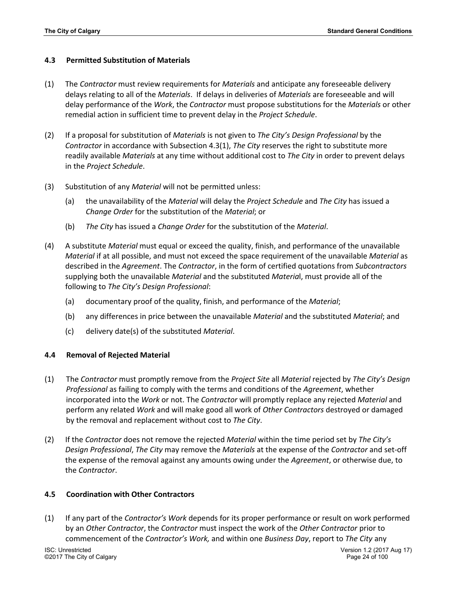# **4.3 Permitted Substitution of Materials**

- (1) The *Contractor* must review requirements for *Materials* and anticipate any foreseeable delivery delays relating to all of the *Materials*. If delays in deliveries of *Materials* are foreseeable and will delay performance of the *Work*, the *Contractor* must propose substitutions for the *Materials* or other remedial action in sufficient time to prevent delay in the *Project Schedule*.
- (2) If a proposal for substitution of *Materials* is not given to *The City's Design Professional* by the *Contractor* in accordance with Subsection 4.3(1), *The City* reserves the right to substitute more readily available *Materials* at any time without additional cost to *The City* in order to prevent delays in the *Project Schedule*.
- (3) Substitution of any *Material* will not be permitted unless:
	- (a) the unavailability of the *Material* will delay the *Project Schedule* and *The City* has issued a *Change Order* for the substitution of the *Material*; or
	- (b) *The City* has issued a *Change Order* for the substitution of the *Material*.
- (4) A substitute *Material* must equal or exceed the quality, finish, and performance of the unavailable *Material* if at all possible, and must not exceed the space requirement of the unavailable *Material* as described in the *Agreement*. The *Contractor*, in the form of certified quotations from *Subcontractors* supplying both the unavailable *Material* and the substituted *Materia*l, must provide all of the following to *The City's Design Professional*:
	- (a) documentary proof of the quality, finish, and performance of the *Material*;
	- (b) any differences in price between the unavailable *Material* and the substituted *Material*; and
	- (c) delivery date(s) of the substituted *Material*.

# **4.4 Removal of Rejected Material**

- (1) The *Contractor* must promptly remove from the *Project Site* all *Material* rejected by *The City's Design Professional* as failing to comply with the terms and conditions of the *Agreement*, whether incorporated into the *Work* or not. The *Contractor* will promptly replace any rejected *Material* and perform any related *Work* and will make good all work of *Other Contractors* destroyed or damaged by the removal and replacement without cost to *The City*.
- (2) If the *Contractor* does not remove the rejected *Material* within the time period set by *The City's Design Professional*, *The City* may remove the *Materials* at the expense of the *Contractor* and set-off the expense of the removal against any amounts owing under the *Agreement*, or otherwise due, to the *Contractor*.

# **4.5 Coordination with Other Contractors**

(1) If any part of the *Contractor's Work* depends for its proper performance or result on work performed by an *Other Contractor*, the *Contractor* must inspect the work of the *Other Contractor* prior to commencement of the *Contractor's Work,* and within one *Business Day*, report to *The City* any

©2017 The City of Calgary Page 24 of 100

ISC: Unrestricted Version 1.2 (2017 Aug 17)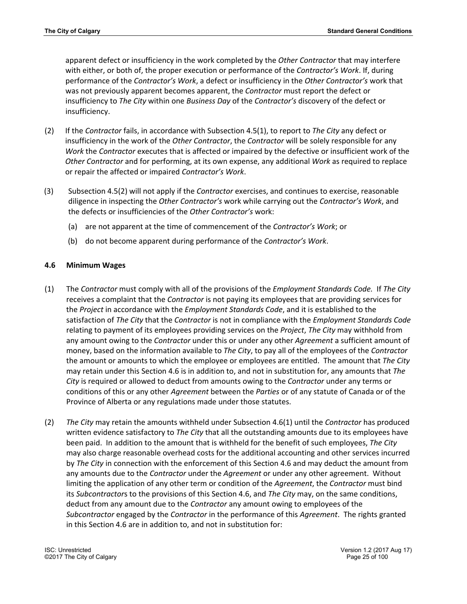apparent defect or insufficiency in the work completed by the *Other Contractor* that may interfere with either, or both of, the proper execution or performance of the *Contractor's Work*. If, during performance of the *Contractor's Work*, a defect or insufficiency in the *Other Contractor's* work that was not previously apparent becomes apparent, the *Contractor* must report the defect or insufficiency to *The City* within one *Business Day* of the *Contractor's* discovery of the defect or insufficiency.

- (2) If the *Contractor* fails, in accordance with Subsection 4.5(1), to report to *The City* any defect or insufficiency in the work of the *Other Contractor*, the *Contractor* will be solely responsible for any *Work* the *Contractor* executes that is affected or impaired by the defective or insufficient work of the *Other Contractor* and for performing, at its own expense, any additional *Work* as required to replace or repair the affected or impaired *Contractor's Work*.
- (3) Subsection 4.5(2) will not apply if the *Contractor* exercises, and continues to exercise, reasonable diligence in inspecting the *Other Contractor's* work while carrying out the *Contractor's Work*, and the defects or insufficiencies of the *Other Contractor's* work:
	- (a) are not apparent at the time of commencement of the *Contractor's Work*; or
	- (b) do not become apparent during performance of the *Contractor's Work*.

# **4.6 Minimum Wages**

- (1) The *Contractor* must comply with all of the provisions of the *Employment Standards Code.* If *The City* receives a complaint that the *Contractor* is not paying its employees that are providing services for the *Project* in accordance with the *Employment Standards Code*, and it is established to the satisfaction of *The City* that the *Contractor* is not in compliance with the *Employment Standards Code* relating to payment of its employees providing services on the *Project*, *The City* may withhold from any amount owing to the *Contractor* under this or under any other *Agreement* a sufficient amount of money, based on the information available to *The City*, to pay all of the employees of the *Contractor* the amount or amounts to which the employee or employees are entitled. The amount that *The City* may retain under this Section 4.6 is in addition to, and not in substitution for, any amounts that *The City* is required or allowed to deduct from amounts owing to the *Contractor* under any terms or conditions of this or any other *Agreement* between the *Parties* or of any statute of Canada or of the Province of Alberta or any regulations made under those statutes.
- (2) *The City* may retain the amounts withheld under Subsection 4.6(1) until the *Contractor* has produced written evidence satisfactory to *The City* that all the outstanding amounts due to its employees have been paid. In addition to the amount that is withheld for the benefit of such employees, *The City* may also charge reasonable overhead costs for the additional accounting and other services incurred by *The City* in connection with the enforcement of this Section 4.6 and may deduct the amount from any amounts due to the *Contractor* under the *Agreement* or under any other agreement. Without limiting the application of any other term or condition of the *Agreement*, the *Contractor* must bind its *Subcontractor*s to the provisions of this Section 4.6, and *The City* may, on the same conditions, deduct from any amount due to the *Contractor* any amount owing to employees of the *Subcontractor* engaged by the *Contractor* in the performance of this *Agreement*. The rights granted in this Section 4.6 are in addition to, and not in substitution for: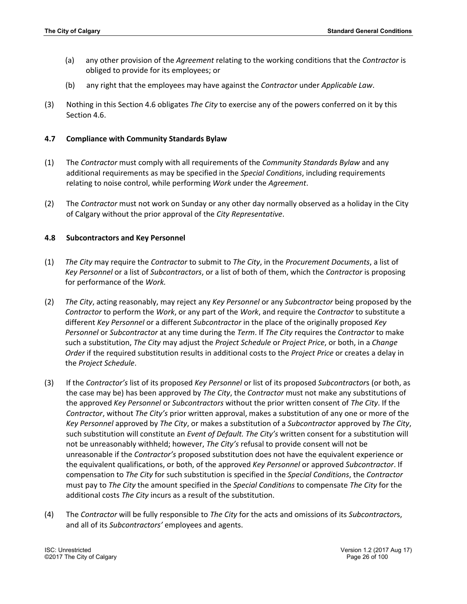- (a) any other provision of the *Agreement* relating to the working conditions that the *Contractor* is obliged to provide for its employees; or
- (b) any right that the employees may have against the *Contractor* under *Applicable Law*.
- (3) Nothing in this Section 4.6 obligates *The City* to exercise any of the powers conferred on it by this Section 4.6.

## **4.7 Compliance with Community Standards Bylaw**

- (1) The *Contractor* must comply with all requirements of the *Community Standards Bylaw* and any additional requirements as may be specified in the *Special Conditions*, including requirements relating to noise control, while performing *Work* under the *Agreement*.
- (2) The *Contractor* must not work on Sunday or any other day normally observed as a holiday in the City of Calgary without the prior approval of the *City Representative*.

## **4.8 Subcontractors and Key Personnel**

- (1) *The City* may require the *Contractor* to submit to *The City*, in the *Procurement Documents*, a list of *Key Personnel* or a list of *Subcontractors*, or a list of both of them, which the *Contractor* is proposing for performance of the *Work.*
- (2) *The City*, acting reasonably, may reject any *Key Personnel* or any *Subcontractor* being proposed by the *Contractor* to perform the *Work*, or any part of the *Work*, and require the *Contractor* to substitute a different *Key Personnel* or a different *Subcontractor* in the place of the originally proposed *Key Personnel* or *Subcontractor* at any time during the *Term*. If *The City* requires the *Contractor* to make such a substitution, *The City* may adjust the *Project Schedule* or *Project Price*, or both, in a *Change Order* if the required substitution results in additional costs to the *Project Price* or creates a delay in the *Project Schedule*.
- (3) If the *Contractor's* list of its proposed *Key Personnel* or list of its proposed *Subcontractor*s (or both, as the case may be) has been approved by *The City*, the *Contractor* must not make any substitutions of the approved *Key Personnel* or *Subcontractors* without the prior written consent of *The City*. If the *Contractor*, without *The City's* prior written approval, makes a substitution of any one or more of the *Key Personnel* approved by *The City*, or makes a substitution of a *Subcontracto*r approved by *The City*, such substitution will constitute an *Event of Default. The City's* written consent for a substitution will not be unreasonably withheld; however, *The City's* refusal to provide consent will not be unreasonable if the *Contractor's* proposed substitution does not have the equivalent experience or the equivalent qualifications, or both, of the approved *Key Personnel* or approved *Subcontractor*. If compensation to *The City* for such substitution is specified in the *Special Conditions*, the *Contractor* must pay to *The City* the amount specified in the *Special Conditions* to compensate *The City* for the additional costs *The City* incurs as a result of the substitution.
- (4) The *Contractor* will be fully responsible to *The City* for the acts and omissions of its *Subcontractor*s, and all of its *Subcontractors'* employees and agents.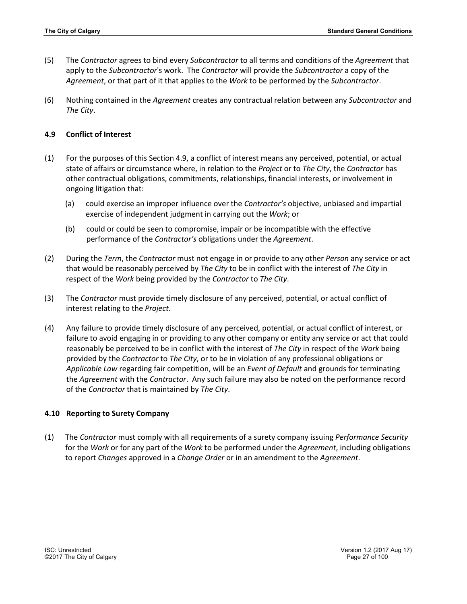- (5) The *Contractor* agrees to bind every *Subcontractor* to all terms and conditions of the *Agreement* that apply to the *Subcontractor*'s work. The *Contractor* will provide the *Subcontractor* a copy of the *Agreement*, or that part of it that applies to the *Work* to be performed by the *Subcontractor*.
- (6) Nothing contained in the *Agreement* creates any contractual relation between any *Subcontractor* and *The City*.

## **4.9 Conflict of Interest**

- (1) For the purposes of this Section 4.9, a conflict of interest means any perceived, potential, or actual state of affairs or circumstance where, in relation to the *Project* or to *The City*, the *Contractor* has other contractual obligations, commitments, relationships, financial interests, or involvement in ongoing litigation that:
	- (a) could exercise an improper influence over the *Contractor's* objective, unbiased and impartial exercise of independent judgment in carrying out the *Work*; or
	- (b) could or could be seen to compromise, impair or be incompatible with the effective performance of the *Contractor's* obligations under the *Agreement*.
- (2) During the *Term*, the *Contractor* must not engage in or provide to any other *Person* any service or act that would be reasonably perceived by *The City* to be in conflict with the interest of *The City* in respect of the *Work* being provided by the *Contractor* to *The City*.
- (3) The *Contractor* must provide timely disclosure of any perceived, potential, or actual conflict of interest relating to the *Project*.
- (4) Any failure to provide timely disclosure of any perceived, potential, or actual conflict of interest, or failure to avoid engaging in or providing to any other company or entity any service or act that could reasonably be perceived to be in conflict with the interest of *The City* in respect of the *Work* being provided by the *Contractor* to *The City*, or to be in violation of any professional obligations or *Applicable Law* regarding fair competition, will be an *Event of Default* and grounds for terminating the *Agreement* with the *Contractor*. Any such failure may also be noted on the performance record of the *Contractor* that is maintained by *The City*.

#### **4.10 Reporting to Surety Company**

(1) The *Contractor* must comply with all requirements of a surety company issuing *Performance Security* for the *Work* or for any part of the *Work* to be performed under the *Agreement*, including obligations to report *Changes* approved in a *Change Order* or in an amendment to the *Agreement*.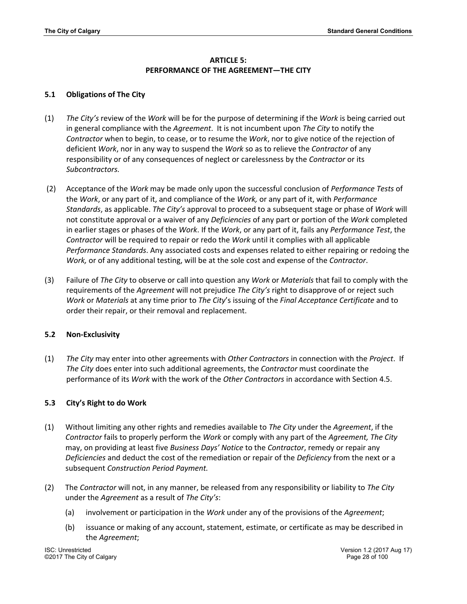# **ARTICLE 5: PERFORMANCE OF THE AGREEMENT—THE CITY**

# **5.1 Obligations of The City**

- (1) *The City's* review of the *Work* will be for the purpose of determining if the *Work* is being carried out in general compliance with the *Agreement*. It is not incumbent upon *The City* to notify the *Contractor* when to begin, to cease, or to resume the *Work*, nor to give notice of the rejection of deficient *Work*, nor in any way to suspend the *Work* so as to relieve the *Contractor* of any responsibility or of any consequences of neglect or carelessness by the *Contractor* or its *Subcontractors.*
- (2) Acceptance of the *Work* may be made only upon the successful conclusion of *Performance Tests* of the *Work*, or any part of it, and compliance of the *Work,* or any part of it, with *Performance Standards*, as applicable. *The City's* approval to proceed to a subsequent stage or phase of *Work* will not constitute approval or a waiver of any *Deficiencies* of any part or portion of the *Work* completed in earlier stages or phases of the *Work*. If the *Work*, or any part of it, fails any *Performance Test*, the *Contractor* will be required to repair or redo the *Work* until it complies with all applicable *Performance Standards*. Any associated costs and expenses related to either repairing or redoing the *Work,* or of any additional testing, will be at the sole cost and expense of the *Contractor*.
- (3) Failure of *The City* to observe or call into question any *Work* or *Materials* that fail to comply with the requirements of the *Agreement* will not prejudice *The City's* right to disapprove of or reject such *Work* or *Materials* at any time prior to *The City*'s issuing of the *Final Acceptance Certificate* and to order their repair, or their removal and replacement.

# **5.2 Non-Exclusivity**

(1) *The City* may enter into other agreements with *Other Contractors* in connection with the *Project*. If *The City* does enter into such additional agreements, the *Contractor* must coordinate the performance of its *Work* with the work of the *Other Contractors* in accordance with Section 4.5.

# **5.3 City's Right to do Work**

- (1) Without limiting any other rights and remedies available to *The City* under the *Agreement*, if the *Contractor* fails to properly perform the *Work* or comply with any part of the *Agreement, The City* may, on providing at least five *Business Days' Notice* to the *Contractor*, remedy or repair any *Deficiencies* and deduct the cost of the remediation or repair of the *Deficiency* from the next or a subsequent *Construction Period Payment.*
- (2) The *Contractor* will not, in any manner, be released from any responsibility or liability to *The City* under the *Agreement* as a result of *The City's*:
	- (a) involvement or participation in the *Work* under any of the provisions of the *Agreement*;
	- (b) issuance or making of any account, statement, estimate, or certificate as may be described in the *Agreement*;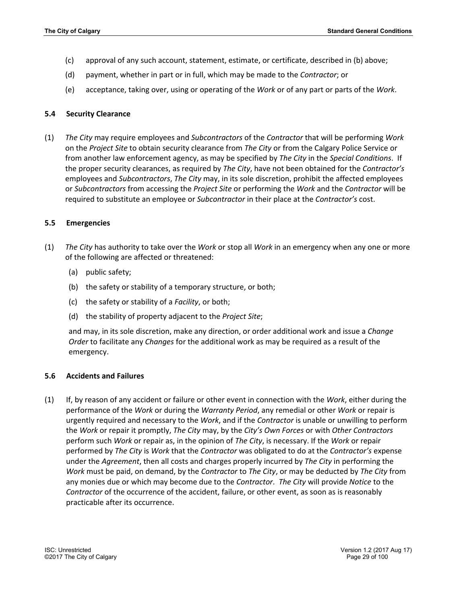- (c) approval of any such account, statement, estimate, or certificate, described in (b) above;
- (d) payment, whether in part or in full, which may be made to the *Contractor*; or
- (e) acceptance, taking over, using or operating of the *Work* or of any part or parts of the *Work*.

## **5.4 Security Clearance**

(1) *The City* may require employees and *Subcontractors* of the *Contractor* that will be performing *Work* on the *Project Site* to obtain security clearance from *The City* or from the Calgary Police Service or from another law enforcement agency, as may be specified by *The City* in the *Special Conditions*. If the proper security clearances, as required by *The City*, have not been obtained for the *Contractor's* employees and *Subcontractors*, *The City* may, in its sole discretion, prohibit the affected employees or *Subcontractors* from accessing the *Project Site* or performing the *Work* and the *Contractor* will be required to substitute an employee or *Subcontractor* in their place at the *Contractor's* cost.

## **5.5 Emergencies**

- (1) *The City* has authority to take over the *Work* or stop all *Work* in an emergency when any one or more of the following are affected or threatened:
	- (a) public safety;
	- (b) the safety or stability of a temporary structure, or both;
	- (c) the safety or stability of a *Facility*, or both;
	- (d) the stability of property adjacent to the *Project Site*;

and may, in its sole discretion, make any direction, or order additional work and issue a *Change Order* to facilitate any *Changes* for the additional work as may be required as a result of the emergency.

#### **5.6 Accidents and Failures**

(1) If, by reason of any accident or failure or other event in connection with the *Work*, either during the performance of the *Work* or during the *Warranty Period*, any remedial or other *Work* or repair is urgently required and necessary to the *Work*, and if the *Contractor* is unable or unwilling to perform the *Work* or repair it promptly, *The City* may, by the *City's Own Forces* or with *Other Contractors* perform such *Work* or repair as, in the opinion of *The City*, is necessary. If the *Work* or repair performed by *The City* is *Work* that the *Contractor* was obligated to do at the *Contractor's* expense under the *Agreement*, then all costs and charges properly incurred by *The City* in performing the *Work* must be paid, on demand, by the *Contractor* to *The City*, or may be deducted by *The City* from any monies due or which may become due to the *Contractor*. *The City* will provide *Notice* to the *Contractor* of the occurrence of the accident, failure, or other event, as soon as is reasonably practicable after its occurrence.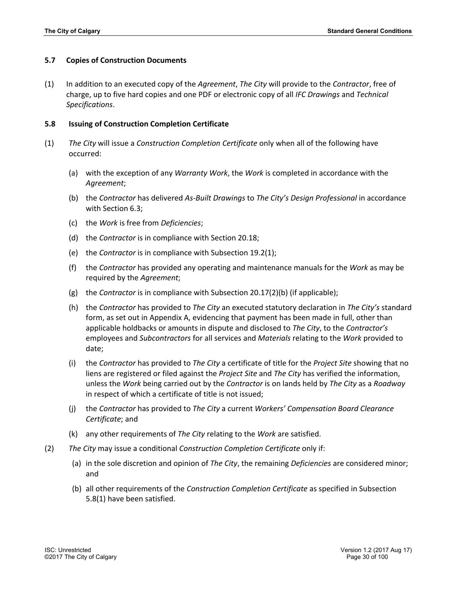#### **5.7 Copies of Construction Documents**

(1) In addition to an executed copy of the *Agreement*, *The City* will provide to the *Contractor*, free of charge, up to five hard copies and one PDF or electronic copy of all *IFC Drawings* and *Technical Specifications*.

#### **5.8 Issuing of Construction Completion Certificate**

- (1) *The City* will issue a *Construction Completion Certificate* only when all of the following have occurred:
	- (a) with the exception of any *Warranty Work*, the *Work* is completed in accordance with the *Agreement*;
	- (b) the *Contractor* has delivered *As-Built Drawings* to *The City's Design Professional* in accordance with Section 6.3;
	- (c) the *Work* is free from *Deficiencies*;
	- (d) the *Contractor* is in compliance with Section 20.18;
	- (e) the *Contractor* is in compliance with Subsection 19.2(1);
	- (f) the *Contractor* has provided any operating and maintenance manuals for the *Work* as may be required by the *Agreement*;
	- (g) the *Contractor* is in compliance with Subsection 20.17(2)(b) (if applicable);
	- (h) the *Contractor* has provided to *The City* an executed statutory declaration in *The City's* standard form, as set out in Appendix A, evidencing that payment has been made in full, other than applicable holdbacks or amounts in dispute and disclosed to *The City*, to the *Contractor's*  employees and *Subcontractors* for all services and *Materials* relating to the *Work* provided to date;
	- (i) the *Contractor* has provided to *The City* a certificate of title for the *Project Site* showing that no liens are registered or filed against the *Project Site* and *The City* has verified the information, unless the *Work* being carried out by the *Contractor* is on lands held by *The City* as a *Roadway* in respect of which a certificate of title is not issued;
	- (j) the *Contractor* has provided to *The City* a current *Workers' Compensation Board Clearance Certificate*; and
	- (k) any other requirements of *The City* relating to the *Work* are satisfied.
- (2) *The City* may issue a conditional *Construction Completion Certificate* only if:
	- (a) in the sole discretion and opinion of *The City*, the remaining *Deficiencies* are considered minor; and
	- (b) all other requirements of the *Construction Completion Certificate* as specified in Subsection 5.8(1) have been satisfied.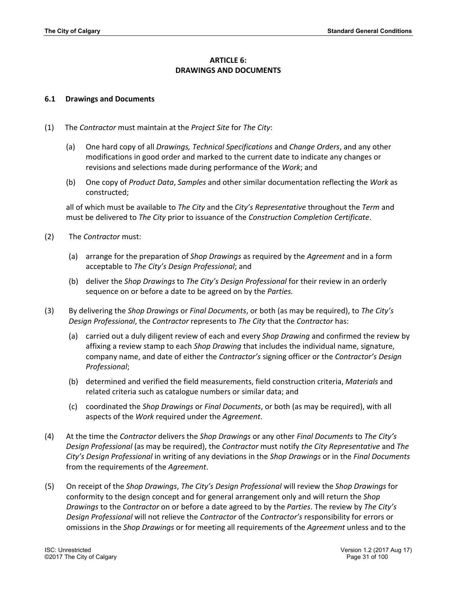# **ARTICLE 6: DRAWINGS AND DOCUMENTS**

## **6.1 Drawings and Documents**

- (1) The *Contractor* must maintain at the *Project Site* for *The City*:
	- (a) One hard copy of all *Drawings, Technical Specifications* and *Change Orders*, and any other modifications in good order and marked to the current date to indicate any changes or revisions and selections made during performance of the *Work*; and
	- (b) One copy of *Product Data*, *Samples* and other similar documentation reflecting the *Work* as constructed;

all of which must be available to *The City* and the *City's Representative* throughout the *Term* and must be delivered to *The City* prior to issuance of the *Construction Completion Certificate*.

- (2) The *Contractor* must:
	- (a) arrange for the preparation of *Shop Drawings* as required by the *Agreement* and in a form acceptable to *The City's Design Professional*; and
	- (b) deliver the *Shop Drawings* to *The City's Design Professional* for their review in an orderly sequence on or before a date to be agreed on by the *Parties.*
- (3) By delivering the *Shop Drawings* or *Final Documents*, or both (as may be required), to *The City's Design Professional*, the *Contractor* represents to *The City* that the *Contractor* has:
	- (a) carried out a duly diligent review of each and every *Shop Drawing* and confirmed the review by affixing a review stamp to each *Shop Drawing* that includes the individual name, signature, company name, and date of either the *Contractor's* signing officer or the *Contractor's Design Professional*;
	- (b) determined and verified the field measurements, field construction criteria, *Materials* and related criteria such as catalogue numbers or similar data; and
	- (c) coordinated the *Shop Drawings* or *Final Documents*, or both (as may be required), with all aspects of the *Work* required under the *Agreement*.
- (4) At the time the *Contractor* delivers the *Shop Drawings* or any other *Final Documents* to *The City's Design Professional* (as may be required), the *Contractor* must notify *the City Representative* and *The City's Design Professional* in writing of any deviations in the *Shop Drawings* or in the *Final Documents* from the requirements of the *Agreement*.
- (5) On receipt of the *Shop Drawings*, *The City's Design Professional* will review the *Shop Drawings* for conformity to the design concept and for general arrangement only and will return the *Shop Drawings* to the *Contractor* on or before a date agreed to by the *Parties*. The review by *The City's Design Professional* will not relieve the *Contractor* of the *Contractor's* responsibility for errors or omissions in the *Shop Drawings* or for meeting all requirements of the *Agreement* unless and to the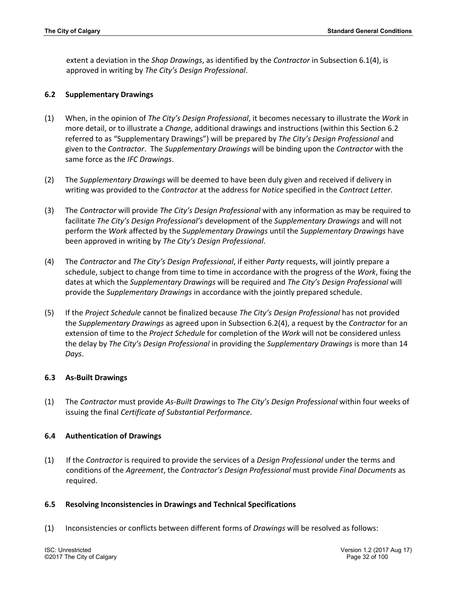extent a deviation in the *Shop Drawings*, as identified by the *Contractor* in Subsection 6.1(4), is approved in writing by *The City's Design Professional*.

#### **6.2 Supplementary Drawings**

- (1) When, in the opinion of *The City's Design Professional*, it becomes necessary to illustrate the *Work* in more detail, or to illustrate a *Change*, additional drawings and instructions (within this Section 6.2 referred to as "Supplementary Drawings") will be prepared by *The City's Design Professional* and given to the *Contractor*. The *Supplementary Drawings* will be binding upon the *Contractor* with the same force as the *IFC Drawings*.
- (2) The *Supplementary Drawings* will be deemed to have been duly given and received if delivery in writing was provided to the *Contractor* at the address for *Notice* specified in the *Contract Letter*.
- (3) The *Contractor* will provide *The City's Design Professional* with any information as may be required to facilitate *The City's Design Professional's* development of the *Supplementary Drawings* and will not perform the *Work* affected by the *Supplementary Drawings* until the *Supplementary Drawings* have been approved in writing by *The City's Design Professional*.
- (4) The *Contractor* and *The City's Design Professional*, if either *Party* requests, will jointly prepare a schedule, subject to change from time to time in accordance with the progress of the *Work*, fixing the dates at which the *Supplementary Drawings* will be required and *The City's Design Professional* will provide the *Supplementary Drawings* in accordance with the jointly prepared schedule.
- (5) If the *Project Schedule* cannot be finalized because *The City's Design Professional* has not provided the *Supplementary Drawings* as agreed upon in Subsection 6.2(4), a request by the *Contractor* for an extension of time to the *Project Schedule* for completion of the *Work* will not be considered unless the delay by *The City's Design Professional* in providing the *Supplementary Drawings* is more than 14 *Days*.

# **6.3 As-Built Drawings**

(1) The *Contractor* must provide *As-Built Drawings* to *The City's Design Professional* within four weeks of issuing the final *Certificate of Substantial Performance*.

#### **6.4 Authentication of Drawings**

(1) If the *Contractor* is required to provide the services of a *Design Professional* under the terms and conditions of the *Agreement*, the *Contractor's Design Professional* must provide *Final Documents* as required.

#### **6.5 Resolving Inconsistencies in Drawings and Technical Specifications**

(1) Inconsistencies or conflicts between different forms of *Drawings* will be resolved as follows: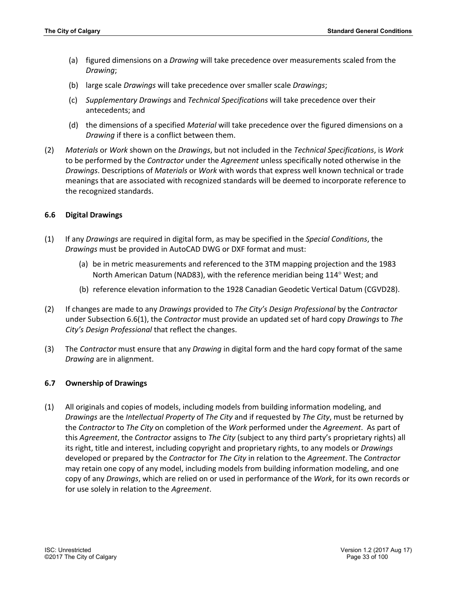- (a) figured dimensions on a *Drawing* will take precedence over measurements scaled from the *Drawing*;
- (b) large scale *Drawings* will take precedence over smaller scale *Drawings*;
- (c) *Supplementary Drawings* and *Technical Specifications* will take precedence over their antecedents; and
- (d) the dimensions of a specified *Material* will take precedence over the figured dimensions on a *Drawing* if there is a conflict between them.
- (2) *Materials* or *Work* shown on the *Drawings*, but not included in the *Technical Specifications*, is *Work* to be performed by the *Contractor* under the *Agreement* unless specifically noted otherwise in the *Drawings*. Descriptions of *Materials* or *Work* with words that express well known technical or trade meanings that are associated with recognized standards will be deemed to incorporate reference to the recognized standards.

## **6.6 Digital Drawings**

- (1) If any *Drawings* are required in digital form, as may be specified in the *Special Conditions*, the *Drawings* must be provided in AutoCAD DWG or DXF format and must:
	- (a) be in metric measurements and referenced to the 3TM mapping projection and the 1983 North American Datum (NAD83), with the reference meridian being 114° West; and
	- (b) reference elevation information to the 1928 Canadian Geodetic Vertical Datum (CGVD28).
- (2) If changes are made to any *Drawings* provided to *The City's Design Professional* by the *Contractor* under Subsection 6.6(1), the *Contractor* must provide an updated set of hard copy *Drawings* to *The City's Design Professional* that reflect the changes.
- (3) The *Contractor* must ensure that any *Drawing* in digital form and the hard copy format of the same *Drawing* are in alignment.

#### **6.7 Ownership of Drawings**

(1) All originals and copies of models, including models from building information modeling, and *Drawings* are the *Intellectual Property* of *The City* and if requested by *The City*, must be returned by the *Contractor* to *The City* on completion of the *Work* performed under the *Agreement*. As part of this *Agreement*, the *Contractor* assigns to *The City* (subject to any third party's proprietary rights) all its right, title and interest, including copyright and proprietary rights, to any models or *Drawings* developed or prepared by the *Contractor* for *The City* in relation to the *Agreement*. The *Contractor* may retain one copy of any model, including models from building information modeling, and one copy of any *Drawings*, which are relied on or used in performance of the *Work*, for its own records or for use solely in relation to the *Agreement*.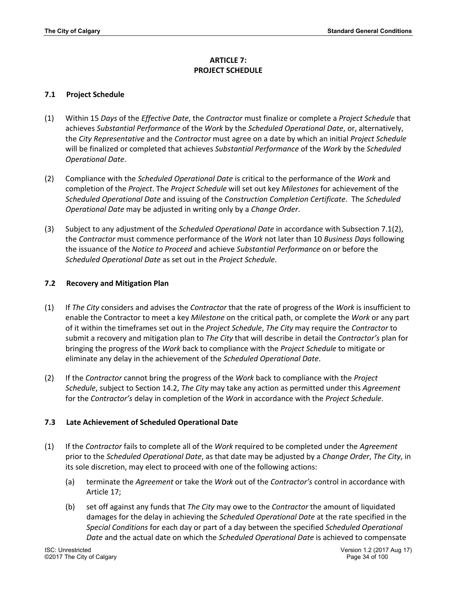# **ARTICLE 7: PROJECT SCHEDULE**

# **7.1 Project Schedule**

- (1) Within 15 *Days* of the *Effective Date*, the *Contractor* must finalize or complete a *Project Schedule* that achieves *Substantial Performance* of the *Work* by the *Scheduled Operational Date*, or, alternatively, the *City Representative* and the *Contractor* must agree on a date by which an initial *Project Schedule* will be finalized or completed that achieves *Substantial Performance* of the *Work* by the *Scheduled Operational Date*.
- (2) Compliance with the *Scheduled Operational Date* is critical to the performance of the *Work* and completion of the *Project*. The *Project Schedule* will set out key *Milestones* for achievement of the *Scheduled Operational Date* and issuing of the *Construction Completion Certificate*. The *Scheduled Operational Date* may be adjusted in writing only by a *Change Order*.
- (3) Subject to any adjustment of the *Scheduled Operational Date* in accordance with Subsection 7.1(2), the *Contractor* must commence performance of the *Work* not later than 10 *Business Days* following the issuance of the *Notice to Proceed* and achieve *Substantial Performance* on or before the *Scheduled Operational Date* as set out in the *Project Schedule*.

# **7.2 Recovery and Mitigation Plan**

- (1) If *The City* considers and advises the *Contractor* that the rate of progress of the *Work* is insufficient to enable the Contractor to meet a key *Milestone* on the critical path, or complete the *Work* or any part of it within the timeframes set out in the *Project Schedule*, *The City* may require the *Contractor* to submit a recovery and mitigation plan to *The City* that will describe in detail the *Contractor's* plan for bringing the progress of the *Work* back to compliance with the *Project Schedule* to mitigate or eliminate any delay in the achievement of the *Scheduled Operational Date*.
- (2) If the *Contractor* cannot bring the progress of the *Work* back to compliance with the *Project Schedule*, subject to Section 14.2, *The City* may take any action as permitted under this *Agreement* for the *Contractor's* delay in completion of the *Work* in accordance with the *Project Schedule*.

# **7.3 Late Achievement of Scheduled Operational Date**

- (1) If the *Contractor* fails to complete all of the *Work* required to be completed under the *Agreement* prior to the *Scheduled Operational Date*, as that date may be adjusted by a *Change Order*, *The City*, in its sole discretion, may elect to proceed with one of the following actions:
	- (a) terminate the *Agreement* or take the *Work* out of the *Contractor's* control in accordance with Article 17;
	- (b) set off against any funds that *The City* may owe to the *Contractor* the amount of liquidated damages for the delay in achieving the *Scheduled Operational Date* at the rate specified in the *Special Conditions* for each day or part of a day between the specified *Scheduled Operational Date* and the actual date on which the *Scheduled Operational Date* is achieved to compensate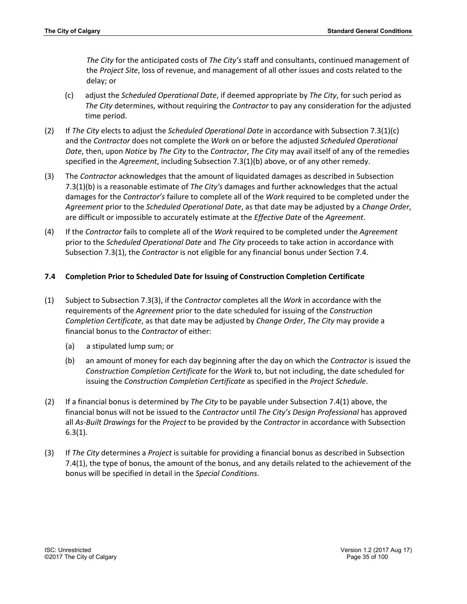*The City* for the anticipated costs of *The City's* staff and consultants, continued management of the *Project Site*, loss of revenue, and management of all other issues and costs related to the delay; or

- (c) adjust the *Scheduled Operational Date*, if deemed appropriate by *The City*, for such period as *The City* determines, without requiring the *Contractor* to pay any consideration for the adjusted time period.
- (2) If *The City* elects to adjust the *Scheduled Operational Date* in accordance with Subsection 7.3(1)(c) and the *Contractor* does not complete the *Work* on or before the adjusted *Scheduled Operational Date*, then, upon *Notice* by *The City* to the *Contractor*, *The City* may avail itself of any of the remedies specified in the *Agreement*, including Subsection 7.3(1)(b) above, or of any other remedy.
- (3) The *Contractor* acknowledges that the amount of liquidated damages as described in Subsection 7.3(1)(b) is a reasonable estimate of *The City's* damages and further acknowledges that the actual damages for the *Contractor's* failure to complete all of the *Work* required to be completed under the *Agreement* prior to the *Scheduled Operational Date*, as that date may be adjusted by a *Change Order*, are difficult or impossible to accurately estimate at the *Effective Date* of the *Agreement*.
- (4) If the *Contractor* fails to complete all of the *Work* required to be completed under the *Agreement* prior to the *Scheduled Operational Date* and *The City* proceeds to take action in accordance with Subsection 7.3(1), the *Contractor* is not eligible for any financial bonus under Section 7.4.

# **7.4 Completion Prior to Scheduled Date for Issuing of Construction Completion Certificate**

- (1) Subject to Subsection 7.3(3), if the *Contractor* completes all the *Work* in accordance with the requirements of the *Agreement* prior to the date scheduled for issuing of the *Construction Completion Certificate*, as that date may be adjusted by *Change Order*, *The City* may provide a financial bonus to the *Contractor* of either:
	- (a) a stipulated lump sum; or
	- (b) an amount of money for each day beginning after the day on which the *Contractor* is issued the *Construction Completion Certificate* for the *Work* to, but not including, the date scheduled for issuing the *Construction Completion Certificate* as specified in the *Project Schedule*.
- (2) If a financial bonus is determined by *The City* to be payable under Subsection 7.4(1) above, the financial bonus will not be issued to the *Contractor* until *The City's Design Professional* has approved all *As-Built Drawings* for the *Project* to be provided by the *Contractor* in accordance with Subsection 6.3(1)*.*
- (3) If *The City* determines a *Project* is suitable for providing a financial bonus as described in Subsection 7.4(1), the type of bonus, the amount of the bonus, and any details related to the achievement of the bonus will be specified in detail in the *Special Conditions*.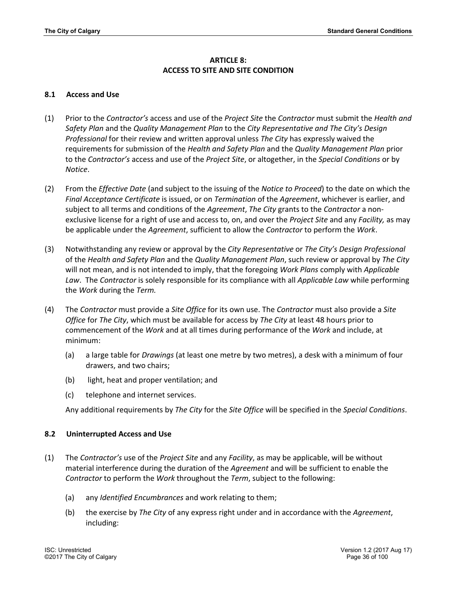# **ARTICLE 8: ACCESS TO SITE AND SITE CONDITION**

## **8.1 Access and Use**

- (1) Prior to the *Contractor's* access and use of the *Project Site* the *Contractor* must submit the *Health and Safety Plan* and the *Quality Management Plan* to the *City Representative and The City's Design Professional* for their review and written approval unless *The City* has expressly waived the requirements for submission of the *Health and Safety Plan* and the *Quality Management Plan* prior to the *Contractor's* access and use of the *Project Site*, or altogether, in the *Special Conditions* or by *Notice*.
- (2) From the *Effective Date* (and subject to the issuing of the *Notice to Proceed*) to the date on which the *Final Acceptance Certificate* is issued, or on *Termination* of the *Agreement*, whichever is earlier, and subject to all terms and conditions of the *Agreement*, *The City* grants to the *Contractor* a nonexclusive license for a right of use and access to, on, and over the *Project Site* and any *Facility,* as may be applicable under the *Agreement*, sufficient to allow the *Contractor* to perform the *Work*.
- (3) Notwithstanding any review or approval by the *City Representative* or *The City's Design Professional* of the *Health and Safety Plan* and the *Quality Management Plan*, such review or approval by *The City* will not mean, and is not intended to imply, that the foregoing *Work Plans* comply with *Applicable Law*. The *Contractor* is solely responsible for its compliance with all *Applicable Law* while performing the *Work* during the *Term.*
- (4) The *Contractor* must provide a *Site Office* for its own use. The *Contractor* must also provide a *Site Office* for *The City*, which must be available for access by *The City* at least 48 hours prior to commencement of the *Work* and at all times during performance of the *Work* and include, at minimum:
	- (a) a large table for *Drawings* (at least one metre by two metres), a desk with a minimum of four drawers, and two chairs;
	- (b) light, heat and proper ventilation; and
	- (c) telephone and internet services.

Any additional requirements by *The City* for the *Site Office* will be specified in the *Special Conditions*.

# **8.2 Uninterrupted Access and Use**

- (1) The *Contractor's* use of the *Project Site* and any *Facility*, as may be applicable, will be without material interference during the duration of the *Agreement* and will be sufficient to enable the *Contractor* to perform the *Work* throughout the *Term*, subject to the following:
	- (a) any *Identified Encumbrances* and work relating to them;
	- (b) the exercise by *The City* of any express right under and in accordance with the *Agreement*, including: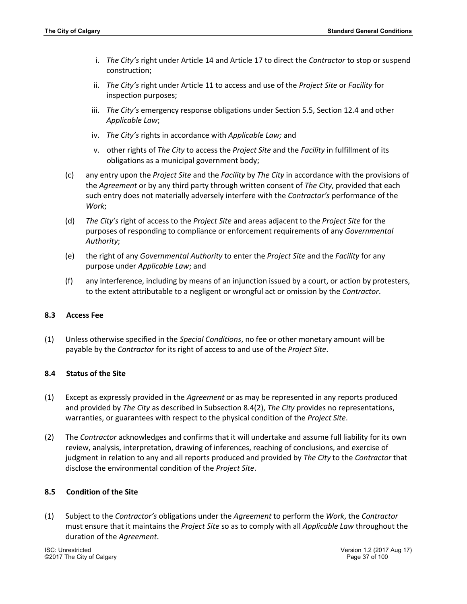- i. *The City's* right under Article 14 and Article 17 to direct the *Contractor* to stop or suspend construction;
- ii. *The City's* right under Article 11 to access and use of the *Project Site* or *Facility* for inspection purposes;
- iii. *The City's* emergency response obligations under Section 5.5, Section 12.4 and other *Applicable Law*;
- iv. *The City's* rights in accordance with *Applicable Law;* and
- v. other rights of *The City* to access the *Project Site* and the *Facility* in fulfillment of its obligations as a municipal government body;
- (c) any entry upon the *Project Site* and the *Facility* by *The City* in accordance with the provisions of the *Agreement* or by any third party through written consent of *The City*, provided that each such entry does not materially adversely interfere with the *Contractor's* performance of the *Work*;
- (d) *The City's* right of access to the *Project Site* and areas adjacent to the *Project Site* for the purposes of responding to compliance or enforcement requirements of any *Governmental Authority*;
- (e) the right of any *Governmental Authority* to enter the *Project Site* and the *Facility* for any purpose under *Applicable Law*; and
- (f) any interference, including by means of an injunction issued by a court, or action by protesters, to the extent attributable to a negligent or wrongful act or omission by the *Contractor*.

## **8.3 Access Fee**

(1) Unless otherwise specified in the *Special Conditions*, no fee or other monetary amount will be payable by the *Contractor* for its right of access to and use of the *Project Site*.

## **8.4 Status of the Site**

- (1) Except as expressly provided in the *Agreement* or as may be represented in any reports produced and provided by *The City* as described in Subsection 8.4(2), *The City* provides no representations, warranties, or guarantees with respect to the physical condition of the *Project Site*.
- (2) The *Contractor* acknowledges and confirms that it will undertake and assume full liability for its own review, analysis, interpretation, drawing of inferences, reaching of conclusions, and exercise of judgment in relation to any and all reports produced and provided by *The City* to the *Contractor* that disclose the environmental condition of the *Project Site*.

#### **8.5 Condition of the Site**

(1) Subject to the *Contractor's* obligations under the *Agreement* to perform the *Work*, the *Contractor* must ensure that it maintains the *Project Site* so as to comply with all *Applicable Law* throughout the duration of the *Agreement*.

©2017 The City of Calgary Page 37 of 100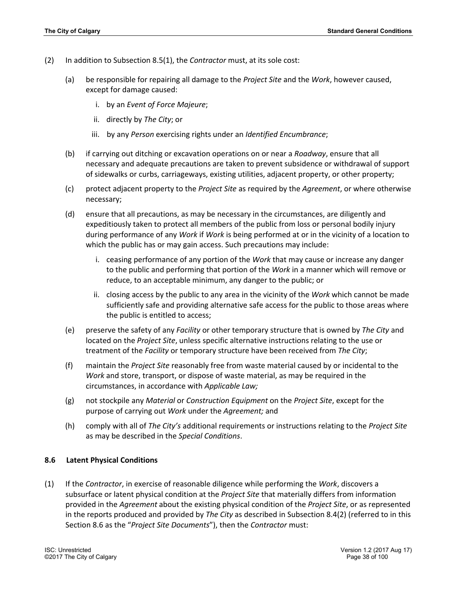- (2) In addition to Subsection 8.5(1), the *Contractor* must, at its sole cost:
	- (a) be responsible for repairing all damage to the *Project Site* and the *Work*, however caused, except for damage caused:
		- i. by an *Event of Force Majeure*;
		- ii. directly by *The City*; or
		- iii. by any *Person* exercising rights under an *Identified Encumbrance*;
	- (b) if carrying out ditching or excavation operations on or near a *Roadway*, ensure that all necessary and adequate precautions are taken to prevent subsidence or withdrawal of support of sidewalks or curbs, carriageways, existing utilities, adjacent property, or other property;
	- (c) protect adjacent property to the *Project Site* as required by the *Agreement*, or where otherwise necessary;
	- (d) ensure that all precautions, as may be necessary in the circumstances, are diligently and expeditiously taken to protect all members of the public from loss or personal bodily injury during performance of any *Work* if *Work* is being performed at or in the vicinity of a location to which the public has or may gain access. Such precautions may include:
		- i. ceasing performance of any portion of the *Work* that may cause or increase any danger to the public and performing that portion of the *Work* in a manner which will remove or reduce, to an acceptable minimum, any danger to the public; or
		- ii. closing access by the public to any area in the vicinity of the *Work* which cannot be made sufficiently safe and providing alternative safe access for the public to those areas where the public is entitled to access;
	- (e) preserve the safety of any *Facility* or other temporary structure that is owned by *The City* and located on the *Project Site*, unless specific alternative instructions relating to the use or treatment of the *Facility* or temporary structure have been received from *The City*;
	- (f) maintain the *Project Site* reasonably free from waste material caused by or incidental to the *Work* and store, transport, or dispose of waste material, as may be required in the circumstances, in accordance with *Applicable Law;*
	- (g) not stockpile any *Material* or *Construction Equipment* on the *Project Site*, except for the purpose of carrying out *Work* under the *Agreement;* and
	- (h) comply with all of *The City's* additional requirements or instructions relating to the *Project Site* as may be described in the *Special Conditions*.

#### **8.6 Latent Physical Conditions**

(1) If the *Contractor*, in exercise of reasonable diligence while performing the *Work*, discovers a subsurface or latent physical condition at the *Project Site* that materially differs from information provided in the *Agreement* about the existing physical condition of the *Project Site*, or as represented in the reports produced and provided by *The City* as described in Subsection 8.4(2) (referred to in this Section 8.6 as the "*Project Site Documents*"), then the *Contractor* must: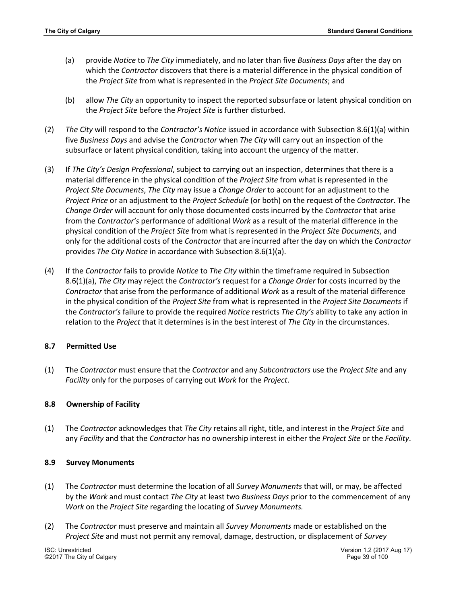- (a) provide *Notice* to *The City* immediately, and no later than five *Business Days* after the day on which the *Contractor* discovers that there is a material difference in the physical condition of the *Project Site* from what is represented in the *Project Site Documents*; and
- (b) allow *The City* an opportunity to inspect the reported subsurface or latent physical condition on the *Project Site* before the *Project Site* is further disturbed.
- (2) *The City* will respond to the *Contractor's Notice* issued in accordance with Subsection 8.6(1)(a) within five *Business Days* and advise the *Contractor* when *The City* will carry out an inspection of the subsurface or latent physical condition, taking into account the urgency of the matter.
- (3) If *The City's Design Professional*, subject to carrying out an inspection, determines that there is a material difference in the physical condition of the *Project Site* from what is represented in the *Project Site Documents*, *The City* may issue a *Change Order* to account for an adjustment to the *Project Price* or an adjustment to the *Project Schedule* (or both) on the request of the *Contractor*. The *Change Order* will account for only those documented costs incurred by the *Contractor* that arise from the *Contractor's* performance of additional *Work* as a result of the material difference in the physical condition of the *Project Site* from what is represented in the *Project Site Documents*, and only for the additional costs of the *Contractor* that are incurred after the day on which the *Contractor* provides *The City Notice* in accordance with Subsection 8.6(1)(a).
- (4) If the *Contractor* fails to provide *Notice* to *The City* within the timeframe required in Subsection 8.6(1)(a), *The City* may reject the *Contractor's* request for a *Change Order* for costs incurred by the *Contractor* that arise from the performance of additional *Work* as a result of the material difference in the physical condition of the *Project Site* from what is represented in the *Project Site Documents* if the *Contractor's* failure to provide the required *Notice* restricts *The City's* ability to take any action in relation to the *Project* that it determines is in the best interest of *The City* in the circumstances.

## **8.7 Permitted Use**

(1) The *Contractor* must ensure that the *Contractor* and any *Subcontractors* use the *Project Site* and any *Facility* only for the purposes of carrying out *Work* for the *Project*.

## **8.8 Ownership of Facility**

(1) The *Contractor* acknowledges that *The City* retains all right, title, and interest in the *Project Site* and any *Facility* and that the *Contractor* has no ownership interest in either the *Project Site* or the *Facility*.

## **8.9 Survey Monuments**

- (1) The *Contractor* must determine the location of all *Survey Monuments* that will, or may, be affected by the *Work* and must contact *The City* at least two *Business Days* prior to the commencement of any *Work* on the *Project Site* regarding the locating of *Survey Monuments.*
- (2) The *Contractor* must preserve and maintain all *Survey Monuments* made or established on the *Project Site* and must not permit any removal, damage, destruction, or displacement of *Survey*

©2017 The City of Calgary Page 39 of 100

ISC: Unrestricted Version 1.2 (2017 Aug 17)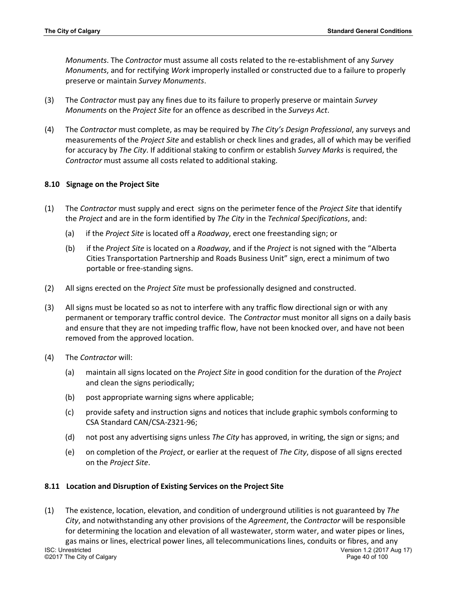*Monuments*. The *Contractor* must assume all costs related to the re-establishment of any *Survey Monuments*, and for rectifying *Work* improperly installed or constructed due to a failure to properly preserve or maintain *Survey Monuments*.

- (3) The *Contractor* must pay any fines due to its failure to properly preserve or maintain *Survey Monuments* on the *Project Site* for an offence as described in the *Surveys Act*.
- (4) The *Contractor* must complete, as may be required by *The City's Design Professional*, any surveys and measurements of the *Project Site* and establish or check lines and grades, all of which may be verified for accuracy by *The City*. If additional staking to confirm or establish *Survey Marks* is required, the *Contractor* must assume all costs related to additional staking.

### **8.10 Signage on the Project Site**

- (1) The *Contractor* must supply and erect signs on the perimeter fence of the *Project Site* that identify the *Project* and are in the form identified by *The City* in the *Technical Specifications*, and:
	- (a) if the *Project Site* is located off a *Roadway*, erect one freestanding sign; or
	- (b) if the *Project Site* is located on a *Roadway*, and if the *Project* is not signed with the "Alberta Cities Transportation Partnership and Roads Business Unit" sign, erect a minimum of two portable or free-standing signs.
- (2) All signs erected on the *Project Site* must be professionally designed and constructed.
- (3) All signs must be located so as not to interfere with any traffic flow directional sign or with any permanent or temporary traffic control device. The *Contractor* must monitor all signs on a daily basis and ensure that they are not impeding traffic flow, have not been knocked over, and have not been removed from the approved location.
- (4) The *Contractor* will:
	- (a) maintain all signs located on the *Project Site* in good condition for the duration of the *Project* and clean the signs periodically;
	- (b) post appropriate warning signs where applicable;
	- (c) provide safety and instruction signs and notices that include graphic symbols conforming to CSA Standard CAN/CSA-Z321-96;
	- (d) not post any advertising signs unless *The City* has approved, in writing, the sign or signs; and
	- (e) on completion of the *Project*, or earlier at the request of *The City*, dispose of all signs erected on the *Project Site*.

## **8.11 Location and Disruption of Existing Services on the Project Site**

ISC: Unrestricted Version 1.2 (2017 Aug 17) ©2017 The City of Calgary Page 40 of 100 (1) The existence, location, elevation, and condition of underground utilities is not guaranteed by *The City*, and notwithstanding any other provisions of the *Agreement*, the *Contractor* will be responsible for determining the location and elevation of all wastewater, storm water, and water pipes or lines, gas mains or lines, electrical power lines, all telecommunications lines, conduits or fibres, and any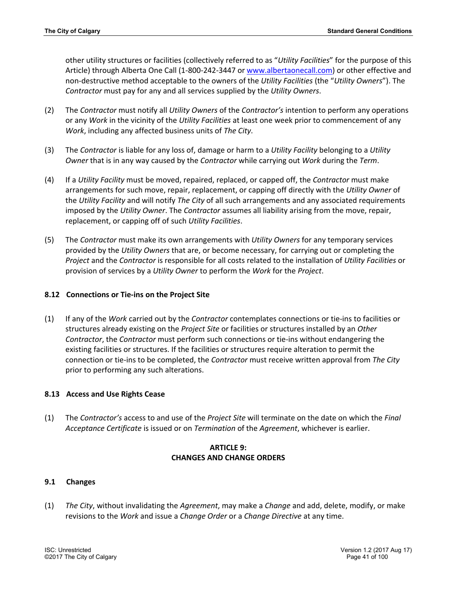other utility structures or facilities (collectively referred to as "*Utility Facilities*" for the purpose of this Article) through Alberta One Call (1-800-242-3447 or www.albertaonecall.com) or other effective and non-destructive method acceptable to the owners of the *Utility Facilities* (the "*Utility Owners*"). The *Contractor* must pay for any and all services supplied by the *Utility Owners*.

- (2) The *Contractor* must notify all *Utility Owners* of the *Contractor's* intention to perform any operations or any *Work* in the vicinity of the *Utility Facilities* at least one week prior to commencement of any *Work*, including any affected business units of *The City*.
- (3) The *Contractor* is liable for any loss of, damage or harm to a *Utility Facility* belonging to a *Utility Owner* that is in any way caused by the *Contractor* while carrying out *Work* during the *Term*.
- (4) If a *Utility Facility* must be moved, repaired, replaced, or capped off, the *Contractor* must make arrangements for such move, repair, replacement, or capping off directly with the *Utility Owner* of the *Utility Facility* and will notify *The City* of all such arrangements and any associated requirements imposed by the *Utility Owner*. The *Contractor* assumes all liability arising from the move, repair, replacement, or capping off of such *Utility Facilities*.
- (5) The *Contractor* must make its own arrangements with *Utility Owners* for any temporary services provided by the *Utility Owners* that are, or become necessary, for carrying out or completing the *Project* and the *Contractor* is responsible for all costs related to the installation of *Utility Facilities* or provision of services by a *Utility Owner* to perform the *Work* for the *Project*.

# **8.12 Connections or Tie-ins on the Project Site**

(1) If any of the *Work* carried out by the *Contractor* contemplates connections or tie-ins to facilities or structures already existing on the *Project Site* or facilities or structures installed by an *Other Contractor*, the *Contractor* must perform such connections or tie-ins without endangering the existing facilities or structures. If the facilities or structures require alteration to permit the connection or tie-ins to be completed, the *Contractor* must receive written approval from *The City* prior to performing any such alterations.

# **8.13 Access and Use Rights Cease**

(1) The *Contractor's* access to and use of the *Project Site* will terminate on the date on which the *Final Acceptance Certificate* is issued or on *Termination* of the *Agreement*, whichever is earlier.

# **ARTICLE 9: CHANGES AND CHANGE ORDERS**

## **9.1 Changes**

(1) *The City*, without invalidating the *Agreement*, may make a *Change* and add, delete, modify, or make revisions to the *Work* and issue a *Change Order* or a *Change Directive* at any time.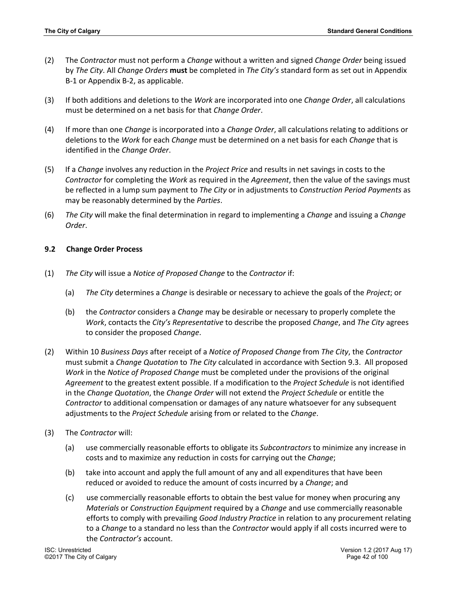- (2) The *Contractor* must not perform a *Change* without a written and signed *Change Order* being issued by *The City*. All *Change Orders* **must** be completed in *The City's* standard form as set out in Appendix B-1 or Appendix B-2, as applicable.
- (3) If both additions and deletions to the *Work* are incorporated into one *Change Order*, all calculations must be determined on a net basis for that *Change Order*.
- (4) If more than one *Change* is incorporated into a *Change Order*, all calculations relating to additions or deletions to the *Work* for each *Change* must be determined on a net basis for each *Change* that is identified in the *Change Order*.
- (5) If a *Change* involves any reduction in the *Project Price* and results in net savings in costs to the *Contractor* for completing the *Work* as required in the *Agreement*, then the value of the savings must be reflected in a lump sum payment to *The City* or in adjustments to *Construction Period Payments* as may be reasonably determined by the *Parties*.
- (6) *The City* will make the final determination in regard to implementing a *Change* and issuing a *Change Order*.

## **9.2 Change Order Process**

- (1) *The City* will issue a *Notice of Proposed Change* to the *Contractor* if:
	- (a) *The City* determines a *Change* is desirable or necessary to achieve the goals of the *Project*; or
	- (b) the *Contractor* considers a *Change* may be desirable or necessary to properly complete the *Work*, contacts the *City's Representative* to describe the proposed *Change*, and *The City* agrees to consider the proposed *Change*.
- (2) Within 10 *Business Days* after receipt of a *Notice of Proposed Change* from *The City*, the *Contractor* must submit a *Change Quotation* to *The City* calculated in accordance with Section 9.3. All proposed *Work* in the *Notice of Proposed Change* must be completed under the provisions of the original *Agreement* to the greatest extent possible. If a modification to the *Project Schedule* is not identified in the *Change Quotation*, the *Change Order* will not extend the *Project Schedule* or entitle the *Contractor* to additional compensation or damages of any nature whatsoever for any subsequent adjustments to the *Project Schedule* arising from or related to the *Change*.
- (3) The *Contractor* will:
	- (a) use commercially reasonable efforts to obligate its *Subcontractors* to minimize any increase in costs and to maximize any reduction in costs for carrying out the *Change*;
	- (b) take into account and apply the full amount of any and all expenditures that have been reduced or avoided to reduce the amount of costs incurred by a *Change*; and
	- (c) use commercially reasonable efforts to obtain the best value for money when procuring any *Materials* or *Construction Equipment* required by a *Change* and use commercially reasonable efforts to comply with prevailing *Good Industry Practice* in relation to any procurement relating to a *Change* to a standard no less than the *Contractor* would apply if all costs incurred were to the *Contractor's* account.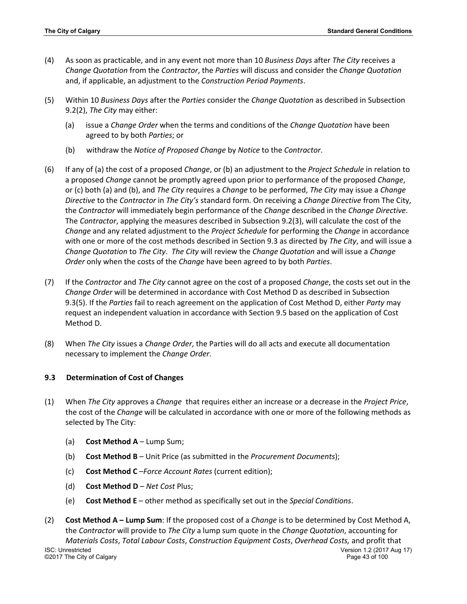- (4) As soon as practicable, and in any event not more than 10 *Business Days* after *The City* receives a *Change Quotation* from the *Contractor*, the *Parties* will discuss and consider the *Change Quotation* and, if applicable, an adjustment to the *Construction Period Payments*.
- (5) Within 10 *Business Days* after the *Parties* consider the *Change Quotation* as described in Subsection 9.2(2), *The City* may either:
	- (a) issue a *Change Order* when the terms and conditions of the *Change Quotation* have been agreed to by both *Parties*; or
	- (b) withdraw the *Notice of Proposed Change* by *Notice* to the *Contractor*.
- (6) If any of (a) the cost of a proposed *Change*, or (b) an adjustment to the *Project Schedule* in relation to a proposed *Change* cannot be promptly agreed upon prior to performance of the proposed *Change*, or (c) both (a) and (b), and *The City* requires a *Change* to be performed, *The City* may issue a *Change Directive* to the *Contractor* in *The City's* standard form*.* On receiving a *Change Directive* from The City, the *Contractor* will immediately begin performance of the *Change* described in the *Change Directive*. The *Contractor*, applying the measures described in Subsection 9.2(3), will calculate the cost of the *Change* and any related adjustment to the *Project Schedule* for performing the *Change* in accordance with one or more of the cost methods described in Section 9.3 as directed by *The City*, and will issue a *Change Quotation* to *The City*. *The City* will review the *Change Quotation* and will issue a *Change Order* only when the costs of the *Change* have been agreed to by both *Parties*.
- (7) If the *Contractor* and *The City* cannot agree on the cost of a proposed *Change*, the costs set out in the *Change Order* will be determined in accordance with Cost Method D as described in Subsection 9.3(5). If the *Parties* fail to reach agreement on the application of Cost Method D, either *Party* may request an independent valuation in accordance with Section 9.5 based on the application of Cost Method D.
- (8) When *The City* issues a *Change Order*, the Parties will do all acts and execute all documentation necessary to implement the *Change Order*.

## **9.3 Determination of Cost of Changes**

- (1) When *The City* approves a *Change* that requires either an increase or a decrease in the *Project Price*, the cost of the *Change* will be calculated in accordance with one or more of the following methods as selected by The City:
	- (a) **Cost Method A** Lump Sum;
	- (b) **Cost Method B** Unit Price (as submitted in the *Procurement Documents*);
	- (c) **Cost Method C** –*Force Account Rates* (current edition);
	- (d) **Cost Method D** *Net Cost* Plus;
	- (e) **Cost Method E**  other method as specifically set out in the *Special Conditions*.
- ISC: Unrestricted Version 1.2 (2017 Aug 17) ©2017 The City of Calgary Page 43 of 100 (2) **Cost Method A – Lump Sum**: If the proposed cost of a *Change* is to be determined by Cost Method A, the *Contractor* will provide to *The City* a lump sum quote in the *Change Quotation*, accounting for *Materials Costs*, *Total Labour Costs*, *Construction Equipment Costs*, *Overhead Costs,* and profit that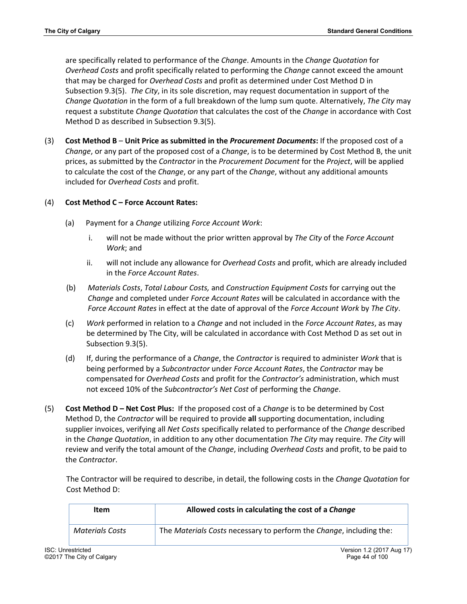are specifically related to performance of the *Change*. Amounts in the *Change Quotation* for *Overhead Costs* and profit specifically related to performing the *Change* cannot exceed the amount that may be charged for *Overhead Costs* and profit as determined under Cost Method D in Subsection 9.3(5). *The City*, in its sole discretion, may request documentation in support of the *Change Quotation* in the form of a full breakdown of the lump sum quote. Alternatively, *The City* may request a substitute *Change Quotation* that calculates the cost of the *Change* in accordance with Cost Method D as described in Subsection 9.3(5).

(3) **Cost Method B** – **Unit Price as submitted in the** *Procurement Documents***:** If the proposed cost of a *Change*, or any part of the proposed cost of a *Change*, is to be determined by Cost Method B, the unit prices, as submitted by the *Contractor* in the *Procurement Document* for the *Project*, will be applied to calculate the cost of the *Change*, or any part of the *Change*, without any additional amounts included for *Overhead Costs* and profit.

# (4) **Cost Method C – Force Account Rates:**

- (a) Payment for a *Change* utilizing *Force Account Work*:
	- i. will not be made without the prior written approval by *The City* of the *Force Account Work*; and
	- ii. will not include any allowance for *Overhead Costs* and profit, which are already included in the *Force Account Rates*.
- (b) *Materials Costs*, *Total Labour Costs,* and *Construction Equipment Costs* for carrying out the *Change* and completed under *Force Account Rates* will be calculated in accordance with the *Force Account Rates* in effect at the date of approval of the *Force Account Work* by *The City*.
- (c) *Work* performed in relation to a *Change* and not included in the *Force Account Rates*, as may be determined by The City, will be calculated in accordance with Cost Method D as set out in Subsection 9.3(5).
- (d) If, during the performance of a *Change*, the *Contractor* is required to administer *Work* that is being performed by a *Subcontractor* under *Force Account Rates*, the *Contractor* may be compensated for *Overhead Costs* and profit for the *Contractor's* administration, which must not exceed 10% of the *Subcontractor's Net Cost* of performing the *Change*.
- (5) **Cost Method D – Net Cost Plus:** If the proposed cost of a *Change* is to be determined by Cost Method D, the *Contractor* will be required to provide **all** supporting documentation, including supplier invoices, verifying all *Net Costs* specifically related to performance of the *Change* described in the *Change Quotation*, in addition to any other documentation *The City* may require. *The City* will review and verify the total amount of the *Change*, including *Overhead Costs* and profit, to be paid to the *Contractor*.

The Contractor will be required to describe, in detail, the following costs in the *Change Quotation* for Cost Method D:

| Item            | Allowed costs in calculating the cost of a Change                   |
|-----------------|---------------------------------------------------------------------|
| Materials Costs | The Materials Costs necessary to perform the Change, including the: |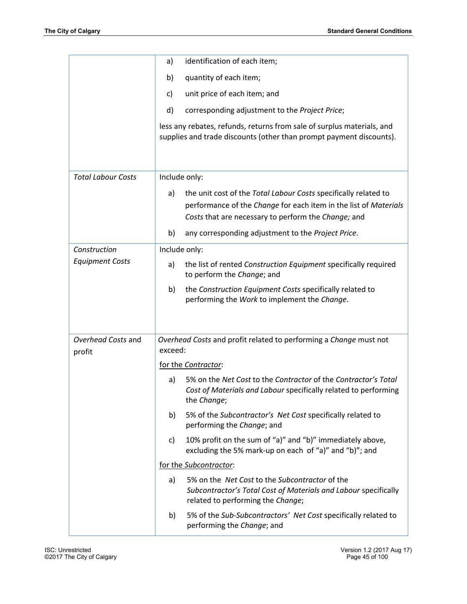|                              | identification of each item;<br>a)                                                                                                                                                               |  |  |  |  |  |  |
|------------------------------|--------------------------------------------------------------------------------------------------------------------------------------------------------------------------------------------------|--|--|--|--|--|--|
|                              | quantity of each item;<br>b)                                                                                                                                                                     |  |  |  |  |  |  |
|                              | unit price of each item; and<br>c)                                                                                                                                                               |  |  |  |  |  |  |
|                              | d)<br>corresponding adjustment to the Project Price;                                                                                                                                             |  |  |  |  |  |  |
|                              | less any rebates, refunds, returns from sale of surplus materials, and<br>supplies and trade discounts (other than prompt payment discounts).                                                    |  |  |  |  |  |  |
| <b>Total Labour Costs</b>    | Include only:                                                                                                                                                                                    |  |  |  |  |  |  |
|                              | the unit cost of the Total Labour Costs specifically related to<br>a)<br>performance of the Change for each item in the list of Materials<br>Costs that are necessary to perform the Change; and |  |  |  |  |  |  |
|                              | any corresponding adjustment to the Project Price.<br>b)                                                                                                                                         |  |  |  |  |  |  |
| Construction                 | Include only:                                                                                                                                                                                    |  |  |  |  |  |  |
| <b>Equipment Costs</b>       | the list of rented Construction Equipment specifically required<br>a)<br>to perform the Change; and                                                                                              |  |  |  |  |  |  |
|                              | the Construction Equipment Costs specifically related to<br>b)<br>performing the Work to implement the Change.                                                                                   |  |  |  |  |  |  |
| Overhead Costs and<br>profit | Overhead Costs and profit related to performing a Change must not<br>exceed:                                                                                                                     |  |  |  |  |  |  |
|                              | for the Contractor:                                                                                                                                                                              |  |  |  |  |  |  |
|                              | 5% on the Net Cost to the Contractor of the Contractor's Total<br>a)<br>Cost of Materials and Labour specifically related to performing<br>the Change;                                           |  |  |  |  |  |  |
|                              | 5% of the Subcontractor's Net Cost specifically related to<br>b)<br>performing the Change; and                                                                                                   |  |  |  |  |  |  |
|                              | 10% profit on the sum of "a)" and "b)" immediately above,<br>C)<br>excluding the 5% mark-up on each of "a)" and "b)"; and                                                                        |  |  |  |  |  |  |
|                              | for the Subcontractor:                                                                                                                                                                           |  |  |  |  |  |  |
|                              | 5% on the <i>Net Cost</i> to the <i>Subcontractor</i> of the<br>a)<br>Subcontractor's Total Cost of Materials and Labour specifically<br>related to performing the Change;                       |  |  |  |  |  |  |
|                              | 5% of the Sub-Subcontractors' Net Cost specifically related to<br>b)<br>performing the Change; and                                                                                               |  |  |  |  |  |  |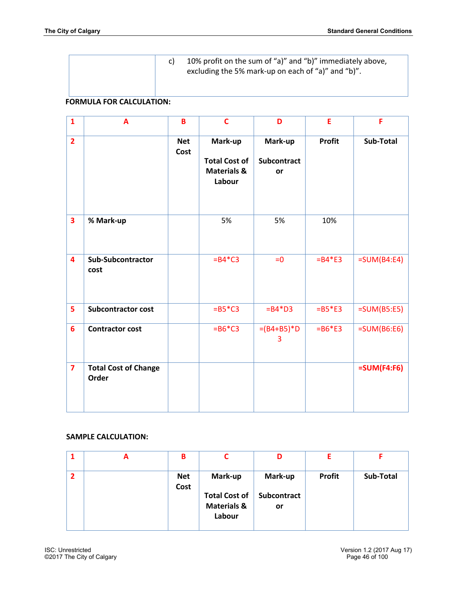c) 10% profit on the sum of "a)" and "b)" immediately above, excluding the 5% mark-up on each of "a)" and "b)".

### **FORMULA FOR CALCULATION:**

| $\mathbf{1}$            | A                                    | $\overline{\mathbf{B}}$ | $\mathbf c$                                                         | D                            | E             | F             |
|-------------------------|--------------------------------------|-------------------------|---------------------------------------------------------------------|------------------------------|---------------|---------------|
| $\overline{2}$          |                                      | <b>Net</b><br>Cost      | Mark-up<br><b>Total Cost of</b><br><b>Materials &amp;</b><br>Labour | Mark-up<br>Subcontract<br>or | <b>Profit</b> | Sub-Total     |
| $\overline{\mathbf{3}}$ | % Mark-up                            |                         | 5%                                                                  | 5%                           | 10%           |               |
| 4                       | <b>Sub-Subcontractor</b><br>cost     |                         | $= B4*C3$                                                           | $= 0$                        | $= B4*E3$     | $=SUM(B4:E4)$ |
| 5                       | <b>Subcontractor cost</b>            |                         | $=$ B5 $*$ C3                                                       | $= B4*D3$                    | $=$ B5*E3     | $=SUM(B5:E5)$ |
| $6\overline{6}$         | <b>Contractor cost</b>               |                         | $= B6*C3$                                                           | $=(B4+B5)*D$<br>3            | $= B6*E3$     | $=SUM(B6:E6)$ |
| $\overline{\mathbf{z}}$ | <b>Total Cost of Change</b><br>Order |                         |                                                                     |                              |               | $=SUM(F4:FG)$ |

# **SAMPLE CALCULATION:**

| A | в                  |                                                                     | D                                   |               |           |
|---|--------------------|---------------------------------------------------------------------|-------------------------------------|---------------|-----------|
|   | <b>Net</b><br>Cost | Mark-up<br><b>Total Cost of</b><br><b>Materials &amp;</b><br>Labour | Mark-up<br><b>Subcontract</b><br>or | <b>Profit</b> | Sub-Total |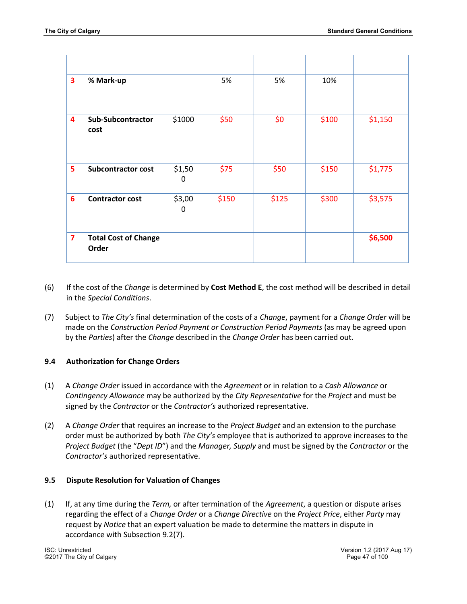| 3                       | % Mark-up                            |             | 5%    | 5%    | 10%   |         |
|-------------------------|--------------------------------------|-------------|-------|-------|-------|---------|
| $\overline{\mathbf{4}}$ | <b>Sub-Subcontractor</b><br>cost     | \$1000      | \$50  | \$0   | \$100 | \$1,150 |
| 5                       | <b>Subcontractor cost</b>            | \$1,50<br>0 | \$75  | \$50  | \$150 | \$1,775 |
| $6\phantom{1}$          | <b>Contractor cost</b>               | \$3,00<br>0 | \$150 | \$125 | \$300 | \$3,575 |
| $\overline{7}$          | <b>Total Cost of Change</b><br>Order |             |       |       |       | \$6,500 |

- (6) If the cost of the *Change* is determined by **Cost Method E**, the cost method will be described in detail in the *Special Conditions*.
- (7) Subject to *The City's* final determination of the costs of a *Change*, payment for a *Change Order* will be made on the *Construction Period Payment or Construction Period Payments* (as may be agreed upon by the *Parties*) after the *Change* described in the *Change Order* has been carried out.

# **9.4 Authorization for Change Orders**

- (1) A *Change Order* issued in accordance with the *Agreement* or in relation to a *Cash Allowance* or *Contingency Allowance* may be authorized by the *City Representative* for the *Project* and must be signed by the *Contractor* or the *Contractor's* authorized representative.
- (2) A *Change Order* that requires an increase to the *Project Budget* and an extension to the purchase order must be authorized by both *The City's* employee that is authorized to approve increases to the *Project Budget* (the "*Dept ID*") and the *Manager, Supply* and must be signed by the *Contractor* or the *Contractor's* authorized representative.

## **9.5 Dispute Resolution for Valuation of Changes**

(1) If, at any time during the *Term,* or after termination of the *Agreement*, a question or dispute arises regarding the effect of a *Change Order* or a *Change Directive* on the *Project Price*, either *Party* may request by *Notice* that an expert valuation be made to determine the matters in dispute in accordance with Subsection 9.2(7).

ISC: Unrestricted Version 1.2 (2017 Aug 17) ©2017 The City of Calgary Page 47 of 100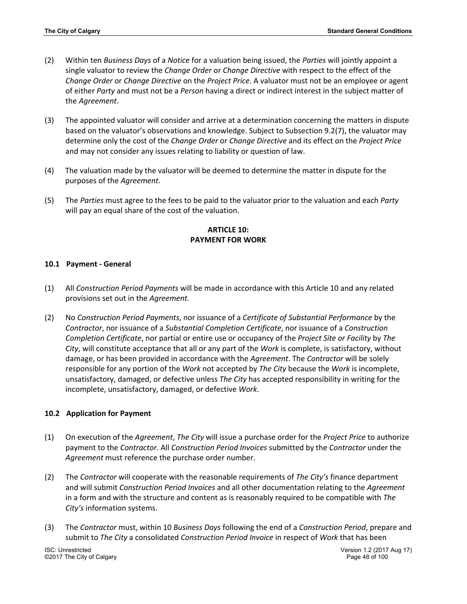- (2) Within ten *Business Days* of a *Notice* for a valuation being issued, the *Parties* will jointly appoint a single valuator to review the *Change Order* or *Change Directive* with respect to the effect of the *Change Order* or *Change Directive* on the *Project Price*. A valuator must not be an employee or agent of either *Party* and must not be a *Person* having a direct or indirect interest in the subject matter of the *Agreement*.
- (3) The appointed valuator will consider and arrive at a determination concerning the matters in dispute based on the valuator's observations and knowledge. Subject to Subsection 9.2(7), the valuator may determine only the cost of the *Change Order* or *Change Directive* and its effect on the *Project Price* and may not consider any issues relating to liability or question of law.
- (4) The valuation made by the valuator will be deemed to determine the matter in dispute for the purposes of the *Agreement*.
- (5) The *Parties* must agree to the fees to be paid to the valuator prior to the valuation and each *Party* will pay an equal share of the cost of the valuation.

## **ARTICLE 10: PAYMENT FOR WORK**

### **10.1 Payment - General**

- (1) All *Construction Period Payments* will be made in accordance with this Article 10 and any related provisions set out in the *Agreement.*
- (2) No *Construction Period Payments*, nor issuance of a *Certificate of Substantial Performance* by the *Contractor*, nor issuance of a *Substantial Completion Certificate*, nor issuance of a *Construction Completion Certificate*, nor partial or entire use or occupancy of the *Project Site or Facility* by *The City*, will constitute acceptance that all or any part of the *Work* is complete, is satisfactory, without damage, or has been provided in accordance with the *Agreement*. The *Contractor* will be solely responsible for any portion of the *Work* not accepted by *The City* because the *Work* is incomplete, unsatisfactory, damaged, or defective unless *The City* has accepted responsibility in writing for the incomplete, unsatisfactory, damaged, or defective *Work*.

#### **10.2 Application for Payment**

- (1) On execution of the *Agreement*, *The City* will issue a purchase order for the *Project Price* to authorize payment to the *Contractor.* All *Construction Period Invoices* submitted by the *Contractor* under the *Agreement* must reference the purchase order number.
- (2) The *Contractor* will cooperate with the reasonable requirements of *The City's* finance department and will submit *Construction Period Invoices* and all other documentation relating to the *Agreement* in a form and with the structure and content as is reasonably required to be compatible with *The City's* information systems.
- (3) The *Contractor* must, within 10 *Business Days* following the end of a *Construction Period*, prepare and submit to *The City* a consolidated *Construction Period Invoice* in respect of *Work* that has been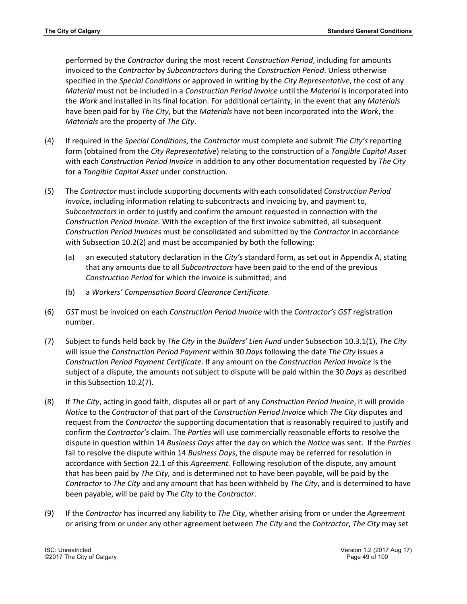performed by the *Contractor* during the most recent *Construction Period*, including for amounts invoiced to the *Contractor* by *Subcontractors* during the *Construction Period*. Unless otherwise specified in the *Special Conditions* or approved in writing by the *City Representative*, the cost of any *Material* must not be included in a *Construction Period Invoice* until the *Material* is incorporated into the *Work* and installed in its final location. For additional certainty, in the event that any *Materials* have been paid for by *The City*, but the *Materials* have not been incorporated into the *Work*, the *Materials* are the property of *The City*.

- (4) If required in the *Special Conditions*, the *Contractor* must complete and submit *The City's* reporting form (obtained from the *City Representative*) relating to the construction of a *Tangible Capital Asset* with each *Construction Period Invoice* in addition to any other documentation requested by *The City* for a *Tangible Capital Asset* under construction.
- (5) The *Contractor* must include supporting documents with each consolidated *Construction Period Invoice*, including information relating to subcontracts and invoicing by, and payment to, *Subcontractors* in order to justify and confirm the amount requested in connection with the *Construction Period Invoice.* With the exception of the first invoice submitted, all subsequent *Construction Period Invoices* must be consolidated and submitted by the *Contractor* in accordance with Subsection 10.2(2) and must be accompanied by both the following:
	- (a) an executed statutory declaration in the *City's* standard form, as set out in Appendix A, stating that any amounts due to all *Subcontractors* have been paid to the end of the previous *Construction Period* for which the invoice is submitted; and
	- (b) a *Workers' Compensation Board Clearance Certificate*.
- (6) *GST* must be invoiced on each *Construction Period Invoice* with the *Contractor's GST* registration number.
- (7) Subject to funds held back by *The City* in the *Builders' Lien Fund* under Subsection 10.3.1(1), *The City* will issue the *Construction Period Payment* within 30 *Days* following the date *The City* issues a *Construction Period Payment Certificate*. If any amount on the *Construction Period Invoice* is the subject of a dispute, the amounts not subject to dispute will be paid within the 30 *Days* as described in this Subsection 10.2(7).
- (8) If *The City*, acting in good faith, disputes all or part of any *Construction Period Invoice*, it will provide *Notice* to the *Contractor* of that part of the *Construction Period Invoice* which *The City* disputes and request from the *Contractor* the supporting documentation that is reasonably required to justify and confirm the *Contractor's* claim. The *Parties* will use commercially reasonable efforts to resolve the dispute in question within 14 *Business Days* after the day on which the *Notice* was sent. If the *Parties* fail to resolve the dispute within 14 *Business Days*, the dispute may be referred for resolution in accordance with Section 22.1 of this *Agreement.* Following resolution of the dispute, any amount that has been paid by *The City,* and is determined not to have been payable, will be paid by the *Contractor* to *The City* and any amount that has been withheld by *The City*, and is determined to have been payable, will be paid by *The City* to the *Contractor*.
- (9) If the *Contractor* has incurred any liability to *The City*, whether arising from or under the *Agreement*  or arising from or under any other agreement between *The City* and the *Contractor*, *The City* may set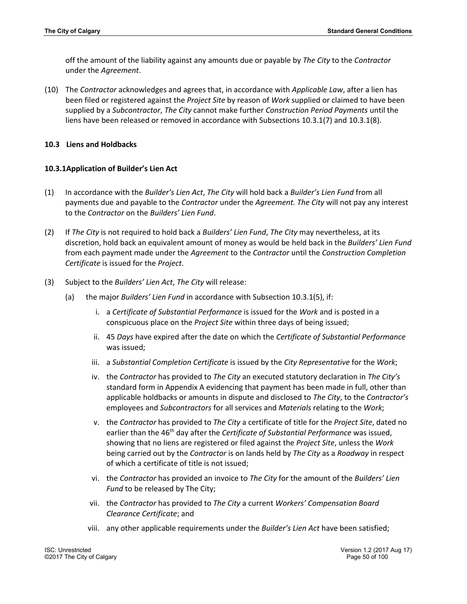off the amount of the liability against any amounts due or payable by *The City* to the *Contractor* under the *Agreement*.

(10) The *Contractor* acknowledges and agrees that, in accordance with *Applicable Law*, after a lien has been filed or registered against the *Project Site* by reason of *Work* supplied or claimed to have been supplied by a *Subcontractor*, *The City* cannot make further *Construction Period Payments* until the liens have been released or removed in accordance with Subsections 10.3.1(7) and 10.3.1(8).

### **10.3 Liens and Holdbacks**

### **10.3.1Application of Builder's Lien Act**

- (1) In accordance with the *Builder's Lien Act*, *The City* will hold back a *Builder's Lien Fund* from all payments due and payable to the *Contractor* under the *Agreement. The City* will not pay any interest to the *Contractor* on the *Builders' Lien Fund*.
- (2) If *The City* is not required to hold back a *Builders' Lien Fund*, *The City* may nevertheless, at its discretion, hold back an equivalent amount of money as would be held back in the *Builders' Lien Fund* from each payment made under the *Agreement* to the *Contractor* until the *Construction Completion Certificate* is issued for the *Project*.
- (3) Subject to the *Builders' Lien Act*, *The City* will release:
	- (a) the major *Builders' Lien Fund* in accordance with Subsection 10.3.1(5), if:
		- i. a *Certificate of Substantial Performance* is issued for the *Work* and is posted in a conspicuous place on the *Project Site* within three days of being issued;
		- ii. 45 *Days* have expired after the date on which the *Certificate of Substantial Performance*  was issued;
		- iii. a *Substantial Completion Certificate* is issued by the *City Representative* for the *Work*;
		- iv. the *Contractor* has provided to *The City* an executed statutory declaration in *The City's*  standard form in Appendix A evidencing that payment has been made in full, other than applicable holdbacks or amounts in dispute and disclosed to *The City*, to the *Contractor's* employees and *Subcontractors* for all services and *Materials* relating to the *Work*;
		- v. the *Contractor* has provided to *The City* a certificate of title for the *Project Site*, dated no earlier than the 46<sup>th</sup> day after the *Certificate of Substantial Performance* was issued, showing that no liens are registered or filed against the *Project Site*, unless the *Work* being carried out by the *Contractor* is on lands held by *The City* as a *Roadway* in respect of which a certificate of title is not issued;
		- vi. the *Contractor* has provided an invoice to *The City* for the amount of the *Builders' Lien Fund* to be released by The City;
		- vii. the *Contractor* has provided to *The City* a current *Workers' Compensation Board Clearance Certificate*; and
		- viii. any other applicable requirements under the *Builder's Lien Act* have been satisfied;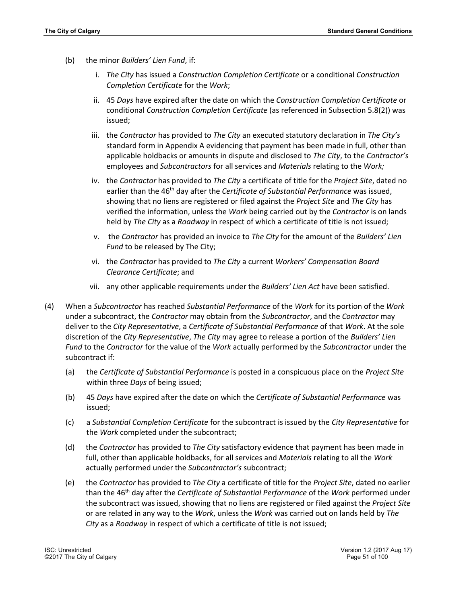- (b) the minor *Builders' Lien Fund*, if:
	- i. *The City* has issued a *Construction Completion Certificate* or a conditional *Construction Completion Certificate* for the *Work*;
	- ii. 45 *Days* have expired after the date on which the *Construction Completion Certificate* or conditional *Construction Completion Certificate* (as referenced in Subsection 5.8(2)) was issued;
	- iii. the *Contractor* has provided to *The City* an executed statutory declaration in *The City's* standard form in Appendix A evidencing that payment has been made in full, other than applicable holdbacks or amounts in dispute and disclosed to *The City*, to the *Contractor's* employees and *Subcontractors* for all services and *Materials* relating to the *Work;*
	- iv. the *Contractor* has provided to *The City* a certificate of title for the *Project Site*, dated no earlier than the 46th day after the *Certificate of Substantial Performance* was issued, showing that no liens are registered or filed against the *Project Site* and *The City* has verified the information, unless the *Work* being carried out by the *Contractor* is on lands held by *The City* as a *Roadway* in respect of which a certificate of title is not issued;
	- v. the *Contractor* has provided an invoice to *The City* for the amount of the *Builders' Lien Fund* to be released by The City;
	- vi. the *Contractor* has provided to *The City* a current *Workers' Compensation Board Clearance Certificate*; and
	- vii. any other applicable requirements under the *Builders' Lien Act* have been satisfied.
- (4) When a *Subcontractor* has reached *Substantial Performance* of the *Work* for its portion of the *Work* under a subcontract, the *Contractor* may obtain from the *Subcontractor*, and the *Contractor* may deliver to the *City Representative*, a *Certificate of Substantial Performance* of that *Work*. At the sole discretion of the *City Representative*, *The City* may agree to release a portion of the *Builders' Lien Fund* to the *Contractor* for the value of the *Work* actually performed by the *Subcontractor* under the subcontract if:
	- (a) the *Certificate of Substantial Performance* is posted in a conspicuous place on the *Project Site* within three *Days* of being issued;
	- (b) 45 *Days* have expired after the date on which the *Certificate of Substantial Performance* was issued;
	- (c) a *Substantial Completion Certificate* for the subcontract is issued by the *City Representative* for the *Work* completed under the subcontract;
	- (d) the *Contractor* has provided to *The City* satisfactory evidence that payment has been made in full, other than applicable holdbacks, for all services and *Materials* relating to all the *Work* actually performed under the *Subcontractor's* subcontract;
	- (e) the *Contractor* has provided to *The City* a certificate of title for the *Project Site*, dated no earlier than the 46th day after the *Certificate of Substantial Performance* of the *Work* performed under the subcontract was issued, showing that no liens are registered or filed against the *Project Site* or are related in any way to the *Work*, unless the *Work* was carried out on lands held by *The City* as a *Roadway* in respect of which a certificate of title is not issued;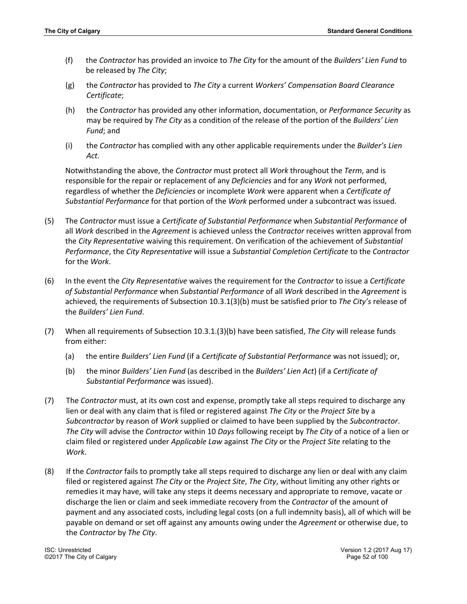- (f) the *Contractor* has provided an invoice to *The City* for the amount of the *Builders' Lien Fund* to be released by *The City*;
- (g) the *Contractor* has provided to *The City* a current *Workers' Compensation Board Clearance Certificate*;
- (h) the *Contractor* has provided any other information, documentation, or *Performance Security* as may be required by *The City* as a condition of the release of the portion of the *Builders' Lien Fund*; and
- (i) the *Contractor* has complied with any other applicable requirements under the *Builder's Lien Act.*

Notwithstanding the above, the *Contractor* must protect all *Work* throughout the *Term*, and is responsible for the repair or replacement of any *Deficiencies* and for any *Work* not performed, regardless of whether the *Deficiencies* or incomplete *Work* were apparent when a *Certificate of Substantial Performance* for that portion of the *Work* performed under a subcontract was issued.

- (5) The *Contractor* must issue a *Certificate of Substantial Performance* when *Substantial Performance* of all *Work* described in the *Agreement* is achieved unless the *Contractor* receives written approval from the *City Representative* waiving this requirement. On verification of the achievement of *Substantial Performance*, the *City Representative* will issue a *Substantial Completion Certificate* to the *Contractor* for the *Work*.
- (6) In the event the *City Representative* waives the requirement for the *Contractor* to issue a *Certificate of Substantial Performance* when *Substantial Performance* of all *Work* described in the *Agreement* is achieved*,* the requirements of Subsection 10.3.1(3)(b) must be satisfied prior to *The City's* release of the *Builders' Lien Fund*.
- (7) When all requirements of Subsection 10.3.1.(3)(b) have been satisfied, *The City* will release funds from either:
	- (a) the entire *Builders' Lien Fund* (if a *Certificate of Substantial Performance* was not issued); or,
	- (b) the minor *Builders' Lien Fund* (as described in the *Builders' Lien Act*) (if a *Certificate of Substantial Performance* was issued).
- (7) The *Contractor* must, at its own cost and expense, promptly take all steps required to discharge any lien or deal with any claim that is filed or registered against *The City* or the *Project Site* by a *Subcontractor* by reason of *Work* supplied or claimed to have been supplied by the *Subcontractor*. *The City* will advise the *Contractor* within 10 *Days* following receipt by *The City* of a notice of a lien or claim filed or registered under *Applicable Law* against *The City* or the *Project Site* relating to the *Work*.
- (8) If the *Contractor* fails to promptly take all steps required to discharge any lien or deal with any claim filed or registered against *The City* or the *Project Site*, *The City*, without limiting any other rights or remedies it may have, will take any steps it deems necessary and appropriate to remove, vacate or discharge the lien or claim and seek immediate recovery from the *Contractor* of the amount of payment and any associated costs, including legal costs (on a full indemnity basis), all of which will be payable on demand or set off against any amounts owing under the *Agreement* or otherwise due, to the *Contractor* by *The City*.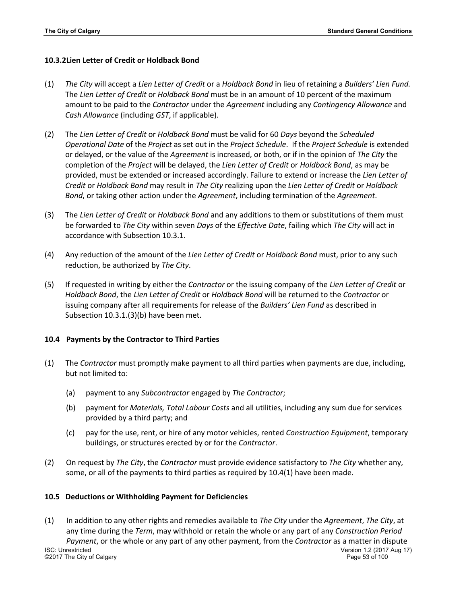### **10.3.2Lien Letter of Credit or Holdback Bond**

- (1) *The City* will accept a *Lien Letter of Credit* or a *Holdback Bond* in lieu of retaining a *Builders' Lien Fund.* The *Lien Letter of Credit* or *Holdback Bond* must be in an amount of 10 percent of the maximum amount to be paid to the *Contractor* under the *Agreement* including any *Contingency Allowance* and *Cash Allowance* (including *GST*, if applicable).
- (2) The *Lien Letter of Credit* or *Holdback Bond* must be valid for 60 *Days* beyond the *Scheduled Operational Date* of the *Project* as set out in the *Project Schedule*. If the *Project Schedule* is extended or delayed, or the value of the *Agreement* is increased, or both, or if in the opinion of *The City* the completion of the *Project* will be delayed, the *Lien Letter of Credit* or *Holdback Bond*, as may be provided, must be extended or increased accordingly. Failure to extend or increase the *Lien Letter of Credit* or *Holdback Bond* may result in *The City* realizing upon the *Lien Letter of Credit* or *Holdback Bond*, or taking other action under the *Agreement*, including termination of the *Agreement*.
- (3) The *Lien Letter of Credit* or *Holdback Bond* and any additions to them or substitutions of them must be forwarded to *The City* within seven *Days* of the *Effective Date*, failing which *The City* will act in accordance with Subsection 10.3.1.
- (4) Any reduction of the amount of the *Lien Letter of Credit* or *Holdback Bond* must, prior to any such reduction, be authorized by *The City*.
- (5) If requested in writing by either the *Contractor* or the issuing company of the *Lien Letter of Credit* or *Holdback Bond*, the *Lien Letter of Credit* or *Holdback Bond* will be returned to the *Contractor* or issuing company after all requirements for release of the *Builders' Lien Fund* as described in Subsection 10.3.1.(3)(b) have been met.

#### **10.4 Payments by the Contractor to Third Parties**

- (1) The *Contractor* must promptly make payment to all third parties when payments are due, including, but not limited to:
	- (a) payment to any *Subcontractor* engaged by *The Contractor*;
	- (b) payment for *Materials, Total Labour Costs* and all utilities, including any sum due for services provided by a third party; and
	- (c) pay for the use, rent, or hire of any motor vehicles, rented *Construction Equipment*, temporary buildings, or structures erected by or for the *Contractor*.
- (2) On request by *The City*, the *Contractor* must provide evidence satisfactory to *The City* whether any, some, or all of the payments to third parties as required by 10.4(1) have been made.

#### **10.5 Deductions or Withholding Payment for Deficiencies**

ISC: Unrestricted Version 1.2 (2017 Aug 17) ©2017 The City of Calgary Page 53 of 100 (1) In addition to any other rights and remedies available to *The City* under the *Agreement*, *The City*, at any time during the *Term*, may withhold or retain the whole or any part of any *Construction Period Payment*, or the whole or any part of any other payment, from the *Contractor* as a matter in dispute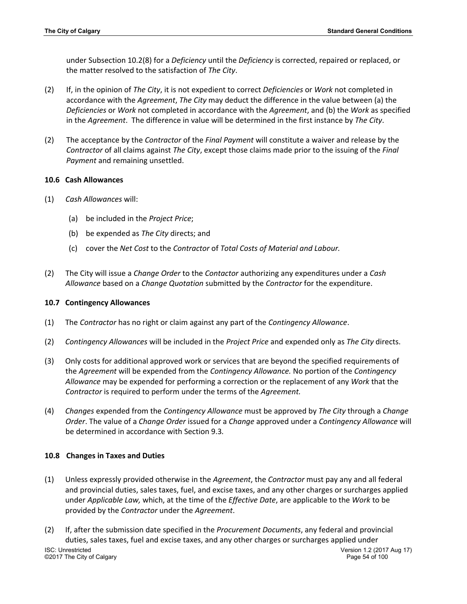under Subsection 10.2(8) for a *Deficiency* until the *Deficiency* is corrected, repaired or replaced, or the matter resolved to the satisfaction of *The City*.

- (2) If, in the opinion of *The City*, it is not expedient to correct *Deficiencies* or *Work* not completed in accordance with the *Agreement*, *The City* may deduct the difference in the value between (a) the *Deficiencies* or *Work* not completed in accordance with the *Agreement*, and (b) the *Work* as specified in the *Agreement*. The difference in value will be determined in the first instance by *The City*.
- (2) The acceptance by the *Contractor* of the *Final Payment* will constitute a waiver and release by the *Contractor* of all claims against *The City*, except those claims made prior to the issuing of the *Final Payment* and remaining unsettled.

#### **10.6 Cash Allowances**

- (1) *Cash Allowances* will:
	- (a) be included in the *Project Price*;
	- (b) be expended as *The City* directs; and
	- (c) cover the *Net Cost* to the *Contractor* of *Total Costs of Material and Labour.*
- (2) The City will issue a *Change Order* to the *Contactor* authorizing any expenditures under a *Cash Allowance* based on a *Change Quotation* submitted by the *Contractor* for the expenditure.

#### **10.7 Contingency Allowances**

- (1) The *Contractor* has no right or claim against any part of the *Contingency Allowance*.
- (2) *Contingency Allowances* will be included in the *Project Price* and expended only as *The City* directs.
- (3) Only costs for additional approved work or services that are beyond the specified requirements of the *Agreement* will be expended from the *Contingency Allowance.* No portion of the *Contingency Allowance* may be expended for performing a correction or the replacement of any *Work* that the *Contractor* is required to perform under the terms of the *Agreement.*
- (4) *Changes* expended from the *Contingency Allowance* must be approved by *The City* through a *Change Order*. The value of a *Change Order* issued for a *Change* approved under a *Contingency Allowance* will be determined in accordance with Section 9.3*.*

#### **10.8 Changes in Taxes and Duties**

- (1) Unless expressly provided otherwise in the *Agreement*, the *Contractor* must pay any and all federal and provincial duties, sales taxes, fuel, and excise taxes, and any other charges or surcharges applied under *Applicable Law,* which, at the time of the *Effective Date*, are applicable to the *Work* to be provided by the *Contractor* under the *Agreement*.
- ISC: Unrestricted Version 1.2 (2017 Aug 17) ©2017 The City of Calgary Page 54 of 100 (2) If, after the submission date specified in the *Procurement Documents*, any federal and provincial duties, sales taxes, fuel and excise taxes, and any other charges or surcharges applied under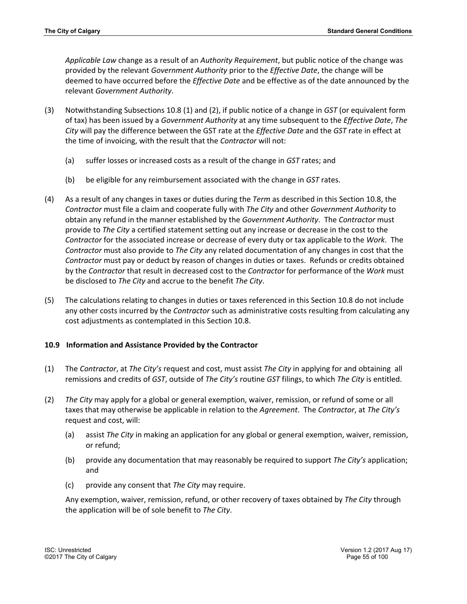*Applicable Law* change as a result of an *Authority Requirement*, but public notice of the change was provided by the relevant *Government Authority* prior to the *Effective Date*, the change will be deemed to have occurred before the *Effective Date* and be effective as of the date announced by the relevant *Government Authority*.

- (3) Notwithstanding Subsections 10.8 (1) and (2), if public notice of a change in *GST* (or equivalent form of tax) has been issued by a *Government Authority* at any time subsequent to the *Effective Date*, *The City* will pay the difference between the GST rate at the *Effective Date* and the *GST* rate in effect at the time of invoicing, with the result that the *Contractor* will not:
	- (a) suffer losses or increased costs as a result of the change in *GST* rates; and
	- (b) be eligible for any reimbursement associated with the change in *GST* rates.
- (4) As a result of any changes in taxes or duties during the *Term* as described in this Section 10.8, the *Contractor* must file a claim and cooperate fully with *The City* and other *Government Authority* to obtain any refund in the manner established by the *Government Authority*. The *Contractor* must provide to *The City* a certified statement setting out any increase or decrease in the cost to the *Contractor* for the associated increase or decrease of every duty or tax applicable to the *Work*. The *Contractor* must also provide to *The City* any related documentation of any changes in cost that the *Contractor* must pay or deduct by reason of changes in duties or taxes. Refunds or credits obtained by the *Contractor* that result in decreased cost to the *Contractor* for performance of the *Work* must be disclosed to *The City* and accrue to the benefit *The City*.
- (5) The calculations relating to changes in duties or taxes referenced in this Section 10.8 do not include any other costs incurred by the *Contractor* such as administrative costs resulting from calculating any cost adjustments as contemplated in this Section 10.8.

# **10.9 Information and Assistance Provided by the Contractor**

- (1) The *Contractor*, at *The City's* request and cost, must assist *The City* in applying for and obtaining all remissions and credits of *GST*, outside of *The City's* routine *GST* filings, to which *The City* is entitled.
- (2) *The City* may apply for a global or general exemption, waiver, remission, or refund of some or all taxes that may otherwise be applicable in relation to the *Agreement*. The *Contractor*, at *The City's* request and cost, will:
	- (a) assist *The City* in making an application for any global or general exemption, waiver, remission, or refund;
	- (b) provide any documentation that may reasonably be required to support *The City's* application; and
	- (c) provide any consent that *The City* may require.

Any exemption, waiver, remission, refund, or other recovery of taxes obtained by *The City* through the application will be of sole benefit to *The City*.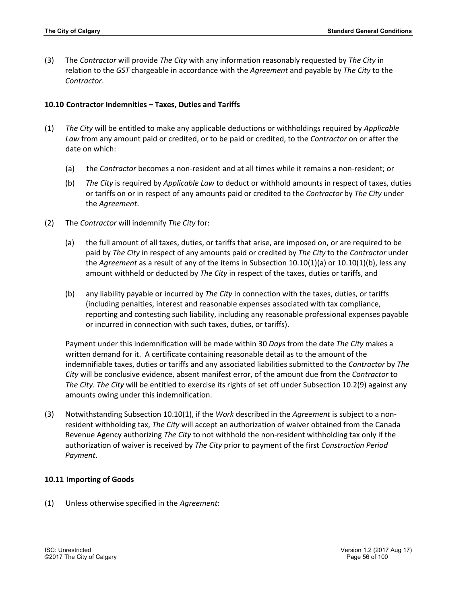(3) The *Contractor* will provide *The City* with any information reasonably requested by *The City* in relation to the *GST* chargeable in accordance with the *Agreement* and payable by *The City* to the *Contractor*.

### **10.10 Contractor Indemnities – Taxes, Duties and Tariffs**

- (1) *The City* will be entitled to make any applicable deductions or withholdings required by *Applicable Law* from any amount paid or credited, or to be paid or credited, to the *Contractor* on or after the date on which:
	- (a) the *Contractor* becomes a non-resident and at all times while it remains a non-resident; or
	- (b) *The City* is required by *Applicable Law* to deduct or withhold amounts in respect of taxes, duties or tariffs on or in respect of any amounts paid or credited to the *Contractor* by *The City* under the *Agreement*.
- (2) The *Contractor* will indemnify *The City* for:
	- (a) the full amount of all taxes, duties, or tariffs that arise, are imposed on, or are required to be paid by *The City* in respect of any amounts paid or credited by *The City* to the *Contractor* under the *Agreement* as a result of any of the items in Subsection 10.10(1)(a) or 10.10(1)(b), less any amount withheld or deducted by *The City* in respect of the taxes, duties or tariffs, and
	- (b) any liability payable or incurred by *The City* in connection with the taxes, duties, or tariffs (including penalties, interest and reasonable expenses associated with tax compliance, reporting and contesting such liability, including any reasonable professional expenses payable or incurred in connection with such taxes, duties, or tariffs).

Payment under this indemnification will be made within 30 *Days* from the date *The City* makes a written demand for it. A certificate containing reasonable detail as to the amount of the indemnifiable taxes, duties or tariffs and any associated liabilities submitted to the *Contractor* by *The City* will be conclusive evidence, absent manifest error, of the amount due from the *Contractor* to *The City*. *The City* will be entitled to exercise its rights of set off under Subsection 10.2(9) against any amounts owing under this indemnification.

(3) Notwithstanding Subsection 10.10(1), if the *Work* described in the *Agreement* is subject to a nonresident withholding tax, *The City* will accept an authorization of waiver obtained from the Canada Revenue Agency authorizing *The City* to not withhold the non-resident withholding tax only if the authorization of waiver is received by *The City* prior to payment of the first *Construction Period Payment*.

#### **10.11 Importing of Goods**

(1) Unless otherwise specified in the *Agreement*: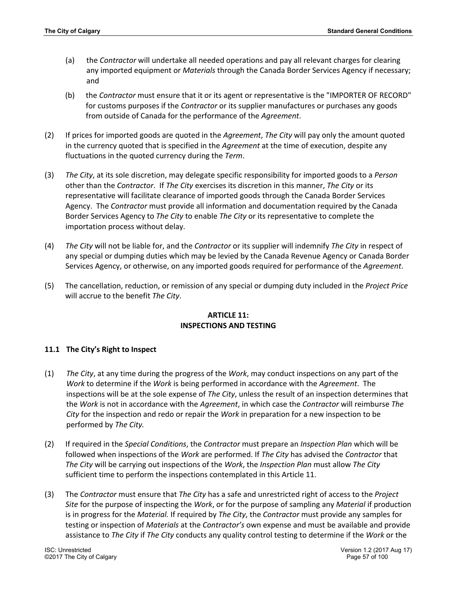- (a) the *Contractor* will undertake all needed operations and pay all relevant charges for clearing any imported equipment or *Materials* through the Canada Border Services Agency if necessary; and
- (b) the *Contractor* must ensure that it or its agent or representative is the "IMPORTER OF RECORD" for customs purposes if the *Contractor* or its supplier manufactures or purchases any goods from outside of Canada for the performance of the *Agreement*.
- (2) If prices for imported goods are quoted in the *Agreement*, *The City* will pay only the amount quoted in the currency quoted that is specified in the *Agreement* at the time of execution, despite any fluctuations in the quoted currency during the *Term*.
- (3) *The City*, at its sole discretion, may delegate specific responsibility for imported goods to a *Person* other than the *Contractor*. If *The City* exercises its discretion in this manner, *The City* or its representative will facilitate clearance of imported goods through the Canada Border Services Agency. The *Contractor* must provide all information and documentation required by the Canada Border Services Agency to *The City* to enable *The City* or its representative to complete the importation process without delay.
- (4) *The City* will not be liable for, and the *Contractor* or its supplier will indemnify *The City* in respect of any special or dumping duties which may be levied by the Canada Revenue Agency or Canada Border Services Agency, or otherwise, on any imported goods required for performance of the *Agreement*.
- (5) The cancellation, reduction, or remission of any special or dumping duty included in the *Project Price* will accrue to the benefit *The City*.

# **ARTICLE 11: INSPECTIONS AND TESTING**

## **11.1 The City's Right to Inspect**

- (1) *The City*, at any time during the progress of the *Work*, may conduct inspections on any part of the *Work* to determine if the *Work* is being performed in accordance with the *Agreement*. The inspections will be at the sole expense of *The City*, unless the result of an inspection determines that the *Work* is not in accordance with the *Agreement*, in which case the *Contractor* will reimburse *The City* for the inspection and redo or repair the *Work* in preparation for a new inspection to be performed by *The City.*
- (2) If required in the *Special Conditions*, the *Contractor* must prepare an *Inspection Plan* which will be followed when inspections of the *Work* are performed. If *The City* has advised the *Contractor* that *The City* will be carrying out inspections of the *Work*, the *Inspection Plan* must allow *The City* sufficient time to perform the inspections contemplated in this Article 11.
- (3) The *Contractor* must ensure that *The City* has a safe and unrestricted right of access to the *Project Site* for the purpose of inspecting the *Work*, or for the purpose of sampling any *Material* if production is in progress for the *Material.* If required by *The City*, the *Contractor* must provide any samples for testing or inspection of *Materials* at the *Contractor's* own expense and must be available and provide assistance to *The City* if *The City* conducts any quality control testing to determine if the *Work* or the

©2017 The City of Calgary Page 57 of 100

ISC: Unrestricted Version 1.2 (2017 Aug 17)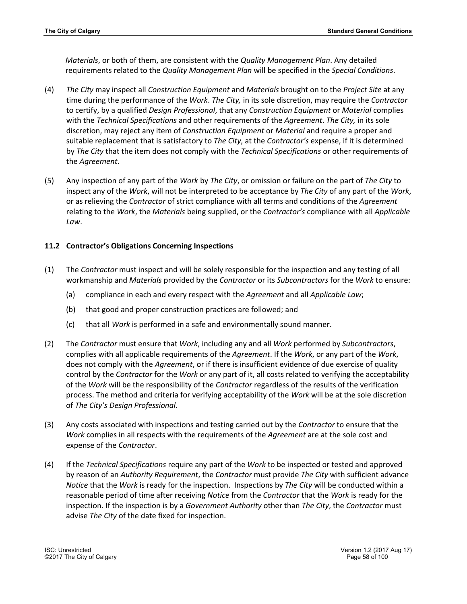*Materials*, or both of them, are consistent with the *Quality Management Plan*. Any detailed requirements related to the *Quality Management Plan* will be specified in the *Special Conditions*.

- (4) *The City* may inspect all *Construction Equipment* and *Materials* brought on to the *Project Site* at any time during the performance of the *Work*. *The City,* in its sole discretion, may require the *Contractor*  to certify, by a qualified *Design Professional*, that any *Construction Equipment* or *Material* complies with the *Technical Specifications* and other requirements of the *Agreement*. *The City,* in its sole discretion, may reject any item of *Construction Equipment* or *Material* and require a proper and suitable replacement that is satisfactory to *The City*, at the *Contractor's* expense, if it is determined by *The City* that the item does not comply with the *Technical Specifications* or other requirements of the *Agreement*.
- (5) Any inspection of any part of the *Work* by *The City*, or omission or failure on the part of *The City* to inspect any of the *Work*, will not be interpreted to be acceptance by *The City* of any part of the *Work*, or as relieving the *Contractor* of strict compliance with all terms and conditions of the *Agreement* relating to the *Work*, the *Materials* being supplied, or the *Contractor's* compliance with all *Applicable Law*.

# **11.2 Contractor's Obligations Concerning Inspections**

- (1) The *Contractor* must inspect and will be solely responsible for the inspection and any testing of all workmanship and *Materials* provided by the *Contractor* or its *Subcontractors* for the *Work* to ensure:
	- (a) compliance in each and every respect with the *Agreement* and all *Applicable Law*;
	- (b) that good and proper construction practices are followed; and
	- (c) that all *Work* is performed in a safe and environmentally sound manner.
- (2) The *Contractor* must ensure that *Work*, including any and all *Work* performed by *Subcontractors*, complies with all applicable requirements of the *Agreement*. If the *Work*, or any part of the *Work*, does not comply with the *Agreement*, or if there is insufficient evidence of due exercise of quality control by the *Contractor* for the *Work* or any part of it, all costs related to verifying the acceptability of the *Work* will be the responsibility of the *Contractor* regardless of the results of the verification process. The method and criteria for verifying acceptability of the *Work* will be at the sole discretion of *The City's Design Professional*.
- (3) Any costs associated with inspections and testing carried out by the *Contractor* to ensure that the *Work* complies in all respects with the requirements of the *Agreement* are at the sole cost and expense of the *Contractor*.
- (4) If the *Technical Specifications* require any part of the *Work* to be inspected or tested and approved by reason of an *Authority Requirement*, the *Contractor* must provide *The City* with sufficient advance *Notice* that the *Work* is ready for the inspection. Inspections by *The City* will be conducted within a reasonable period of time after receiving *Notice* from the *Contractor* that the *Work* is ready for the inspection. If the inspection is by a *Government Authority* other than *The City*, the *Contractor* must advise *The City* of the date fixed for inspection.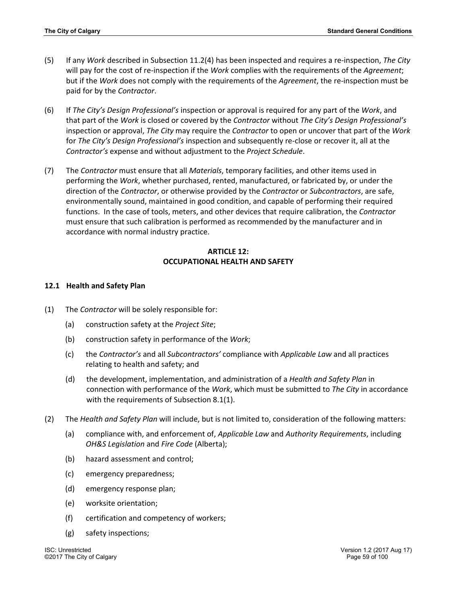- (5) If any *Work* described in Subsection 11.2(4) has been inspected and requires a re-inspection, *The City* will pay for the cost of re-inspection if the *Work* complies with the requirements of the *Agreement*; but if the *Work* does not comply with the requirements of the *Agreement*, the re-inspection must be paid for by the *Contractor*.
- (6) If *The City's Design Professional's* inspection or approval is required for any part of the *Work*, and that part of the *Work* is closed or covered by the *Contractor* without *The City's Design Professional's* inspection or approval, *The City* may require the *Contractor* to open or uncover that part of the *Work* for *The City's Design Professional's* inspection and subsequently re-close or recover it, all at the *Contractor's* expense and without adjustment to the *Project Schedule*.
- (7) The *Contractor* must ensure that all *Materials*, temporary facilities, and other items used in performing the *Work*, whether purchased, rented, manufactured, or fabricated by, or under the direction of the *Contractor*, or otherwise provided by the *Contractor* or *Subcontractors*, are safe, environmentally sound, maintained in good condition, and capable of performing their required functions. In the case of tools, meters, and other devices that require calibration, the *Contractor* must ensure that such calibration is performed as recommended by the manufacturer and in accordance with normal industry practice.

# **ARTICLE 12: OCCUPATIONAL HEALTH AND SAFETY**

## **12.1 Health and Safety Plan**

- (1) The *Contractor* will be solely responsible for:
	- (a) construction safety at the *Project Site*;
	- (b) construction safety in performance of the *Work*;
	- (c) the *Contractor's* and all *Subcontractors'* compliance with *Applicable Law* and all practices relating to health and safety; and
	- (d) the development, implementation, and administration of a *Health and Safety Plan* in connection with performance of the *Work*, which must be submitted to *The City* in accordance with the requirements of Subsection 8.1(1).
- (2) The *Health and Safety Plan* will include, but is not limited to, consideration of the following matters:
	- (a) compliance with, and enforcement of, *Applicable Law* and *Authority Requirements*, including *OH&S Legislation* and *Fire Code* (Alberta);
	- (b) hazard assessment and control;
	- (c) emergency preparedness;
	- (d) emergency response plan;
	- (e) worksite orientation;
	- (f) certification and competency of workers;
	- (g) safety inspections;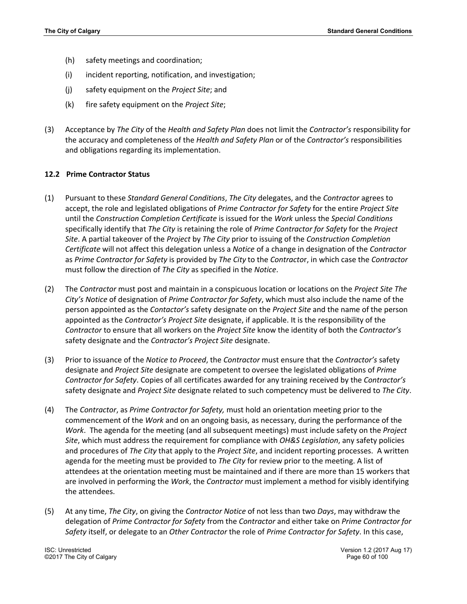- (h) safety meetings and coordination;
- (i) incident reporting, notification, and investigation;
- (j) safety equipment on the *Project Site*; and
- (k) fire safety equipment on the *Project Site*;
- (3) Acceptance by *The City* of the *Health and Safety Plan* does not limit the *Contractor's* responsibility for the accuracy and completeness of the *Health and Safety Plan* or of the *Contractor's* responsibilities and obligations regarding its implementation.

### **12.2 Prime Contractor Status**

- (1) Pursuant to these *Standard General Conditions*, *The City* delegates, and the *Contractor* agrees to accept, the role and legislated obligations of *Prime Contractor for Safety* for the entire *Project Site* until the *Construction Completion Certificate* is issued for the *Work* unless the *Special Conditions* specifically identify that *The City* is retaining the role of *Prime Contractor for Safety* for the *Project Site*. A partial takeover of the *Project* by *The City* prior to issuing of the *Construction Completion Certificate* will not affect this delegation unless a *Notice* of a change in designation of the *Contractor* as *Prime Contractor for Safety* is provided by *The City* to the *Contracto*r, in which case the *Contractor*  must follow the direction of *The City* as specified in the *Notice*.
- (2) The *Contractor* must post and maintain in a conspicuous location or locations on the *Project Site The City's Notice* of designation of *Prime Contractor for Safety*, which must also include the name of the person appointed as the *Contactor's* safety designate on the *Project Site* and the name of the person appointed as the *Contractor's Project Site* designate, if applicable. It is the responsibility of the *Contractor* to ensure that all workers on the *Project Site* know the identity of both the *Contractor's* safety designate and the *Contractor's Project Site* designate.
- (3) Prior to issuance of the *Notice to Proceed*, the *Contractor* must ensure that the *Contractor's* safety designate and *Project Site* designate are competent to oversee the legislated obligations of *Prime Contractor for Safety*. Copies of all certificates awarded for any training received by the *Contractor's*  safety designate and *Project Site* designate related to such competency must be delivered to *The City*.
- (4) The *Contractor*, as *Prime Contractor for Safety,* must hold an orientation meeting prior to the commencement of the *Work* and on an ongoing basis, as necessary, during the performance of the *Work*. The agenda for the meeting (and all subsequent meetings) must include safety on the *Project Site*, which must address the requirement for compliance with *OH&S Legislation*, any safety policies and procedures of *The City* that apply to the *Project Site*, and incident reporting processes. A written agenda for the meeting must be provided to *The City* for review prior to the meeting. A list of attendees at the orientation meeting must be maintained and if there are more than 15 workers that are involved in performing the *Work*, the *Contractor* must implement a method for visibly identifying the attendees.
- (5) At any time, *The City*, on giving the *Contractor Notice* of not less than two *Days*, may withdraw the delegation of *Prime Contractor for Safety* from the *Contractor* and either take on *Prime Contractor for Safety* itself, or delegate to an *Other Contractor* the role of *Prime Contractor for Safety*. In this case,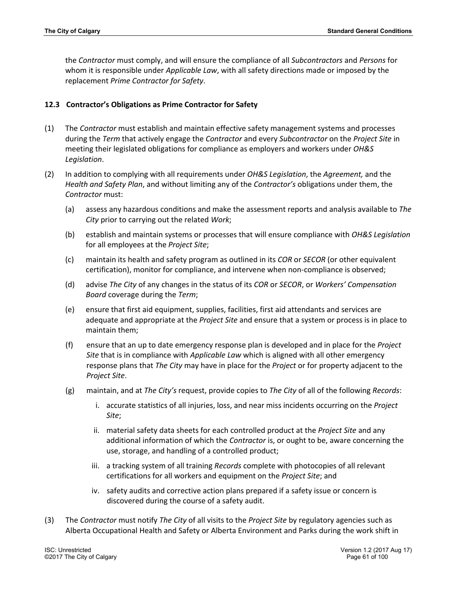the *Contractor* must comply, and will ensure the compliance of all *Subcontractors* and *Persons* for whom it is responsible under *Applicable Law*, with all safety directions made or imposed by the replacement *Prime Contractor for Safety*.

# **12.3 Contractor's Obligations as Prime Contractor for Safety**

- (1) The *Contractor* must establish and maintain effective safety management systems and processes during the *Term* that actively engage the *Contractor* and every *Subcontractor* on the *Project Site* in meeting their legislated obligations for compliance as employers and workers under *OH&S Legislation*.
- (2) In addition to complying with all requirements under *OH&S Legislation*, the *Agreement,* and the *Health and Safety Plan*, and without limiting any of the *Contractor's* obligations under them, the *Contractor* must:
	- (a) assess any hazardous conditions and make the assessment reports and analysis available to *The City* prior to carrying out the related *Work*;
	- (b) establish and maintain systems or processes that will ensure compliance with *OH&S Legislation* for all employees at the *Project Site*;
	- (c) maintain its health and safety program as outlined in its *COR* or *SECOR* (or other equivalent certification), monitor for compliance, and intervene when non-compliance is observed;
	- (d) advise *The City* of any changes in the status of its *COR* or *SECOR*, or *Workers' Compensation Board* coverage during the *Term*;
	- (e) ensure that first aid equipment, supplies, facilities, first aid attendants and services are adequate and appropriate at the *Project Site* and ensure that a system or process is in place to maintain them;
	- (f) ensure that an up to date emergency response plan is developed and in place for the *Project Site* that is in compliance with *Applicable Law* which is aligned with all other emergency response plans that *The City* may have in place for the *Project* or for property adjacent to the *Project Site*.
	- (g) maintain, and at *The City's* request, provide copies to *The City* of all of the following *Records*:
		- i. accurate statistics of all injuries, loss, and near miss incidents occurring on the *Project Site*;
		- ii. material safety data sheets for each controlled product at the *Project Site* and any additional information of which the *Contractor* is, or ought to be, aware concerning the use, storage, and handling of a controlled product;
		- iii. a tracking system of all training *Records* complete with photocopies of all relevant certifications for all workers and equipment on the *Project Site*; and
		- iv. safety audits and corrective action plans prepared if a safety issue or concern is discovered during the course of a safety audit.
- (3) The *Contractor* must notify *The City* of all visits to the *Project Site* by regulatory agencies such as Alberta Occupational Health and Safety or Alberta Environment and Parks during the work shift in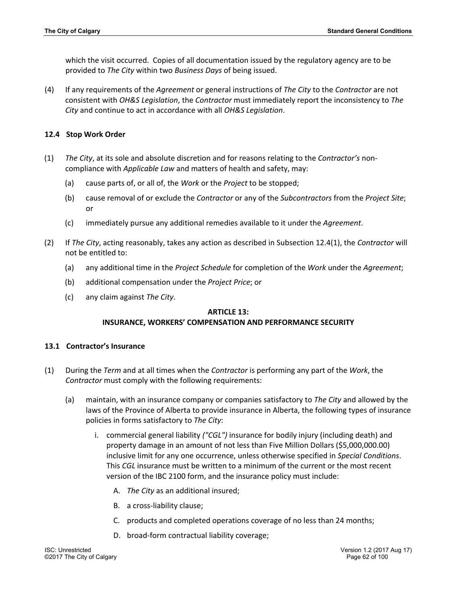which the visit occurred. Copies of all documentation issued by the regulatory agency are to be provided to *The City* within two *Business Days* of being issued.

(4) If any requirements of the *Agreement* or general instructions of *The City* to the *Contractor* are not consistent with *OH&S Legislation*, the *Contractor* must immediately report the inconsistency to *The City* and continue to act in accordance with all *OH&S Legislation*.

### **12.4 Stop Work Order**

- (1) *The City*, at its sole and absolute discretion and for reasons relating to the *Contractor's* noncompliance with *Applicable Law* and matters of health and safety, may:
	- (a) cause parts of, or all of, the *Work* or the *Project* to be stopped;
	- (b) cause removal of or exclude the *Contractor* or any of the *Subcontractors* from the *Project Site*; or
	- (c) immediately pursue any additional remedies available to it under the *Agreement*.
- (2) If *The City*, acting reasonably, takes any action as described in Subsection 12.4(1), the *Contractor* will not be entitled to:
	- (a) any additional time in the *Project Schedule* for completion of the *Work* under the *Agreement*;
	- (b) additional compensation under the *Project Price*; or
	- (c) any claim against *The City*.

## **ARTICLE 13:**

## **INSURANCE, WORKERS' COMPENSATION AND PERFORMANCE SECURITY**

#### **13.1 Contractor's Insurance**

- (1) During the *Term* and at all times when the *Contractor* is performing any part of the *Work*, the *Contractor* must comply with the following requirements:
	- (a) maintain, with an insurance company or companies satisfactory to *The City* and allowed by the laws of the Province of Alberta to provide insurance in Alberta, the following types of insurance policies in forms satisfactory to *The City*:
		- i. commercial general liability *("CGL")* insurance for bodily injury (including death) and property damage in an amount of not less than Five Million Dollars (\$5,000,000.00) inclusive limit for any one occurrence, unless otherwise specified in *Special Conditions*. This *CGL* insurance must be written to a minimum of the current or the most recent version of the IBC 2100 form, and the insurance policy must include:
			- A. *The City* as an additional insured;
			- B. a cross-liability clause;
			- C. products and completed operations coverage of no less than 24 months;
			- D. broad-form contractual liability coverage;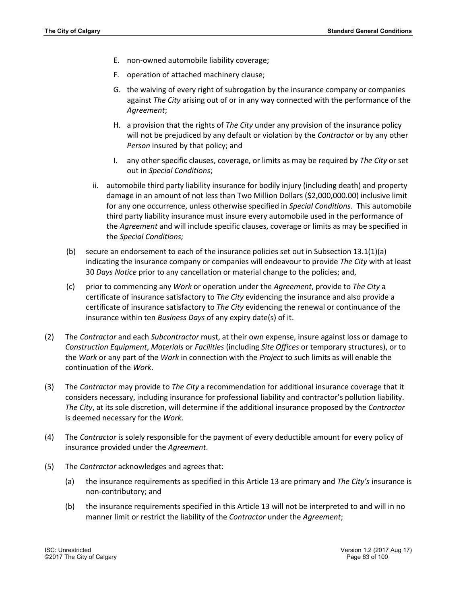- E. non-owned automobile liability coverage;
- F. operation of attached machinery clause;
- G. the waiving of every right of subrogation by the insurance company or companies against *The City* arising out of or in any way connected with the performance of the *Agreement*;
- H. a provision that the rights of *The City* under any provision of the insurance policy will not be prejudiced by any default or violation by the *Contractor* or by any other *Person* insured by that policy; and
- I. any other specific clauses, coverage, or limits as may be required by *The City* or set out in *Special Conditions*;
- ii. automobile third party liability insurance for bodily injury (including death) and property damage in an amount of not less than Two Million Dollars (\$2,000,000.00) inclusive limit for any one occurrence, unless otherwise specified in *Special Conditions*. This automobile third party liability insurance must insure every automobile used in the performance of the *Agreement* and will include specific clauses, coverage or limits as may be specified in the *Special Conditions;*
- (b) secure an endorsement to each of the insurance policies set out in Subsection  $13.1(1)(a)$ indicating the insurance company or companies will endeavour to provide *The City* with at least 30 *Days Notice* prior to any cancellation or material change to the policies; and,
- (c) prior to commencing any *Work* or operation under the *Agreement*, provide to *The City* a certificate of insurance satisfactory to *The City* evidencing the insurance and also provide a certificate of insurance satisfactory to *The City* evidencing the renewal or continuance of the insurance within ten *Business Days* of any expiry date(s) of it.
- (2) The *Contractor* and each *Subcontractor* must, at their own expense, insure against loss or damage to *Construction Equipment*, *Materials* or *Facilities* (including *Site Offices* or temporary structures), or to the *Work* or any part of the *Work* in connection with the *Project* to such limits as will enable the continuation of the *Work*.
- (3) The *Contractor* may provide to *The City* a recommendation for additional insurance coverage that it considers necessary, including insurance for professional liability and contractor's pollution liability. *The City*, at its sole discretion, will determine if the additional insurance proposed by the *Contractor* is deemed necessary for the *Work*.
- (4) The *Contractor* is solely responsible for the payment of every deductible amount for every policy of insurance provided under the *Agreement*.
- (5) The *Contractor* acknowledges and agrees that:
	- (a) the insurance requirements as specified in this Article 13 are primary and *The City's* insurance is non-contributory; and
	- (b) the insurance requirements specified in this Article 13 will not be interpreted to and will in no manner limit or restrict the liability of the *Contractor* under the *Agreement*;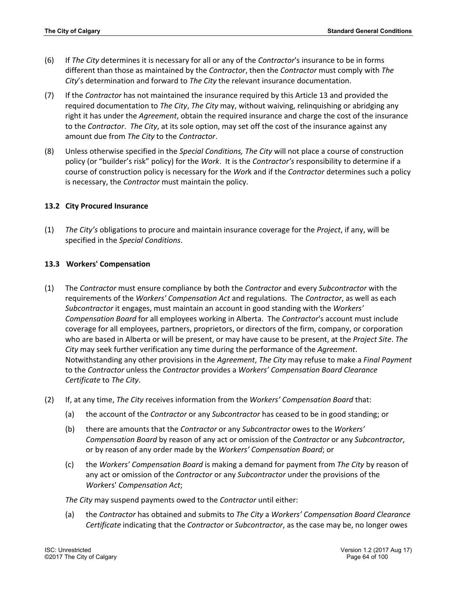- (6) If *The City* determines it is necessary for all or any of the *Contractor*'s insurance to be in forms different than those as maintained by the *Contractor*, then the *Contractor* must comply with *The City*'s determination and forward to *The City* the relevant insurance documentation.
- (7) If the *Contractor* has not maintained the insurance required by this Article 13 and provided the required documentation to *The City*, *The City* may, without waiving, relinquishing or abridging any right it has under the *Agreement*, obtain the required insurance and charge the cost of the insurance to the *Contractor*. *The City*, at its sole option, may set off the cost of the insurance against any amount due from *The City* to the *Contractor*.
- (8) Unless otherwise specified in the *Special Conditions, The City* will not place a course of construction policy (or "builder's risk" policy) for the *Work*. It is the *Contractor's* responsibility to determine if a course of construction policy is necessary for the *Wor*k and if the *Contractor* determines such a policy is necessary, the *Contractor* must maintain the policy.

### **13.2 City Procured Insurance**

(1) *The City's* obligations to procure and maintain insurance coverage for the *Project*, if any, will be specified in the *Special Conditions*.

### **13.3 Workers' Compensation**

- (1) The *Contractor* must ensure compliance by both the *Contractor* and every *Subcontractor* with the requirements of the *Workers' Compensation Act* and regulations. The *Contractor*, as well as each *Subcontractor* it engages, must maintain an account in good standing with the *Workers' Compensation Board* for all employees working in Alberta. The *Contractor*'s account must include coverage for all employees, partners, proprietors, or directors of the firm, company, or corporation who are based in Alberta or will be present, or may have cause to be present, at the *Project Site*. *The City* may seek further verification any time during the performance of the *Agreement*. Notwithstanding any other provisions in the *Agreement*, *The City* may refuse to make a *Final Payment* to the *Contractor* unless the *Contractor* provides a *Workers' Compensation Board Clearance Certificate* to *The City*.
- (2) If, at any time, *The City* receives information from the *Workers' Compensation Board* that:
	- (a) the account of the *Contractor* or any *Subcontractor* has ceased to be in good standing; or
	- (b) there are amounts that the *Contractor* or any *Subcontractor* owes to the *Workers' Compensation Board* by reason of any act or omission of the *Contractor* or any *Subcontractor*, or by reason of any order made by the *Workers' Compensation Board*; or
	- (c) the *Workers' Compensation Board* is making a demand for payment from *The City* by reason of any act or omission of the *Contractor* or any *Subcontractor* under the provisions of the *Work*ers' *Compensation Act*;

*The City* may suspend payments owed to the *Contractor* until either:

(a) the *Contractor* has obtained and submits to *The City* a *Workers' Compensation Board Clearance Certificate* indicating that the *Contractor* or *Subcontractor*, as the case may be, no longer owes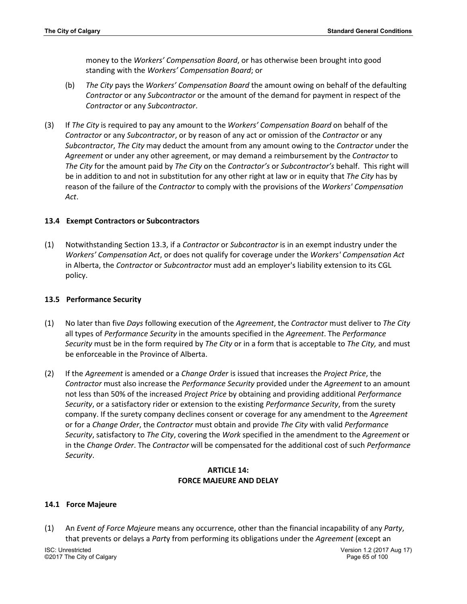money to the *Workers' Compensation Board*, or has otherwise been brought into good standing with the *Workers' Compensation Board*; or

- (b) *The City* pays the *Workers' Compensation Board* the amount owing on behalf of the defaulting *Contractor* or any *Subcontractor* or the amount of the demand for payment in respect of the *Contractor* or any *Subcontractor*.
- (3) If *The City* is required to pay any amount to the *Workers' Compensation Board* on behalf of the *Contractor* or any *Subcontractor*, or by reason of any act or omission of the *Contractor* or any *Subcontractor*, *The City* may deduct the amount from any amount owing to the *Contractor* under the *Agreement* or under any other agreement, or may demand a reimbursement by the *Contractor* to *The City* for the amount paid by *The City* on the *Contractor's* or *Subcontractor's* behalf. This right will be in addition to and not in substitution for any other right at law or in equity that *The City* has by reason of the failure of the *Contractor* to comply with the provisions of the *Workers' Compensation Act*.

### **13.4 Exempt Contractors or Subcontractors**

(1) Notwithstanding Section 13.3, if a *Contractor* or *Subcontractor* is in an exempt industry under the *Workers' Compensation Act*, or does not qualify for coverage under the *Workers' Compensation Act* in Alberta, the *Contractor* or *Subcontractor* must add an employer's liability extension to its CGL policy.

#### **13.5 Performance Security**

- (1) No later than five *Days* following execution of the *Agreement*, the *Contractor* must deliver to *The City* all types of *Performance Security* in the amounts specified in the *Agreement*. The *Performance Security* must be in the form required by *The City* or in a form that is acceptable to *The City,* and must be enforceable in the Province of Alberta.
- (2) If the *Agreement* is amended or a *Change Order* is issued that increases the *Project Price*, the *Contractor* must also increase the *Performance Security* provided under the *Agreement* to an amount not less than 50% of the increased *Project Price* by obtaining and providing additional *Performance Security*, or a satisfactory rider or extension to the existing *Performance Security*, from the surety company. If the surety company declines consent or coverage for any amendment to the *Agreement* or for a *Change Order*, the *Contractor* must obtain and provide *The City* with valid *Performance Security*, satisfactory to *The City*, covering the *Work* specified in the amendment to the *Agreement* or in the *Change Order*. The *Contractor* will be compensated for the additional cost of such *Performance Security*.

## **ARTICLE 14: FORCE MAJEURE AND DELAY**

## **14.1 Force Majeure**

(1) An *Event of Force Majeure* means any occurrence, other than the financial incapability of any *Party*, that prevents or delays a *Part*y from performing its obligations under the *Agreement* (except an

©2017 The City of Calgary Page 65 of 100

ISC: Unrestricted Version 1.2 (2017 Aug 17)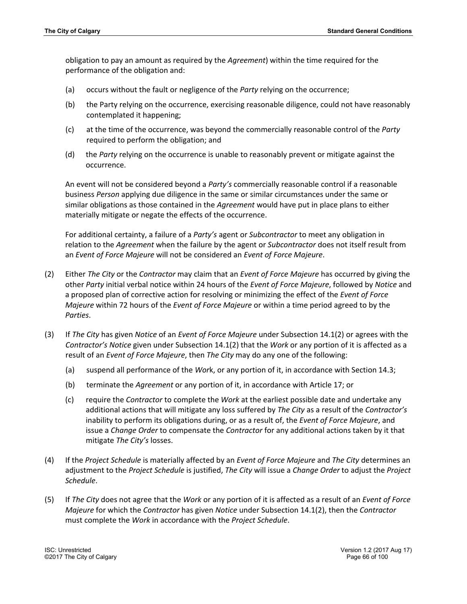obligation to pay an amount as required by the *Agreement*) within the time required for the performance of the obligation and:

- (a) occurs without the fault or negligence of the *Party* relying on the occurrence;
- (b) the Party relying on the occurrence, exercising reasonable diligence, could not have reasonably contemplated it happening;
- (c) at the time of the occurrence, was beyond the commercially reasonable control of the *Party* required to perform the obligation; and
- (d) the *Party* relying on the occurrence is unable to reasonably prevent or mitigate against the occurrence.

An event will not be considered beyond a *Party's* commercially reasonable control if a reasonable business *Person* applying due diligence in the same or similar circumstances under the same or similar obligations as those contained in the *Agreement* would have put in place plans to either materially mitigate or negate the effects of the occurrence.

For additional certainty, a failure of a *Party's* agent or *Subcontractor* to meet any obligation in relation to the *Agreement* when the failure by the agent or *Subcontractor* does not itself result from an *Event of Force Majeure* will not be considered an *Event of Force Majeure*.

- (2) Either *The City* or the *Contractor* may claim that an *Event of Force Majeure* has occurred by giving the other *Party* initial verbal notice within 24 hours of the *Event of Force Majeure*, followed by *Notice* and a proposed plan of corrective action for resolving or minimizing the effect of the *Event of Force Majeure* within 72 hours of the *Event of Force Majeure* or within a time period agreed to by the *Parties*.
- (3) If *The City* has given *Notice* of an *Event of Force Majeure* under Subsection 14.1(2) or agrees with the *Contractor's Notice* given under Subsection 14.1(2) that the *Work* or any portion of it is affected as a result of an *Event of Force Majeure*, then *The City* may do any one of the following:
	- (a) suspend all performance of the *Wor*k, or any portion of it, in accordance with Section 14.3;
	- (b) terminate the *Agreement* or any portion of it, in accordance with Article 17; or
	- (c) require the *Contractor* to complete the *Work* at the earliest possible date and undertake any additional actions that will mitigate any loss suffered by *The City* as a result of the *Contractor's* inability to perform its obligations during, or as a result of, the *Event of Force Majeure*, and issue a *Change Order* to compensate the *Contractor* for any additional actions taken by it that mitigate *The City's* losses.
- (4) If the *Project Schedule* is materially affected by an *Event of Force Majeure* and *The City* determines an adjustment to the *Project Schedule* is justified, *The City* will issue a *Change Order* to adjust the *Project Schedule*.
- (5) If *The City* does not agree that the *Work* or any portion of it is affected as a result of an *Event of Force Majeure* for which the *Contractor* has given *Notice* under Subsection 14.1(2), then the *Contractor* must complete the *Work* in accordance with the *Project Schedule*.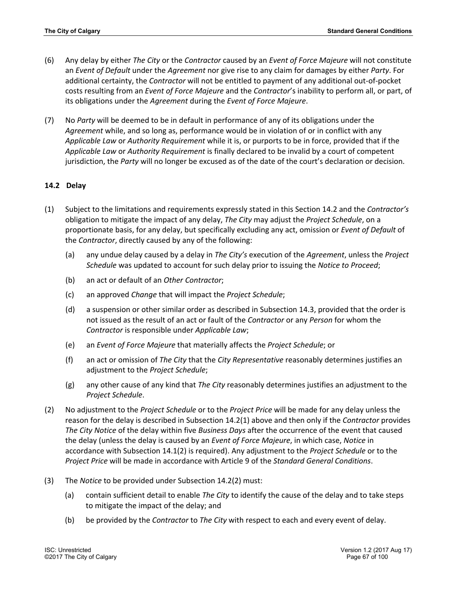- (6) Any delay by either *The City* or the *Contractor* caused by an *Event of Force Majeure* will not constitute an *Event of Default* under the *Agreement* nor give rise to any claim for damages by either *Party*. For additional certainty, the *Contractor* will not be entitled to payment of any additional out-of-pocket costs resulting from an *Event of Force Majeure* and the *Contractor*'s inability to perform all, or part, of its obligations under the *Agreement* during the *Event of Force Majeure*.
- (7) No *Party* will be deemed to be in default in performance of any of its obligations under the *Agreement* while, and so long as, performance would be in violation of or in conflict with any *Applicable Law* or *Authority Requirement* while it is, or purports to be in force, provided that if the *Applicable Law* or *Authority Requirement* is finally declared to be invalid by a court of competent jurisdiction, the *Party* will no longer be excused as of the date of the court's declaration or decision.

# **14.2 Delay**

- (1) Subject to the limitations and requirements expressly stated in this Section 14.2 and the *Contractor's* obligation to mitigate the impact of any delay, *The City* may adjust the *Project Schedule*, on a proportionate basis, for any delay, but specifically excluding any act, omission or *Event of Default* of the *Contractor*, directly caused by any of the following:
	- (a) any undue delay caused by a delay in *The City's* execution of the *Agreement*, unless the *Project Schedule* was updated to account for such delay prior to issuing the *Notice to Proceed*;
	- (b) an act or default of an *Other Contractor*;
	- (c) an approved *Change* that will impact the *Project Schedule*;
	- (d) a suspension or other similar order as described in Subsection 14.3, provided that the order is not issued as the result of an act or fault of the *Contractor* or any *Person* for whom the *Contractor* is responsible under *Applicable Law*;
	- (e) an *Event of Force Majeure* that materially affects the *Project Schedule*; or
	- (f) an act or omission of *The City* that the *City Representative* reasonably determines justifies an adjustment to the *Project Schedule*;
	- (g) any other cause of any kind that *The City* reasonably determines justifies an adjustment to the *Project Schedule*.
- (2) No adjustment to the *Project Schedule* or to the *Project Price* will be made for any delay unless the reason for the delay is described in Subsection 14.2(1) above and then only if the *Contractor* provides *The City Notice* of the delay within five *Business Days* after the occurrence of the event that caused the delay (unless the delay is caused by an *Event of Force Majeure*, in which case, *Notice* in accordance with Subsection 14.1(2) is required). Any adjustment to the *Project Schedule* or to the *Project Price* will be made in accordance with Article 9 of the *Standard General Conditions*.
- (3) The *Notice* to be provided under Subsection 14.2(2) must:
	- (a) contain sufficient detail to enable *The City* to identify the cause of the delay and to take steps to mitigate the impact of the delay; and
	- (b) be provided by the *Contractor* to *The City* with respect to each and every event of delay.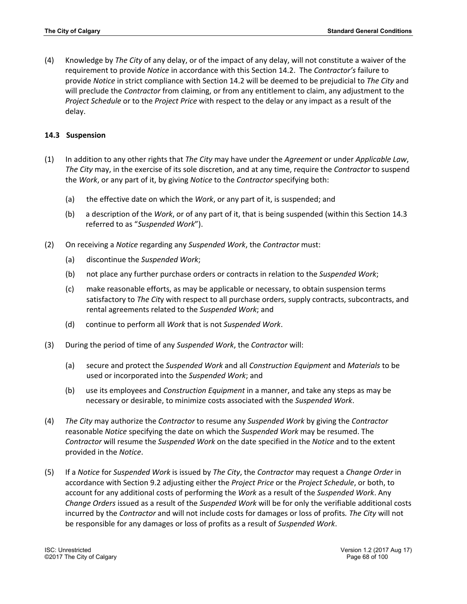(4) Knowledge by *The City* of any delay, or of the impact of any delay, will not constitute a waiver of the requirement to provide *Notice* in accordance with this Section 14.2. The *Contractor's* failure to provide *Notice* in strict compliance with Section 14.2 will be deemed to be prejudicial to *The City* and will preclude the *Contractor* from claiming, or from any entitlement to claim, any adjustment to the *Project Schedule* or to the *Project Price* with respect to the delay or any impact as a result of the delay.

# **14.3 Suspension**

- (1) In addition to any other rights that *The City* may have under the *Agreement* or under *Applicable Law*, *The City* may, in the exercise of its sole discretion, and at any time, require the *Contractor* to suspend the *Work*, or any part of it, by giving *Notice* to the *Contractor* specifying both:
	- (a) the effective date on which the *Work*, or any part of it, is suspended; and
	- (b) a description of the *Work*, or of any part of it, that is being suspended (within this Section 14.3 referred to as "*Suspended Work*").
- (2) On receiving a *Notice* regarding any *Suspended Work*, the *Contractor* must:
	- (a) discontinue the *Suspended Work*;
	- (b) not place any further purchase orders or contracts in relation to the *Suspended Work*;
	- (c) make reasonable efforts, as may be applicable or necessary, to obtain suspension terms satisfactory to *The Cit*y with respect to all purchase orders, supply contracts, subcontracts, and rental agreements related to the *Suspended Work*; and
	- (d) continue to perform all *Work* that is not *Suspended Work*.
- (3) During the period of time of any *Suspended Work*, the *Contractor* will:
	- (a) secure and protect the *Suspended Work* and all *Construction Equipment* and *Materials* to be used or incorporated into the *Suspended Work*; and
	- (b) use its employees and *Construction Equipment* in a manner, and take any steps as may be necessary or desirable, to minimize costs associated with the *Suspended Work*.
- (4) *The City* may authorize the *Contractor* to resume any *Suspended Work* by giving the *Contractor*  reasonable *Notice* specifying the date on which the *Suspended Work* may be resumed. The *Contractor* will resume the *Suspended Work* on the date specified in the *Notice* and to the extent provided in the *Notice*.
- (5) If a *Notice* for *Suspended Work* is issued by *The City*, the *Contractor* may request a *Change Order* in accordance with Section 9.2 adjusting either the *Project Price* or the *Project Schedule*, or both, to account for any additional costs of performing the *Work* as a result of the *Suspended Work*. Any *Change Orders* issued as a result of the *Suspended Work* will be for only the verifiable additional costs incurred by the *Contractor* and will not include costs for damages or loss of profits*. The City* will not be responsible for any damages or loss of profits as a result of *Suspended Work*.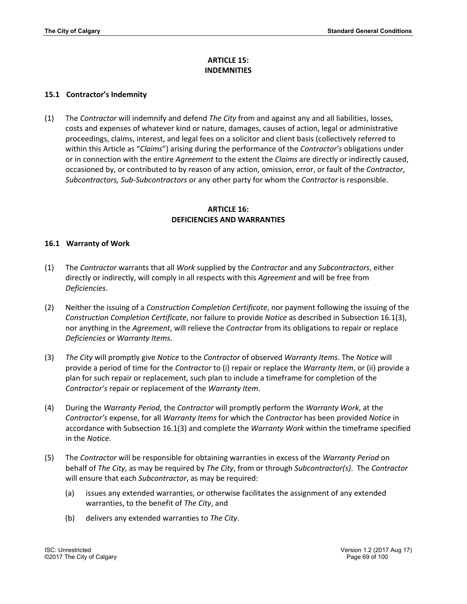## **ARTICLE 15: INDEMNITIES**

### **15.1 Contractor's Indemnity**

(1) The *Contractor* will indemnify and defend *The City* from and against any and all liabilities, losses, costs and expenses of whatever kind or nature, damages, causes of action, legal or administrative proceedings, claims, interest, and legal fees on a solicitor and client basis (collectively referred to within this Article as "*Claims*") arising during the performance of the *Contractor's* obligations under or in connection with the entire *Agreement* to the extent the *Claims* are directly or indirectly caused, occasioned by, or contributed to by reason of any action, omission, error, or fault of the *Contractor*, *Subcontractors, Sub-Subcontractors* or any other party for whom the *Contractor* is responsible.

### **ARTICLE 16: DEFICIENCIES AND WARRANTIES**

### **16.1 Warranty of Work**

- (1) The *Contractor* warrants that all *Work* supplied by the *Contractor* and any *Subcontractors*, either directly or indirectly, will comply in all respects with this *Agreement* and will be free from *Deficiencies*.
- (2) Neither the issuing of a *Construction Completion Certificate*, nor payment following the issuing of the *Construction Completion Certificate*, nor failure to provide *Notice* as described in Subsection 16.1(3), nor anything in the *Agreement*, will relieve the *Contractor* from its obligations to repair or replace *Deficiencies* or *Warranty Items*.
- (3) *The City* will promptly give *Notice* to the *Contractor* of observed *Warranty Items*. The *Notice* will provide a period of time for the *Contractor* to (i) repair or replace the *Warranty Item*, or (ii) provide a plan for such repair or replacement, such plan to include a timeframe for completion of the *Contractor's* repair or replacement of the *Warranty Item*.
- (4) During the *Warranty Period,* the *Contractor* will promptly perform the *Warranty Work*, at the *Contractor's* expense, for all *Warranty Items* for which the *Contractor* has been provided *Notice* in accordance with Subsection 16.1(3) and complete the *Warranty Work* within the timeframe specified in the *Notice*.
- (5) The *Contractor* will be responsible for obtaining warranties in excess of the *Warranty Period* on behalf of *The City*, as may be required by *The City*, from or through *Subcontractor(s)*. The *Contractor* will ensure that each *Subcontractor*, as may be required:
	- (a) issues any extended warranties, or otherwise facilitates the assignment of any extended warranties, to the benefit of *The City*, and
	- (b) delivers any extended warranties to *The City*.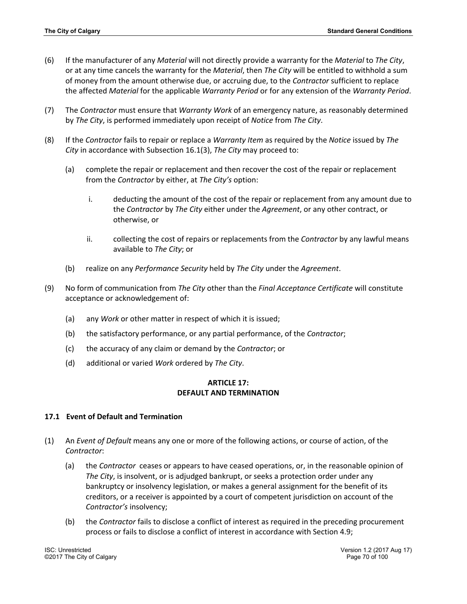- (6) If the manufacturer of any *Material* will not directly provide a warranty for the *Material* to *The City*, or at any time cancels the warranty for the *Material*, then *The City* will be entitled to withhold a sum of money from the amount otherwise due, or accruing due, to the *Contractor* sufficient to replace the affected *Material* for the applicable *Warranty Period* or for any extension of the *Warranty Period*.
- (7) The *Contractor* must ensure that *Warranty Work* of an emergency nature, as reasonably determined by *The City*, is performed immediately upon receipt of *Notice* from *The City*.
- (8) If the *Contractor* fails to repair or replace a *Warranty Item* as required by the *Notice* issued by *The City* in accordance with Subsection 16.1(3), *The City* may proceed to:
	- (a) complete the repair or replacement and then recover the cost of the repair or replacement from the *Contractor* by either, at *The City's* option:
		- i. deducting the amount of the cost of the repair or replacement from any amount due to the *Contractor* by *The City* either under the *Agreement*, or any other contract, or otherwise, or
		- ii. collecting the cost of repairs or replacements from the *Contractor* by any lawful means available to *The City*; or
	- (b) realize on any *Performance Security* held by *The City* under the *Agreement*.
- (9) No form of communication from *The City* other than the *Final Acceptance Certificate* will constitute acceptance or acknowledgement of:
	- (a) any *Work* or other matter in respect of which it is issued;
	- (b) the satisfactory performance, or any partial performance, of the *Contractor*;
	- (c) the accuracy of any claim or demand by the *Contractor*; or
	- (d) additional or varied *Work* ordered by *The City*.

## **ARTICLE 17: DEFAULT AND TERMINATION**

## **17.1 Event of Default and Termination**

- (1) An *Event of Default* means any one or more of the following actions, or course of action, of the *Contractor*:
	- (a) the *Contractor* ceases or appears to have ceased operations, or, in the reasonable opinion of *The City*, is insolvent, or is adjudged bankrupt, or seeks a protection order under any bankruptcy or insolvency legislation, or makes a general assignment for the benefit of its creditors, or a receiver is appointed by a court of competent jurisdiction on account of the *Contractor's* insolvency;
	- (b) the *Contractor* fails to disclose a conflict of interest as required in the preceding procurement process or fails to disclose a conflict of interest in accordance with Section 4.9;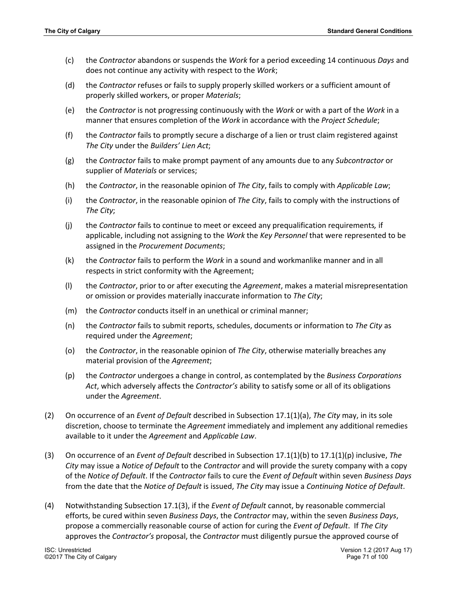- (c) the *Contractor* abandons or suspends the *Work* for a period exceeding 14 continuous *Days* and does not continue any activity with respect to the *Work*;
- (d) the *Contractor* refuses or fails to supply properly skilled workers or a sufficient amount of properly skilled workers, or proper *Materials*;
- (e) the *Contractor* is not progressing continuously with the *Work* or with a part of the *Work* in a manner that ensures completion of the *Work* in accordance with the *Project Schedule*;
- (f) the *Contractor* fails to promptly secure a discharge of a lien or trust claim registered against *The City* under the *Builders' Lien Act*;
- (g) the *Contractor* fails to make prompt payment of any amounts due to any *Subcontractor* or supplier of *Materials* or services;
- (h) the *Contractor*, in the reasonable opinion of *The City*, fails to comply with *Applicable Law*;
- (i) the *Contractor*, in the reasonable opinion of *The City*, fails to comply with the instructions of *The City*;
- (j) the *Contractor* fails to continue to meet or exceed any prequalification requirements*,* if applicable, including not assigning to the *Work* the *Key Personnel* that were represented to be assigned in the *Procurement Documents*;
- (k) the *Contractor* fails to perform the *Work* in a sound and workmanlike manner and in all respects in strict conformity with the Agreement;
- (l) the *Contractor*, prior to or after executing the *Agreement*, makes a material misrepresentation or omission or provides materially inaccurate information to *The City*;
- (m) the *Contractor* conducts itself in an unethical or criminal manner;
- (n) the *Contractor* fails to submit reports, schedules, documents or information to *The City* as required under the *Agreement*;
- (o) the *Contractor*, in the reasonable opinion of *The City*, otherwise materially breaches any material provision of the *Agreement*;
- (p) the *Contractor* undergoes a change in control, as contemplated by the *Business Corporations Act*, which adversely affects the *Contractor's* ability to satisfy some or all of its obligations under the *Agreement*.
- (2) On occurrence of an *Event of Default* described in Subsection 17.1(1)(a), *The City* may, in its sole discretion, choose to terminate the *Agreement* immediately and implement any additional remedies available to it under the *Agreement* and *Applicable Law*.
- (3) On occurrence of an *Event of Default* described in Subsection 17.1(1)(b) to 17.1(1)(p) inclusive, *The City* may issue a *Notice of Default* to the *Contractor* and will provide the surety company with a copy of the *Notice of Default*. If the *Contractor* fails to cure the *Event of Default* within seven *Business Days* from the date that the *Notice of Default* is issued, *The City* may issue a *Continuing Notice of Default*.
- (4) Notwithstanding Subsection 17.1(3), if the *Event of Default* cannot, by reasonable commercial efforts, be cured within seven *Business Days*, the *Contractor* may, within the seven *Business Days*, propose a commercially reasonable course of action for curing the *Event of Default*. If *The City* approves the *Contractor's* proposal, the *Contractor* must diligently pursue the approved course of

©2017 The City of Calgary Page 71 of 100

ISC: Unrestricted Version 1.2 (2017 Aug 17)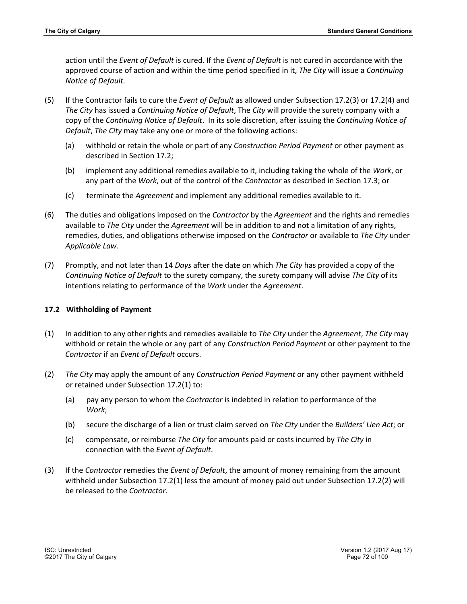action until the *Event of Default* is cured. If the *Event of Default* is not cured in accordance with the approved course of action and within the time period specified in it, *The City* will issue a *Continuing Notice of Default.*

- (5) If the Contractor fails to cure the *Event of Default* as allowed under Subsection 17.2(3) or 17.2(4) and *The City* has issued a *Continuing Notice of Default*, The *City* will provide the surety company with a copy of the *Continuing Notice of Default*. In its sole discretion, after issuing the *Continuing Notice of Default*, *The City* may take any one or more of the following actions:
	- (a) withhold or retain the whole or part of any *Construction Period Payment* or other payment as described in Section 17.2;
	- (b) implement any additional remedies available to it, including taking the whole of the *Work*, or any part of the *Work*, out of the control of the *Contractor* as described in Section 17.3; or
	- (c) terminate the *Agreement* and implement any additional remedies available to it.
- (6) The duties and obligations imposed on the *Contractor* by the *Agreement* and the rights and remedies available to *The City* under the *Agreement* will be in addition to and not a limitation of any rights, remedies, duties, and obligations otherwise imposed on the *Contractor* or available to *The City* under *Applicable Law*.
- (7) Promptly, and not later than 14 *Days* after the date on which *The City* has provided a copy of the *Continuing Notice of Default* to the surety company, the surety company will advise *The City* of its intentions relating to performance of the *Work* under the *Agreement*.

## **17.2 Withholding of Payment**

- (1) In addition to any other rights and remedies available to *The City* under the *Agreement*, *The City* may withhold or retain the whole or any part of any *Construction Period Payment* or other payment to the *Contractor* if an *Event of Default* occurs.
- (2) *The City* may apply the amount of any *Construction Period Payment* or any other payment withheld or retained under Subsection 17.2(1) to:
	- (a) pay any person to whom the *Contractor* is indebted in relation to performance of the *Work*;
	- (b) secure the discharge of a lien or trust claim served on *The City* under the *Builders' Lien Act*; or
	- (c) compensate, or reimburse *The City* for amounts paid or costs incurred by *The City* in connection with the *Event of Default*.
- (3) If the *Contractor* remedies the *Event of Default*, the amount of money remaining from the amount withheld under Subsection 17.2(1) less the amount of money paid out under Subsection 17.2(2) will be released to the *Contractor*.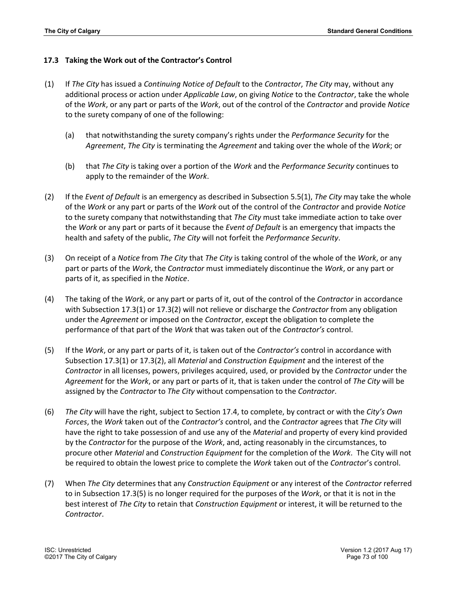#### **17.3 Taking the Work out of the Contractor's Control**

- (1) If *The City* has issued a *Continuing Notice of Default* to the *Contractor*, *The City* may, without any additional process or action under *Applicable Law*, on giving *Notice* to the *Contractor*, take the whole of the *Work*, or any part or parts of the *Work*, out of the control of the *Contractor* and provide *Notice* to the surety company of one of the following:
	- (a) that notwithstanding the surety company's rights under the *Performance Security* for the *Agreement*, *The City* is terminating the *Agreement* and taking over the whole of the *Work*; or
	- (b) that *The City* is taking over a portion of the *Work* and the *Performance Security* continues to apply to the remainder of the *Work*.
- (2) If the *Event of Default* is an emergency as described in Subsection 5.5(1), *The City* may take the whole of the *Work* or any part or parts of the *Work* out of the control of the *Contractor* and provide *Notice* to the surety company that notwithstanding that *The City* must take immediate action to take over the *Work* or any part or parts of it because the *Event of Default* is an emergency that impacts the health and safety of the public, *The City* will not forfeit the *Performance Security*.
- (3) On receipt of a *Notice* from *The City* that *The City* is taking control of the whole of the *Work*, or any part or parts of the *Work*, the *Contractor* must immediately discontinue the *Work*, or any part or parts of it, as specified in the *Notice*.
- (4) The taking of the *Work*, or any part or parts of it, out of the control of the *Contractor* in accordance with Subsection 17.3(1) or 17.3(2) will not relieve or discharge the *Contractor* from any obligation under the *Agreement* or imposed on the *Contractor*, except the obligation to complete the performance of that part of the *Work* that was taken out of the *Contractor's* control.
- (5) If the *Work*, or any part or parts of it, is taken out of the *Contractor's* control in accordance with Subsection 17.3(1) or 17.3(2), all *Material* and *Construction Equipment* and the interest of the *Contractor* in all licenses, powers, privileges acquired, used, or provided by the *Contractor* under the *Agreement* for the *Work*, or any part or parts of it, that is taken under the control of *The City* will be assigned by the *Contractor* to *The City* without compensation to the *Contractor*.
- (6) *The City* will have the right, subject to Section 17.4, to complete, by contract or with the *City's Own Forces*, the *Work* taken out of the *Contractor's* control, and the *Contractor* agrees that *The City* will have the right to take possession of and use any of the *Material* and property of every kind provided by the *Contractor* for the purpose of the *Work*, and, acting reasonably in the circumstances, to procure other *Material* and *Construction Equipment* for the completion of the *Work*. The City will not be required to obtain the lowest price to complete the *Work* taken out of the *Contracto*r's control.
- (7) When *The City* determines that any *Construction Equipment* or any interest of the *Contractor* referred to in Subsection 17.3(5) is no longer required for the purposes of the *Work*, or that it is not in the best interest of *The City* to retain that *Construction Equipment* or interest, it will be returned to the *Contractor*.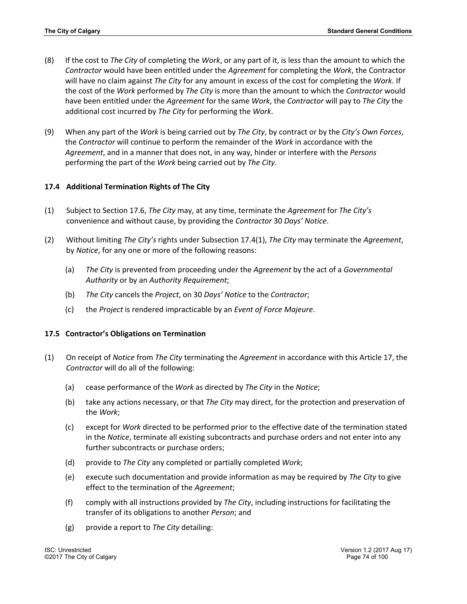- (8) If the cost to *The City* of completing the *Work*, or any part of it, is less than the amount to which the *Contractor* would have been entitled under the *Agreement* for completing the *Work*, the Contractor will have no claim against *The City* for any amount in excess of the cost for completing the *Work*. If the cost of the *Work* performed by *The City* is more than the amount to which the *Contractor* would have been entitled under the *Agreement* for the same *Work*, the *Contractor* will pay to *The City* the additional cost incurred by *The City* for performing the *Work*.
- (9) When any part of the *Work* is being carried out by *The City*, by contract or by the *City's Own Forces*, the *Contractor* will continue to perform the remainder of the *Work* in accordance with the *Agreement*, and in a manner that does not, in any way, hinder or interfere with the *Persons* performing the part of the *Work* being carried out by *The City*.

# **17.4 Additional Termination Rights of The City**

- (1) Subject to Section 17.6, *The City* may, at any time, terminate the *Agreement* for *The City's* convenience and without cause, by providing the *Contractor* 30 *Days' Notice*.
- (2) Without limiting *The City's* rights under Subsection 17.4(1), *The City* may terminate the *Agreement*, by *Notice*, for any one or more of the following reasons:
	- (a) *The City* is prevented from proceeding under the *Agreement* by the act of a *Governmental Authority* or by an *Authority Requirement*;
	- (b) *The City* cancels the *Project*, on 30 *Days' Notice* to the *Contractor*;
	- (c) the *Project* is rendered impracticable by an *Event of Force Majeure*.

### **17.5 Contractor's Obligations on Termination**

- (1) On receipt of *Notice* from *The City* terminating the *Agreement* in accordance with this Article 17, the *Contractor* will do all of the following:
	- (a) cease performance of the *Work* as directed by *The City* in the *Notice*;
	- (b) take any actions necessary, or that *The City* may direct, for the protection and preservation of the *Work*;
	- (c) except for *Work* directed to be performed prior to the effective date of the termination stated in the *Notice*, terminate all existing subcontracts and purchase orders and not enter into any further subcontracts or purchase orders;
	- (d) provide to *The City* any completed or partially completed *Work*;
	- (e) execute such documentation and provide information as may be required by *The City* to give effect to the termination of the *Agreement*;
	- (f) comply with all instructions provided by *The City*, including instructions for facilitating the transfer of its obligations to another *Person*; and
	- (g) provide a report to *The City* detailing: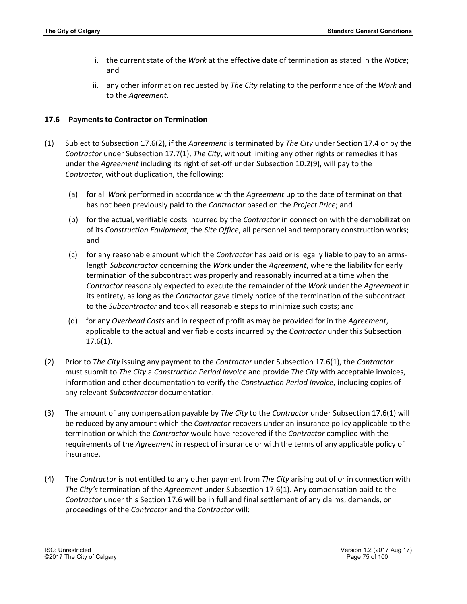- i. the current state of the *Work* at the effective date of termination as stated in the *Notice*; and
- ii. any other information requested by *The City* relating to the performance of the *Work* and to the *Agreement*.

#### **17.6 Payments to Contractor on Termination**

- (1) Subject to Subsection 17.6(2), if the *Agreement* is terminated by *The City* under Section 17.4 or by the *Contractor* under Subsection 17.7(1), *The City*, without limiting any other rights or remedies it has under the *Agreement* including its right of set-off under Subsection 10.2(9), will pay to the *Contractor*, without duplication, the following:
	- (a) for all *Work* performed in accordance with the *Agreement* up to the date of termination that has not been previously paid to the *Contractor* based on the *Project Price*; and
	- (b) for the actual, verifiable costs incurred by the *Contractor* in connection with the demobilization of its *Construction Equipment*, the *Site Office*, all personnel and temporary construction works; and
	- (c) for any reasonable amount which the *Contractor* has paid or is legally liable to pay to an armslength *Subcontractor* concerning the *Work* under the *Agreement*, where the liability for early termination of the subcontract was properly and reasonably incurred at a time when the *Contractor* reasonably expected to execute the remainder of the *Work* under the *Agreement* in its entirety, as long as the *Contractor* gave timely notice of the termination of the subcontract to the *Subcontractor* and took all reasonable steps to minimize such costs; and
	- (d) for any *Overhead Costs* and in respect of profit as may be provided for in the *Agreement*, applicable to the actual and verifiable costs incurred by the *Contractor* under this Subsection 17.6(1).
- (2) Prior to *The City* issuing any payment to the *Contractor* under Subsection 17.6(1), the *Contractor* must submit to *The City* a *Construction Period Invoice* and provide *The City* with acceptable invoices, information and other documentation to verify the *Construction Period Invoice*, including copies of any relevant *Subcontractor* documentation.
- (3) The amount of any compensation payable by *The City* to the *Contractor* under Subsection 17.6(1) will be reduced by any amount which the *Contractor* recovers under an insurance policy applicable to the termination or which the *Contractor* would have recovered if the *Contractor* complied with the requirements of the *Agreement* in respect of insurance or with the terms of any applicable policy of insurance.
- (4) The *Contractor* is not entitled to any other payment from *The City* arising out of or in connection with *The City's* termination of the *Agreement* under Subsection 17.6(1). Any compensation paid to the *Contractor* under this Section 17.6 will be in full and final settlement of any claims, demands, or proceedings of the *Contractor* and the *Contractor* will: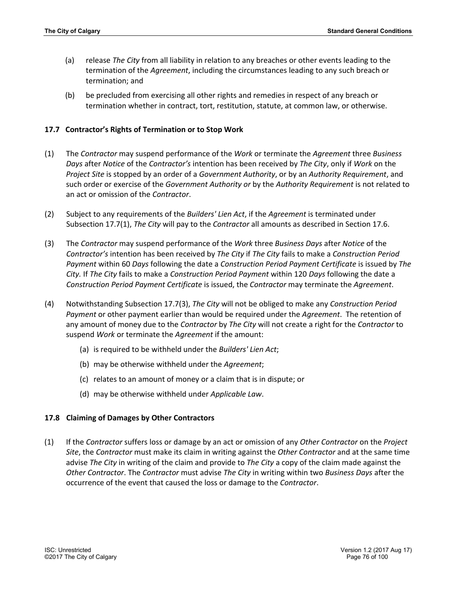- (a) release *The City* from all liability in relation to any breaches or other events leading to the termination of the *Agreement*, including the circumstances leading to any such breach or termination; and
- (b) be precluded from exercising all other rights and remedies in respect of any breach or termination whether in contract, tort, restitution, statute, at common law, or otherwise.

### **17.7 Contractor's Rights of Termination or to Stop Work**

- (1) The *Contractor* may suspend performance of the *Work* or terminate the *Agreement* three *Business Days* after *Notice* of the *Contractor's* intention has been received by *The City*, only if *Work* on the *Project Site* is stopped by an order of a *Government Authority*, or by an *Authority Requirement*, and such order or exercise of the *Government Authority or* by the *Authority Requirement* is not related to an act or omission of the *Contractor*.
- (2) Subject to any requirements of the *Builders' Lien Act*, if the *Agreement* is terminated under Subsection 17.7(1), *The City* will pay to the *Contractor* all amounts as described in Section 17.6.
- (3) The *Contractor* may suspend performance of the *Work* three *Business Days* after *Notice* of the *Contractor's* intention has been received by *The City* if *The City* fails to make a *Construction Period Payment* within 60 *Days* following the date a *Construction Period Payment Certificate* is issued by *The City.* If *The City* fails to make a *Construction Period Payment* within 120 *Days* following the date a *Construction Period Payment Certificate* is issued, the *Contractor* may terminate the *Agreement*.
- (4) Notwithstanding Subsection 17.7(3), *The City* will not be obliged to make any *Construction Period Payment* or other payment earlier than would be required under the *Agreement*. The retention of any amount of money due to the *Contractor* by *The City* will not create a right for the *Contractor* to suspend *Work* or terminate the *Agreement* if the amount:
	- (a) is required to be withheld under the *Builders' Lien Act*;
	- (b) may be otherwise withheld under the *Agreement*;
	- (c) relates to an amount of money or a claim that is in dispute; or
	- (d) may be otherwise withheld under *Applicable Law*.

### **17.8 Claiming of Damages by Other Contractors**

(1) If the *Contractor* suffers loss or damage by an act or omission of any *Other Contractor* on the *Project Site*, the *Contractor* must make its claim in writing against the *Other Contractor* and at the same time advise *The City* in writing of the claim and provide to *The City* a copy of the claim made against the *Other Contractor*. The *Contractor* must advise *The City* in writing within two *Business Days* after the occurrence of the event that caused the loss or damage to the *Contractor*.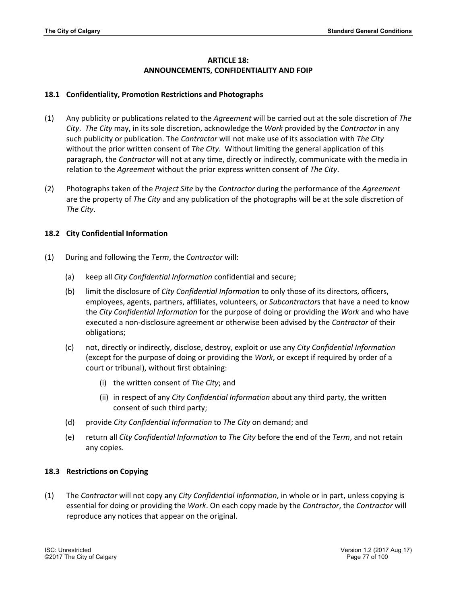# **ARTICLE 18: ANNOUNCEMENTS, CONFIDENTIALITY AND FOIP**

## **18.1 Confidentiality, Promotion Restrictions and Photographs**

- (1) Any publicity or publications related to the *Agreement* will be carried out at the sole discretion of *The City*. *The City* may, in its sole discretion, acknowledge the *Work* provided by the *Contractor* in any such publicity or publication. The *Contractor* will not make use of its association with *The City* without the prior written consent of *The City*. Without limiting the general application of this paragraph, the *Contractor* will not at any time, directly or indirectly, communicate with the media in relation to the *Agreement* without the prior express written consent of *The City*.
- (2) Photographs taken of the *Project Site* by the *Contractor* during the performance of the *Agreement* are the property of *The City* and any publication of the photographs will be at the sole discretion of *The City*.

# **18.2 City Confidential Information**

- (1) During and following the *Term*, the *Contractor* will:
	- (a) keep all *City Confidential Information* confidential and secure;
	- (b) limit the disclosure of *City Confidential Information* to only those of its directors, officers, employees, agents, partners, affiliates, volunteers, or *Subcontractor*s that have a need to know the *City Confidential Information* for the purpose of doing or providing the *Work* and who have executed a non-disclosure agreement or otherwise been advised by the *Contractor* of their obligations;
	- (c) not, directly or indirectly, disclose, destroy, exploit or use any *City Confidential Information* (except for the purpose of doing or providing the *Work*, or except if required by order of a court or tribunal), without first obtaining:
		- (i) the written consent of *The City*; and
		- (ii) in respect of any *City Confidential Information* about any third party, the written consent of such third party;
	- (d) provide *City Confidential Information* to *The City* on demand; and
	- (e) return all *City Confidential Information* to *The City* before the end of the *Term*, and not retain any copies.

# **18.3 Restrictions on Copying**

(1) The *Contractor* will not copy any *City Confidential Information*, in whole or in part, unless copying is essential for doing or providing the *Work*. On each copy made by the *Contractor*, the *Contractor* will reproduce any notices that appear on the original.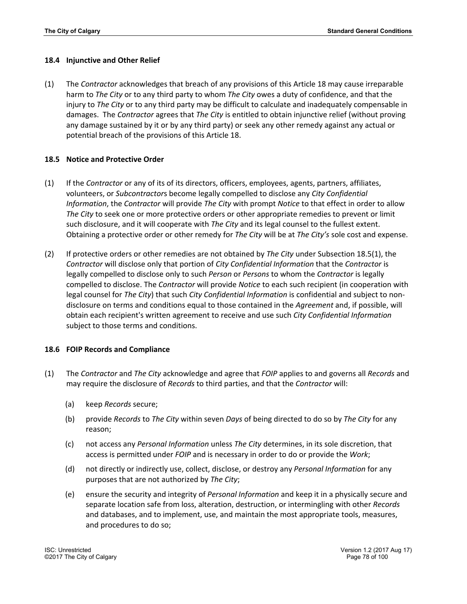#### **18.4 Injunctive and Other Relief**

(1) The *Contractor* acknowledges that breach of any provisions of this Article 18 may cause irreparable harm to *The City* or to any third party to whom *The City* owes a duty of confidence, and that the injury to *The City* or to any third party may be difficult to calculate and inadequately compensable in damages. The *Contractor* agrees that *The City* is entitled to obtain injunctive relief (without proving any damage sustained by it or by any third party) or seek any other remedy against any actual or potential breach of the provisions of this Article 18.

#### **18.5 Notice and Protective Order**

- (1) If the *Contractor* or any of its of its directors, officers, employees, agents, partners, affiliates, volunteers, or *Subcontractor*s become legally compelled to disclose any *City Confidential Information*, the *Contractor* will provide *The City* with prompt *Notice* to that effect in order to allow *The City* to seek one or more protective orders or other appropriate remedies to prevent or limit such disclosure, and it will cooperate with *The City* and its legal counsel to the fullest extent. Obtaining a protective order or other remedy for *The City* will be at *The City's* sole cost and expense.
- (2) If protective orders or other remedies are not obtained by *The City* under Subsection 18.5(1), the *Contractor* will disclose only that portion of *City Confidential Information* that the *Contractor* is legally compelled to disclose only to such *Person* or *Persons* to whom the *Contractor* is legally compelled to disclose. The *Contractor* will provide *Notice* to each such recipient (in cooperation with legal counsel for *The City*) that such *City Confidential Information* is confidential and subject to nondisclosure on terms and conditions equal to those contained in the *Agreement* and, if possible, will obtain each recipient's written agreement to receive and use such *City Confidential Information* subject to those terms and conditions.

#### **18.6 FOIP Records and Compliance**

- (1) The *Contractor* and *The City* acknowledge and agree that *FOIP* applies to and governs all *Records* and may require the disclosure of *Records* to third parties, and that the *Contractor* will:
	- (a) keep *Records* secure;
	- (b) provide *Records* to *The City* within seven *Days* of being directed to do so by *The City* for any reason;
	- (c) not access any *Personal Information* unless *The City* determines, in its sole discretion, that access is permitted under *FOIP* and is necessary in order to do or provide the *Work*;
	- (d) not directly or indirectly use, collect, disclose, or destroy any *Personal Information* for any purposes that are not authorized by *The City*;
	- (e) ensure the security and integrity of *Personal Information* and keep it in a physically secure and separate location safe from loss, alteration, destruction, or intermingling with other *Records* and databases, and to implement, use, and maintain the most appropriate tools, measures, and procedures to do so;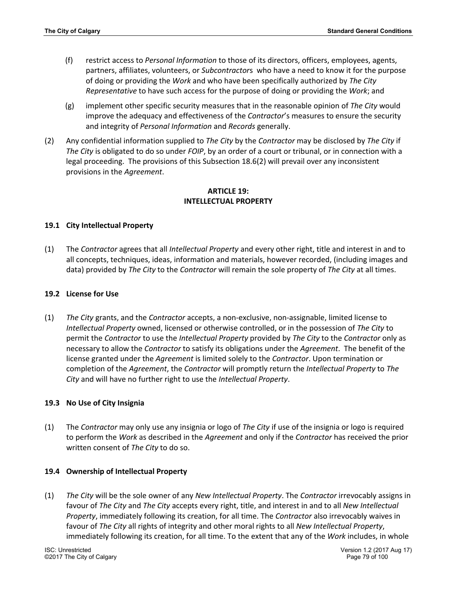- (f) restrict access to *Personal Information* to those of its directors, officers, employees, agents, partners, affiliates, volunteers, or *Subcontractor*s who have a need to know it for the purpose of doing or providing the *Work* and who have been specifically authorized by *The City Representative* to have such access for the purpose of doing or providing the *Work*; and
- (g) implement other specific security measures that in the reasonable opinion of *The City* would improve the adequacy and effectiveness of the *Contractor*'s measures to ensure the security and integrity of *Personal Information* and *Records* generally.
- (2) Any confidential information supplied to *The City* by the *Contractor* may be disclosed by *The City* if *The City* is obligated to do so under *FOIP*, by an order of a court or tribunal, or in connection with a legal proceeding. The provisions of this Subsection 18.6(2) will prevail over any inconsistent provisions in the *Agreement*.

## **ARTICLE 19: INTELLECTUAL PROPERTY**

### **19.1 City Intellectual Property**

(1) The *Contractor* agrees that all *Intellectual Property* and every other right, title and interest in and to all concepts, techniques, ideas, information and materials, however recorded, (including images and data) provided by *The City* to the *Contractor* will remain the sole property of *The City* at all times.

#### **19.2 License for Use**

(1) *The City* grants, and the *Contractor* accepts, a non-exclusive, non-assignable, limited license to *Intellectual Property* owned, licensed or otherwise controlled, or in the possession of *The City* to permit the *Contractor* to use the *Intellectual Property* provided by *The City* to the *Contractor* only as necessary to allow the *Contractor* to satisfy its obligations under the *Agreement*. The benefit of the license granted under the *Agreement* is limited solely to the *Contractor*. Upon termination or completion of the *Agreement*, the *Contractor* will promptly return the *Intellectual Property* to *The City* and will have no further right to use the *Intellectual Property*.

### **19.3 No Use of City Insignia**

(1) The *Contractor* may only use any insignia or logo of *The City* if use of the insignia or logo is required to perform the *Work* as described in the *Agreement* and only if the *Contractor* has received the prior written consent of *The City* to do so.

#### **19.4 Ownership of Intellectual Property**

(1) *The City* will be the sole owner of any *New Intellectual Property*. The *Contractor* irrevocably assigns in favour of *The City* and *The City* accepts every right, title, and interest in and to all *New Intellectual Property*, immediately following its creation, for all time. The *Contractor* also irrevocably waives in favour of *The City* all rights of integrity and other moral rights to all *New Intellectual Property*, immediately following its creation, for all time. To the extent that any of the *Work* includes, in whole

©2017 The City of Calgary Page 79 of 100

ISC: Unrestricted Version 1.2 (2017 Aug 17)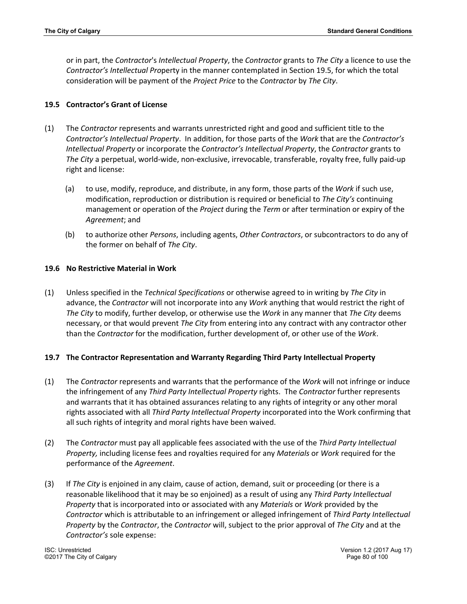or in part, the *Contractor*'s *Intellectual Property*, the *Contractor* grants to *The City* a licence to use the *Contractor's Intellectual Pro*perty in the manner contemplated in Section 19.5, for which the total consideration will be payment of the *Project Price* to the *Contractor* by *The City*.

# **19.5 Contractor's Grant of License**

- (1) The *Contractor* represents and warrants unrestricted right and good and sufficient title to the *Contractor's Intellectual Property*. In addition, for those parts of the *Work* that are the *Contractor's Intellectual Property* or incorporate the *Contractor's Intellectual Property*, the *Contractor* grants to *The City* a perpetual, world-wide, non-exclusive, irrevocable, transferable, royalty free, fully paid-up right and license:
	- (a) to use, modify, reproduce, and distribute, in any form, those parts of the *Work* if such use, modification, reproduction or distribution is required or beneficial to *The City's* continuing management or operation of the *Project* during the *Term* or after termination or expiry of the *Agreement*; and
	- (b) to authorize other *Persons*, including agents, *Other Contractors*, or subcontractors to do any of the former on behalf of *The City*.

# **19.6 No Restrictive Material in Work**

(1) Unless specified in the *Technical Specifications* or otherwise agreed to in writing by *The City* in advance, the *Contractor* will not incorporate into any *Work* anything that would restrict the right of *The City* to modify, further develop, or otherwise use the *Work* in any manner that *The City* deems necessary, or that would prevent *The City* from entering into any contract with any contractor other than the *Contractor* for the modification, further development of, or other use of the *Work*.

# **19.7 The Contractor Representation and Warranty Regarding Third Party Intellectual Property**

- (1) The *Contractor* represents and warrants that the performance of the *Work* will not infringe or induce the infringement of any *Third Party Intellectual Property* rights. The *Contractor* further represents and warrants that it has obtained assurances relating to any rights of integrity or any other moral rights associated with all *Third Party Intellectual Property* incorporated into the Work confirming that all such rights of integrity and moral rights have been waived.
- (2) The *Contractor* must pay all applicable fees associated with the use of the *Third Party Intellectual Property,* including license fees and royalties required for any *Materials* or *Work* required for the performance of the *Agreement*.
- (3) If *The City* is enjoined in any claim, cause of action, demand, suit or proceeding (or there is a reasonable likelihood that it may be so enjoined) as a result of using any *Third Party Intellectual Property* that is incorporated into or associated with any *Materials* or *Work* provided by the *Contractor* which is attributable to an infringement or alleged infringement of *Third Party Intellectual Property* by the *Contractor*, the *Contractor* will, subject to the prior approval of *The City* and at the *Contractor's* sole expense: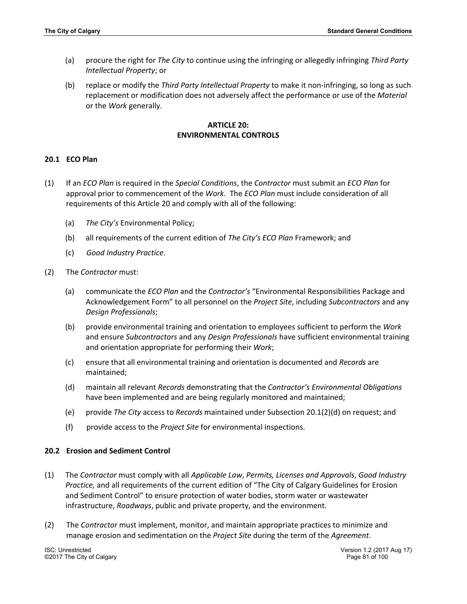- (a) procure the right for *The City* to continue using the infringing or allegedly infringing *Third Party Intellectual Property*; or
- (b) replace or modify the *Third Party Intellectual Property* to make it non-infringing, so long as such replacement or modification does not adversely affect the performance or use of the *Material* or the *Work* generally.

## **ARTICLE 20: ENVIRONMENTAL CONTROLS**

## **20.1 ECO Plan**

- (1) If an *ECO Plan* is required in the *Special Conditions*, the *Contractor* must submit an *ECO Plan* for approval prior to commencement of the *Work*. The *ECO Plan* must include consideration of all requirements of this Article 20 and comply with all of the following:
	- (a) *The City's* Environmental Policy;
	- (b) all requirements of the current edition of *The City's ECO Plan* Framework; and
	- (c) *Good Industry Practice*.
- (2) The *Contractor* must:
	- (a) communicate the *ECO Plan* and the *Contractor's* "Environmental Responsibilities Package and Acknowledgement Form" to all personnel on the *Project Site*, including *Subcontractors* and any *Design Professionals*;
	- (b) provide environmental training and orientation to employees sufficient to perform the *Work* and ensure *Subcontractors* and any *Design Professionals* have sufficient environmental training and orientation appropriate for performing their *Work*;
	- (c) ensure that all environmental training and orientation is documented and *Records* are maintained;
	- (d) maintain all relevant *Records* demonstrating that the *Contractor's Environmental Obligations* have been implemented and are being regularly monitored and maintained;
	- (e) provide *The City* access to *Records* maintained under Subsection 20.1(2)(d) on request; and
	- (f) provide access to the *Project Site* for environmental inspections.

### **20.2 Erosion and Sediment Control**

- (1) The *Contractor* must comply with all *Applicable Law*, *Permits, Licenses and Approvals*, *Good Industry Practice,* and all requirements of the current edition of "The City of Calgary Guidelines for Erosion and Sediment Control" to ensure protection of water bodies, storm water or wastewater infrastructure, *Roadways*, public and private property, and the environment.
- (2) The *Contractor* must implement, monitor, and maintain appropriate practices to minimize and manage erosion and sedimentation on the *Project Site* during the term of the *Agreement*.

©2017 The City of Calgary Page 81 of 100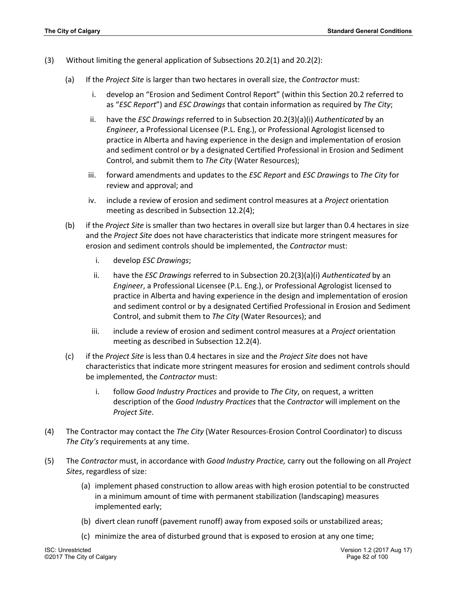- (3) Without limiting the general application of Subsections 20.2(1) and 20.2(2):
	- (a) If the *Project Site* is larger than two hectares in overall size, the *Contractor* must:
		- i. develop an "Erosion and Sediment Control Report" (within this Section 20.2 referred to as "*ESC Report*") and *ESC Drawings* that contain information as required by *The City*;
		- ii. have the *ESC Drawings* referred to in Subsection 20.2(3)(a)(i) *Authenticated* by an *Engineer*, a Professional Licensee (P.L. Eng.), or Professional Agrologist licensed to practice in Alberta and having experience in the design and implementation of erosion and sediment control or by a designated Certified Professional in Erosion and Sediment Control, and submit them to *The City* (Water Resources);
		- iii. forward amendments and updates to the *ESC Report* and *ESC Drawings* to *The City* for review and approval; and
		- iv. include a review of erosion and sediment control measures at a *Project* orientation meeting as described in Subsection 12.2(4);
	- (b) if the *Project Site* is smaller than two hectares in overall size but larger than 0.4 hectares in size and the *Project Site* does not have characteristics that indicate more stringent measures for erosion and sediment controls should be implemented, the *Contractor* must:
		- i. develop *ESC Drawings*;
		- ii. have the *ESC Drawings* referred to in Subsection 20.2(3)(a)(i) *Authenticated* by an *Engineer*, a Professional Licensee (P.L. Eng.), or Professional Agrologist licensed to practice in Alberta and having experience in the design and implementation of erosion and sediment control or by a designated Certified Professional in Erosion and Sediment Control, and submit them to *The City* (Water Resources); and
		- iii. include a review of erosion and sediment control measures at a *Project* orientation meeting as described in Subsection 12.2(4).
	- (c) if the *Project Site* is less than 0.4 hectares in size and the *Project Site* does not have characteristics that indicate more stringent measures for erosion and sediment controls should be implemented, the *Contractor* must:
		- i. follow *Good Industry Practices* and provide to *The City*, on request, a written description of the *Good Industry Practices* that the *Contractor* will implement on the *Project Site*.
- (4) The Contractor may contact the *The City* (Water Resources-Erosion Control Coordinator) to discuss *The City's* requirements at any time.
- (5) The *Contractor* must, in accordance with *Good Industry Practice,* carry out the following on all *Project Sites*, regardless of size:
	- (a) implement phased construction to allow areas with high erosion potential to be constructed in a minimum amount of time with permanent stabilization (landscaping) measures implemented early;
	- (b) divert clean runoff (pavement runoff) away from exposed soils or unstabilized areas;
	- (c) minimize the area of disturbed ground that is exposed to erosion at any one time;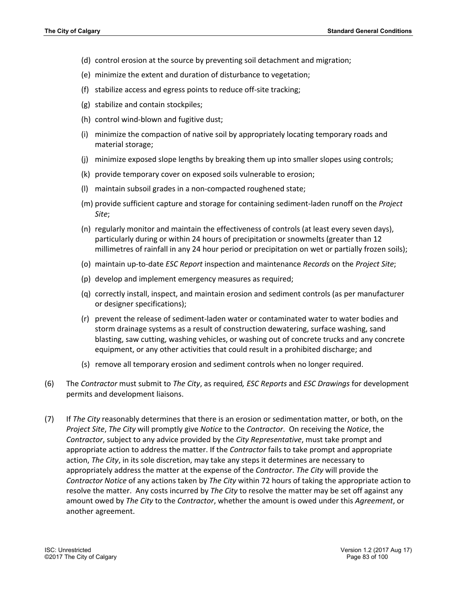- (d) control erosion at the source by preventing soil detachment and migration;
- (e) minimize the extent and duration of disturbance to vegetation;
- (f) stabilize access and egress points to reduce off-site tracking;
- (g) stabilize and contain stockpiles;
- (h) control wind-blown and fugitive dust;
- (i) minimize the compaction of native soil by appropriately locating temporary roads and material storage;
- (j) minimize exposed slope lengths by breaking them up into smaller slopes using controls;
- (k) provide temporary cover on exposed soils vulnerable to erosion;
- (l) maintain subsoil grades in a non-compacted roughened state;
- (m) provide sufficient capture and storage for containing sediment-laden runoff on the *Project Site*;
- (n) regularly monitor and maintain the effectiveness of controls (at least every seven days), particularly during or within 24 hours of precipitation or snowmelts (greater than 12 millimetres of rainfall in any 24 hour period or precipitation on wet or partially frozen soils);
- (o) maintain up-to-date *ESC Report* inspection and maintenance *Records* on the *Project Site*;
- (p) develop and implement emergency measures as required;
- (q) correctly install, inspect, and maintain erosion and sediment controls (as per manufacturer or designer specifications);
- (r) prevent the release of sediment-laden water or contaminated water to water bodies and storm drainage systems as a result of construction dewatering, surface washing, sand blasting, saw cutting, washing vehicles, or washing out of concrete trucks and any concrete equipment, or any other activities that could result in a prohibited discharge; and
- (s) remove all temporary erosion and sediment controls when no longer required.
- (6) The *Contractor* must submit to *The City*, as required*, ESC Reports* and *ESC Drawings* for development permits and development liaisons.
- (7) If *The City* reasonably determines that there is an erosion or sedimentation matter, or both, on the *Project Site*, *The City* will promptly give *Notice* to the *Contractor*. On receiving the *Notice*, the *Contractor*, subject to any advice provided by the *City Representative*, must take prompt and appropriate action to address the matter. If the *Contractor* fails to take prompt and appropriate action, *The City*, in its sole discretion, may take any steps it determines are necessary to appropriately address the matter at the expense of the *Contractor*. *The City* will provide the *Contractor Notice* of any actions taken by *The City* within 72 hours of taking the appropriate action to resolve the matter. Any costs incurred by *The City* to resolve the matter may be set off against any amount owed by *The City* to the *Contractor*, whether the amount is owed under this *Agreement*, or another agreement.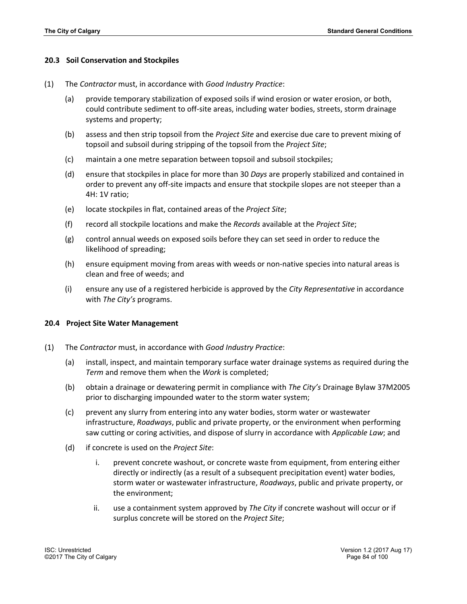#### **20.3 Soil Conservation and Stockpiles**

- (1) The *Contractor* must, in accordance with *Good Industry Practice*:
	- (a) provide temporary stabilization of exposed soils if wind erosion or water erosion, or both, could contribute sediment to off-site areas, including water bodies, streets, storm drainage systems and property;
	- (b) assess and then strip topsoil from the *Project Site* and exercise due care to prevent mixing of topsoil and subsoil during stripping of the topsoil from the *Project Site*;
	- (c) maintain a one metre separation between topsoil and subsoil stockpiles;
	- (d) ensure that stockpiles in place for more than 30 *Days* are properly stabilized and contained in order to prevent any off-site impacts and ensure that stockpile slopes are not steeper than a 4H: 1V ratio;
	- (e) locate stockpiles in flat, contained areas of the *Project Site*;
	- (f) record all stockpile locations and make the *Records* available at the *Project Site*;
	- (g) control annual weeds on exposed soils before they can set seed in order to reduce the likelihood of spreading;
	- (h) ensure equipment moving from areas with weeds or non-native species into natural areas is clean and free of weeds; and
	- (i) ensure any use of a registered herbicide is approved by the *City Representative* in accordance with *The City's* programs.

#### **20.4 Project Site Water Management**

- (1) The *Contractor* must, in accordance with *Good Industry Practice*:
	- (a) install, inspect, and maintain temporary surface water drainage systems as required during the *Term* and remove them when the *Work* is completed;
	- (b) obtain a drainage or dewatering permit in compliance with *The City's* Drainage Bylaw 37M2005 prior to discharging impounded water to the storm water system;
	- (c) prevent any slurry from entering into any water bodies, storm water or wastewater infrastructure, *Roadways*, public and private property, or the environment when performing saw cutting or coring activities, and dispose of slurry in accordance with *Applicable Law*; and
	- (d) if concrete is used on the *Project Site*:
		- i. prevent concrete washout, or concrete waste from equipment, from entering either directly or indirectly (as a result of a subsequent precipitation event) water bodies, storm water or wastewater infrastructure, *Roadways*, public and private property, or the environment;
		- ii. use a containment system approved by *The City* if concrete washout will occur or if surplus concrete will be stored on the *Project Site*;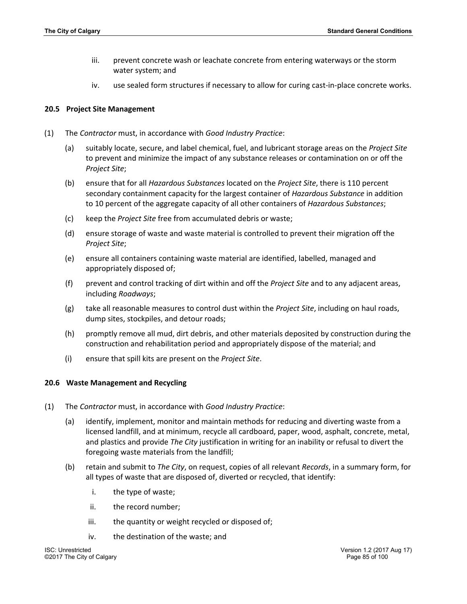- iii. prevent concrete wash or leachate concrete from entering waterways or the storm water system; and
- iv. use sealed form structures if necessary to allow for curing cast-in-place concrete works.

#### **20.5 Project Site Management**

- (1) The *Contractor* must, in accordance with *Good Industry Practice*:
	- (a) suitably locate, secure, and label chemical, fuel, and lubricant storage areas on the *Project Site* to prevent and minimize the impact of any substance releases or contamination on or off the *Project Site*;
	- (b) ensure that for all *Hazardous Substances* located on the *Project Site*, there is 110 percent secondary containment capacity for the largest container of *Hazardous Substance* in addition to 10 percent of the aggregate capacity of all other containers of *Hazardous Substances*;
	- (c) keep the *Project Site* free from accumulated debris or waste;
	- (d) ensure storage of waste and waste material is controlled to prevent their migration off the *Project Site*;
	- (e) ensure all containers containing waste material are identified, labelled, managed and appropriately disposed of;
	- (f) prevent and control tracking of dirt within and off the *Project Site* and to any adjacent areas, including *Roadways*;
	- (g) take all reasonable measures to control dust within the *Project Site*, including on haul roads, dump sites, stockpiles, and detour roads;
	- (h) promptly remove all mud, dirt debris, and other materials deposited by construction during the construction and rehabilitation period and appropriately dispose of the material; and
	- (i) ensure that spill kits are present on the *Project Site*.

#### **20.6 Waste Management and Recycling**

- (1) The *Contractor* must, in accordance with *Good Industry Practice*:
	- (a) identify, implement, monitor and maintain methods for reducing and diverting waste from a licensed landfill, and at minimum, recycle all cardboard, paper, wood, asphalt, concrete, metal, and plastics and provide *The City* justification in writing for an inability or refusal to divert the foregoing waste materials from the landfill;
	- (b) retain and submit to *The City*, on request, copies of all relevant *Records*, in a summary form, for all types of waste that are disposed of, diverted or recycled, that identify:
		- i. the type of waste;
		- ii. the record number;
		- iii. the quantity or weight recycled or disposed of;
		- iv. the destination of the waste; and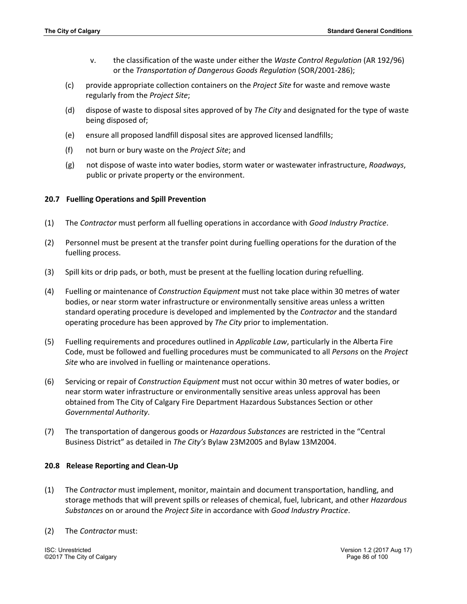- v. the classification of the waste under either the *Waste Control Regulation* (AR 192/96) or the *Transportation of Dangerous Goods Regulation* (SOR/2001-286);
- (c) provide appropriate collection containers on the *Project Site* for waste and remove waste regularly from the *Project Site*;
- (d) dispose of waste to disposal sites approved of by *The City* and designated for the type of waste being disposed of;
- (e) ensure all proposed landfill disposal sites are approved licensed landfills;
- (f) not burn or bury waste on the *Project Site*; and
- (g) not dispose of waste into water bodies, storm water or wastewater infrastructure, *Roadways*, public or private property or the environment.

#### **20.7 Fuelling Operations and Spill Prevention**

- (1) The *Contractor* must perform all fuelling operations in accordance with *Good Industry Practice*.
- (2) Personnel must be present at the transfer point during fuelling operations for the duration of the fuelling process.
- (3) Spill kits or drip pads, or both, must be present at the fuelling location during refuelling.
- (4) Fuelling or maintenance of *Construction Equipment* must not take place within 30 metres of water bodies, or near storm water infrastructure or environmentally sensitive areas unless a written standard operating procedure is developed and implemented by the *Contractor* and the standard operating procedure has been approved by *The City* prior to implementation.
- (5) Fuelling requirements and procedures outlined in *Applicable Law*, particularly in the Alberta Fire Code, must be followed and fuelling procedures must be communicated to all *Persons* on the *Project Site* who are involved in fuelling or maintenance operations.
- (6) Servicing or repair of *Construction Equipment* must not occur within 30 metres of water bodies, or near storm water infrastructure or environmentally sensitive areas unless approval has been obtained from The City of Calgary Fire Department Hazardous Substances Section or other *Governmental Authority*.
- (7) The transportation of dangerous goods or *Hazardous Substances* are restricted in the "Central Business District" as detailed in *The City's* Bylaw 23M2005 and Bylaw 13M2004.

#### **20.8 Release Reporting and Clean-Up**

- (1) The *Contractor* must implement, monitor, maintain and document transportation, handling, and storage methods that will prevent spills or releases of chemical, fuel, lubricant, and other *Hazardous Substances* on or around the *Project Site* in accordance with *Good Industry Practice*.
- (2) The *Contractor* must:

ISC: Unrestricted Version 1.2 (2017 Aug 17) ©2017 The City of Calgary Page 86 of 100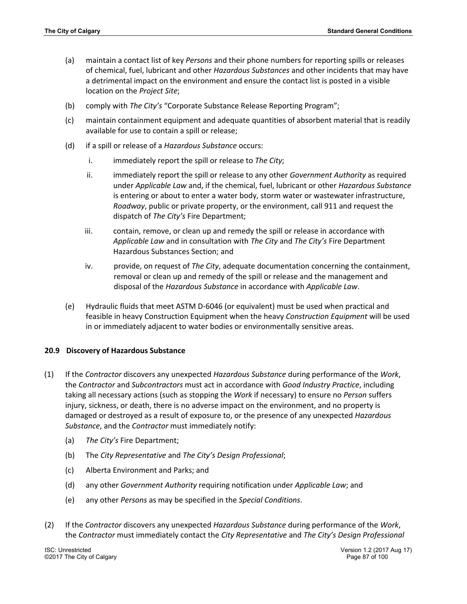- (a) maintain a contact list of key *Persons* and their phone numbers for reporting spills or releases of chemical, fuel, lubricant and other *Hazardous Substances* and other incidents that may have a detrimental impact on the environment and ensure the contact list is posted in a visible location on the *Project Site*;
- (b) comply with *The City's* "Corporate Substance Release Reporting Program";
- (c) maintain containment equipment and adequate quantities of absorbent material that is readily available for use to contain a spill or release;
- (d) if a spill or release of a *Hazardous Substance* occurs:
	- i. immediately report the spill or release to *The City*;
	- ii. immediately report the spill or release to any other *Government Authority* as required under *Applicable Law* and, if the chemical, fuel, lubricant or other *Hazardous Substance* is entering or about to enter a water body, storm water or wastewater infrastructure, *Roadway*, public or private property, or the environment, call 911 and request the dispatch of *The City's* Fire Department;
	- iii. contain, remove, or clean up and remedy the spill or release in accordance with *Applicable Law* and in consultation with *The City* and *The City's* Fire Department Hazardous Substances Section; and
	- iv. provide, on request of *The City*, adequate documentation concerning the containment, removal or clean up and remedy of the spill or release and the management and disposal of the *Hazardous Substance* in accordance with *Applicable Law*.
- (e) Hydraulic fluids that meet ASTM D-6046 (or equivalent) must be used when practical and feasible in heavy Construction Equipment when the heavy *Construction Equipment* will be used in or immediately adjacent to water bodies or environmentally sensitive areas.

#### **20.9 Discovery of Hazardous Substance**

- (1) If the *Contractor* discovers any unexpected *Hazardous Substance* during performance of the *Work*, the *Contractor* and *Subcontractors* must act in accordance with *Good Industry Practice*, including taking all necessary actions (such as stopping the *Work* if necessary) to ensure no *Person* suffers injury, sickness, or death, there is no adverse impact on the environment, and no property is damaged or destroyed as a result of exposure to, or the presence of any unexpected *Hazardous Substance*, and the *Contractor* must immediately notify:
	- (a) *The City's* Fire Department;
	- (b) The *City Representative* and *The City's Design Professional*;
	- (c) Alberta Environment and Parks; and
	- (d) any other *Government Authority* requiring notification under *Applicable Law*; and
	- (e) any other *Persons* as may be specified in the *Special Conditions*.
- (2) If the *Contractor* discovers any unexpected *Hazardous Substance* during performance of the *Work*, the *Contractor* must immediately contact the *City Representative* and *The City's Design Professional*

©2017 The City of Calgary Page 87 of 100

ISC: Unrestricted Version 1.2 (2017 Aug 17)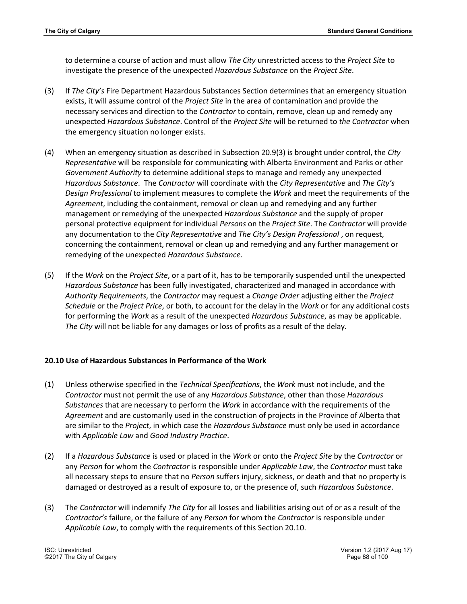to determine a course of action and must allow *The City* unrestricted access to the *Project Site* to investigate the presence of the unexpected *Hazardous Substance* on the *Project Site*.

- (3) If *The City's* Fire Department Hazardous Substances Section determines that an emergency situation exists, it will assume control of the *Project Site* in the area of contamination and provide the necessary services and direction to the *Contractor* to contain, remove, clean up and remedy any unexpected *Hazardous Substance*. Control of the *Project Site* will be returned to *the Contractor* when the emergency situation no longer exists.
- (4) When an emergency situation as described in Subsection 20.9(3) is brought under control, the *City Representative* will be responsible for communicating with Alberta Environment and Parks or other *Government Authority* to determine additional steps to manage and remedy any unexpected *Hazardous Substance*. The *Contractor* will coordinate with the *City Representative* and *The City's Design Professional* to implement measures to complete the *Work* and meet the requirements of the *Agreement*, including the containment, removal or clean up and remedying and any further management or remedying of the unexpected *Hazardous Substance* and the supply of proper personal protective equipment for individual *Persons* on the *Project Site*. The *Contractor* will provide any documentation to the *City Representative* and *The City's Design Professional* , on request, concerning the containment, removal or clean up and remedying and any further management or remedying of the unexpected *Hazardous Substance*.
- (5) If the *Work* on the *Project Site*, or a part of it, has to be temporarily suspended until the unexpected *Hazardous Substance* has been fully investigated, characterized and managed in accordance with *Authority Requirements*, the *Contractor* may request a *Change Order* adjusting either the *Project Schedule* or the *Project Price*, or both, to account for the delay in the *Work* or for any additional costs for performing the *Work* as a result of the unexpected *Hazardous Substance*, as may be applicable. *The City* will not be liable for any damages or loss of profits as a result of the delay*.*

### **20.10 Use of Hazardous Substances in Performance of the Work**

- (1) Unless otherwise specified in the *Technical Specifications*, the *Work* must not include, and the *Contractor* must not permit the use of any *Hazardous Substance*, other than those *Hazardous Substances* that are necessary to perform the *Work* in accordance with the requirements of the *Agreement* and are customarily used in the construction of projects in the Province of Alberta that are similar to the *Project*, in which case the *Hazardous Substance* must only be used in accordance with *Applicable Law* and *Good Industry Practice*.
- (2) If a *Hazardous Substance* is used or placed in the *Work* or onto the *Project Site* by the *Contractor* or any *Person* for whom the *Contractor* is responsible under *Applicable Law*, the *Contractor* must take all necessary steps to ensure that no *Person* suffers injury, sickness, or death and that no property is damaged or destroyed as a result of exposure to, or the presence of, such *Hazardous Substance*.
- (3) The *Contractor* will indemnify *The City* for all losses and liabilities arising out of or as a result of the *Contractor's* failure, or the failure of any *Person* for whom the *Contractor* is responsible under *Applicable Law*, to comply with the requirements of this Section 20.10.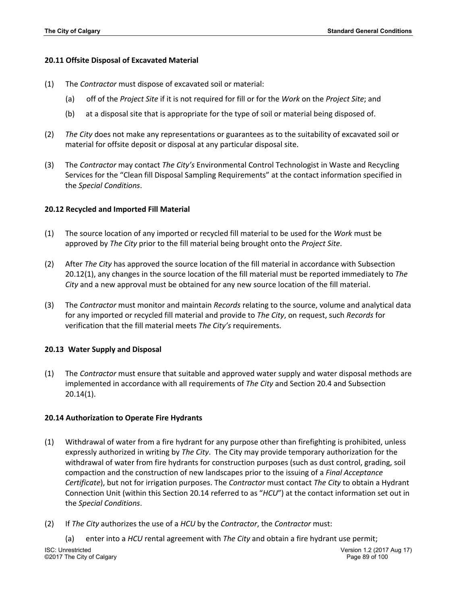#### **20.11 Offsite Disposal of Excavated Material**

- (1) The *Contractor* must dispose of excavated soil or material:
	- (a) off of the *Project Site* if it is not required for fill or for the *Work* on the *Project Site*; and
	- (b) at a disposal site that is appropriate for the type of soil or material being disposed of.
- (2) *The City* does not make any representations or guarantees as to the suitability of excavated soil or material for offsite deposit or disposal at any particular disposal site.
- (3) The *Contractor* may contact *The City's* Environmental Control Technologist in Waste and Recycling Services for the "Clean fill Disposal Sampling Requirements" at the contact information specified in the *Special Conditions*.

### **20.12 Recycled and Imported Fill Material**

- (1) The source location of any imported or recycled fill material to be used for the *Work* must be approved by *The City* prior to the fill material being brought onto the *Project Site*.
- (2) After *The City* has approved the source location of the fill material in accordance with Subsection 20.12(1), any changes in the source location of the fill material must be reported immediately to *The City* and a new approval must be obtained for any new source location of the fill material.
- (3) The *Contractor* must monitor and maintain *Records* relating to the source, volume and analytical data for any imported or recycled fill material and provide to *The City*, on request, such *Records* for verification that the fill material meets *The City's* requirements.

### **20.13 Water Supply and Disposal**

(1) The *Contractor* must ensure that suitable and approved water supply and water disposal methods are implemented in accordance with all requirements of *The City* and Section 20.4 and Subsection 20.14(1).

### **20.14 Authorization to Operate Fire Hydrants**

- (1) Withdrawal of water from a fire hydrant for any purpose other than firefighting is prohibited, unless expressly authorized in writing by *The City*. The City may provide temporary authorization for the withdrawal of water from fire hydrants for construction purposes (such as dust control, grading, soil compaction and the construction of new landscapes prior to the issuing of a *Final Acceptance Certificate*), but not for irrigation purposes. The *Contractor* must contact *The City* to obtain a Hydrant Connection Unit (within this Section 20.14 referred to as "*HCU*") at the contact information set out in the *Special Conditions*.
- (2) If *The City* authorizes the use of a *HCU* by the *Contractor*, the *Contractor* must:

ISC: Unrestricted Version 1.2 (2017 Aug 17) ©2017 The City of Calgary Page 89 of 100 (a) enter into a *HCU* rental agreement with *The City* and obtain a fire hydrant use permit;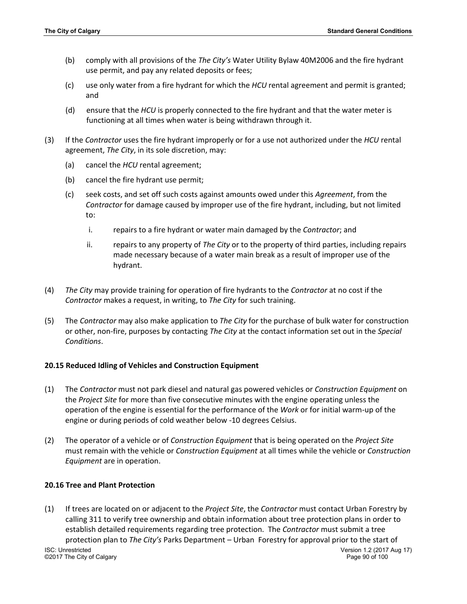- (b) comply with all provisions of the *The City's* Water Utility Bylaw 40M2006 and the fire hydrant use permit, and pay any related deposits or fees;
- (c) use only water from a fire hydrant for which the *HCU* rental agreement and permit is granted; and
- (d) ensure that the *HCU* is properly connected to the fire hydrant and that the water meter is functioning at all times when water is being withdrawn through it.
- (3) If the *Contractor* uses the fire hydrant improperly or for a use not authorized under the *HCU* rental agreement, *The City*, in its sole discretion, may:
	- (a) cancel the *HCU* rental agreement;
	- (b) cancel the fire hydrant use permit;
	- (c) seek costs, and set off such costs against amounts owed under this *Agreement*, from the *Contractor* for damage caused by improper use of the fire hydrant, including, but not limited to:
		- i. repairs to a fire hydrant or water main damaged by the *Contractor*; and
		- ii. repairs to any property of *The City* or to the property of third parties, including repairs made necessary because of a water main break as a result of improper use of the hydrant.
- (4) *The City* may provide training for operation of fire hydrants to the *Contractor* at no cost if the *Contractor* makes a request, in writing, to *The City* for such training.
- (5) The *Contractor* may also make application to *The City* for the purchase of bulk water for construction or other, non-fire, purposes by contacting *The City* at the contact information set out in the *Special Conditions*.

### **20.15 Reduced Idling of Vehicles and Construction Equipment**

- (1) The *Contractor* must not park diesel and natural gas powered vehicles or *Construction Equipment* on the *Project Site* for more than five consecutive minutes with the engine operating unless the operation of the engine is essential for the performance of the *Work* or for initial warm-up of the engine or during periods of cold weather below -10 degrees Celsius.
- (2) The operator of a vehicle or of *Construction Equipment* that is being operated on the *Project Site* must remain with the vehicle or *Construction Equipment* at all times while the vehicle or *Construction Equipment* are in operation.

### **20.16 Tree and Plant Protection**

ISC: Unrestricted Version 1.2 (2017 Aug 17) ©2017 The City of Calgary Page 90 of 100 (1) If trees are located on or adjacent to the *Project Site*, the *Contractor* must contact Urban Forestry by calling 311 to verify tree ownership and obtain information about tree protection plans in order to establish detailed requirements regarding tree protection. The *Contractor* must submit a tree protection plan to *The City's* Parks Department – Urban Forestry for approval prior to the start of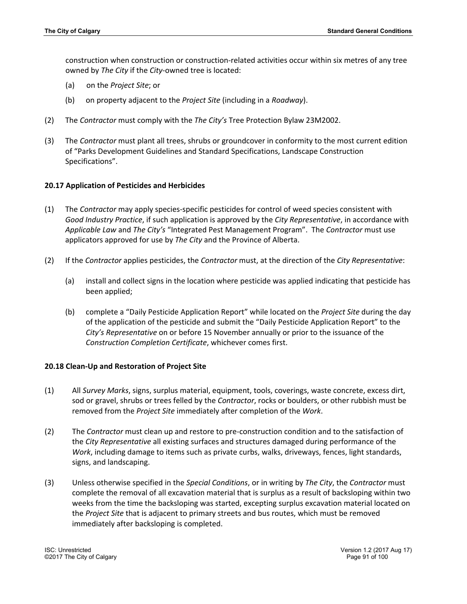construction when construction or construction-related activities occur within six metres of any tree owned by *The City* if the *City*-owned tree is located:

- (a) on the *Project Site*; or
- (b) on property adjacent to the *Project Site* (including in a *Roadway*).
- (2) The *Contractor* must comply with the *The City's* Tree Protection Bylaw 23M2002.
- (3) The *Contractor* must plant all trees, shrubs or groundcover in conformity to the most current edition of "Parks Development Guidelines and Standard Specifications, Landscape Construction Specifications".

#### **20.17 Application of Pesticides and Herbicides**

- (1) The *Contractor* may apply species-specific pesticides for control of weed species consistent with *Good Industry Practice*, if such application is approved by the *City Representative*, in accordance with *Applicable Law* and *The City's* "Integrated Pest Management Program". The *Contractor* must use applicators approved for use by *The City* and the Province of Alberta.
- (2) If the *Contractor* applies pesticides, the *Contractor* must, at the direction of the *City Representative*:
	- (a) install and collect signs in the location where pesticide was applied indicating that pesticide has been applied;
	- (b) complete a "Daily Pesticide Application Report" while located on the *Project Site* during the day of the application of the pesticide and submit the "Daily Pesticide Application Report" to the *City's Representative* on or before 15 November annually or prior to the issuance of the *Construction Completion Certificate*, whichever comes first.

#### **20.18 Clean-Up and Restoration of Project Site**

- (1) All *Survey Marks*, signs, surplus material, equipment, tools, coverings, waste concrete, excess dirt, sod or gravel, shrubs or trees felled by the *Contractor*, rocks or boulders, or other rubbish must be removed from the *Project Site* immediately after completion of the *Work*.
- (2) The *Contractor* must clean up and restore to pre-construction condition and to the satisfaction of the *City Representative* all existing surfaces and structures damaged during performance of the *Work*, including damage to items such as private curbs, walks, driveways, fences, light standards, signs, and landscaping.
- (3) Unless otherwise specified in the *Special Conditions*, or in writing by *The City*, the *Contractor* must complete the removal of all excavation material that is surplus as a result of backsloping within two weeks from the time the backsloping was started, excepting surplus excavation material located on the *Project Site* that is adjacent to primary streets and bus routes, which must be removed immediately after backsloping is completed.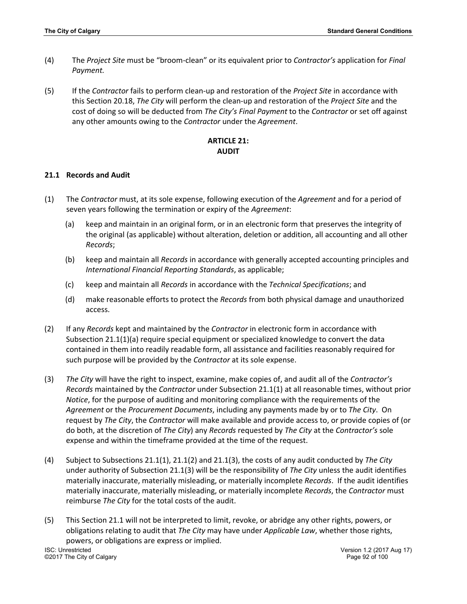- (4) The *Project Site* must be "broom-clean" or its equivalent prior to *Contractor's* application for *Final Payment.*
- (5) If the *Contractor* fails to perform clean-up and restoration of the *Project Site* in accordance with this Section 20.18, *The City* will perform the clean-up and restoration of the *Project Site* and the cost of doing so will be deducted from *The City's Final Payment* to the *Contractor* or set off against any other amounts owing to the *Contractor* under the *Agreement*.

## **ARTICLE 21: AUDIT**

#### **21.1 Records and Audit**

- (1) The *Contractor* must, at its sole expense, following execution of the *Agreement* and for a period of seven years following the termination or expiry of the *Agreement*:
	- (a) keep and maintain in an original form, or in an electronic form that preserves the integrity of the original (as applicable) without alteration, deletion or addition, all accounting and all other *Records*;
	- (b) keep and maintain all *Records* in accordance with generally accepted accounting principles and *International Financial Reporting Standards*, as applicable;
	- (c) keep and maintain all *Records* in accordance with the *Technical Specifications*; and
	- (d) make reasonable efforts to protect the *Records* from both physical damage and unauthorized access.
- (2) If any *Records* kept and maintained by the *Contractor* in electronic form in accordance with Subsection 21.1(1)(a) require special equipment or specialized knowledge to convert the data contained in them into readily readable form, all assistance and facilities reasonably required for such purpose will be provided by the *Contractor* at its sole expense.
- (3) *The City* will have the right to inspect, examine, make copies of, and audit all of the *Contractor's Records* maintained by the *Contractor* under Subsection 21.1(1) at all reasonable times, without prior *Notice*, for the purpose of auditing and monitoring compliance with the requirements of the *Agreement* or the *Procurement Documents*, including any payments made by or to *The City*. On request by *The City*, the *Contractor* will make available and provide access to, or provide copies of (or do both, at the discretion of *The City*) any *Records* requested by *The City* at the *Contractor's* sole expense and within the timeframe provided at the time of the request.
- (4) Subject to Subsections 21.1(1), 21.1(2) and 21.1(3), the costs of any audit conducted by *The City* under authority of Subsection 21.1(3) will be the responsibility of *The City* unless the audit identifies materially inaccurate, materially misleading, or materially incomplete *Records*. If the audit identifies materially inaccurate, materially misleading, or materially incomplete *Records*, the *Contractor* must reimburse *The City* for the total costs of the audit.
- ISC: Unrestricted Version 1.2 (2017 Aug 17) (5) This Section 21.1 will not be interpreted to limit, revoke, or abridge any other rights, powers, or obligations relating to audit that *The City* may have under *Applicable Law*, whether those rights, powers, or obligations are express or implied.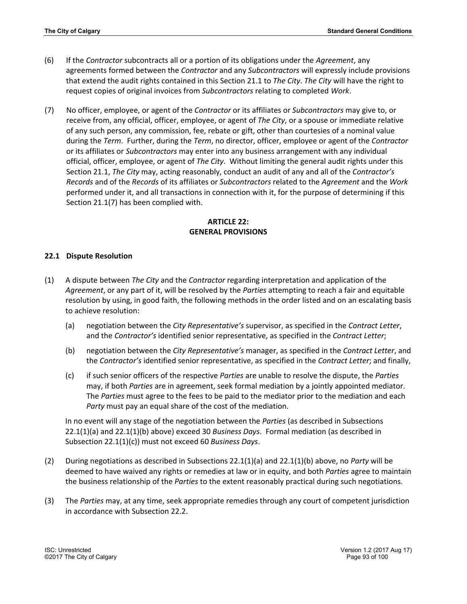- (6) If the *Contractor* subcontracts all or a portion of its obligations under the *Agreement*, any agreements formed between the *Contractor* and any *Subcontractors* will expressly include provisions that extend the audit rights contained in this Section 21.1 to *The City*. *The City* will have the right to request copies of original invoices from *Subcontractors* relating to completed *Work*.
- (7) No officer, employee, or agent of the *Contractor* or its affiliates or *Subcontractors* may give to, or receive from, any official, officer, employee, or agent of *The City*, or a spouse or immediate relative of any such person, any commission, fee, rebate or gift, other than courtesies of a nominal value during the *Term*. Further, during the *Term*, no director, officer, employee or agent of the *Contractor* or its affiliates or *Subcontractors* may enter into any business arrangement with any individual official, officer, employee, or agent of *The City*. Without limiting the general audit rights under this Section 21.1, *The City* may, acting reasonably, conduct an audit of any and all of the *Contractor's Records* and of the *Records* of its affiliates or *Subcontractors* related to the *Agreement* and the *Work* performed under it, and all transactions in connection with it, for the purpose of determining if this Section 21.1(7) has been complied with.

# **ARTICLE 22: GENERAL PROVISIONS**

## **22.1 Dispute Resolution**

- (1) A dispute between *The City* and the *Contractor* regarding interpretation and application of the *Agreement*, or any part of it, will be resolved by the *Parties* attempting to reach a fair and equitable resolution by using, in good faith, the following methods in the order listed and on an escalating basis to achieve resolution:
	- (a) negotiation between the *City Representative's* supervisor, as specified in the *Contract Letter*, and the *Contractor's* identified senior representative, as specified in the *Contract Letter*;
	- (b) negotiation between the *City Representative's* manager, as specified in the *Contract Letter*, and the *Contractor's* identified senior representative, as specified in the *Contract Letter*; and finally,
	- (c) if such senior officers of the respective *Parties* are unable to resolve the dispute, the *Parties* may, if both *Parties* are in agreement, seek formal mediation by a jointly appointed mediator. The *Parties* must agree to the fees to be paid to the mediator prior to the mediation and each *Party* must pay an equal share of the cost of the mediation.

In no event will any stage of the negotiation between the *Parties* (as described in Subsections 22.1(1)(a) and 22.1(1)(b) above) exceed 30 *Business Days*. Formal mediation (as described in Subsection 22.1(1)(c)) must not exceed 60 *Business Days*.

- (2) During negotiations as described in Subsections 22.1(1)(a) and 22.1(1)(b) above, no *Party* will be deemed to have waived any rights or remedies at law or in equity, and both *Parties* agree to maintain the business relationship of the *Parties* to the extent reasonably practical during such negotiations.
- (3) The *Parties* may, at any time, seek appropriate remedies through any court of competent jurisdiction in accordance with Subsection 22.2.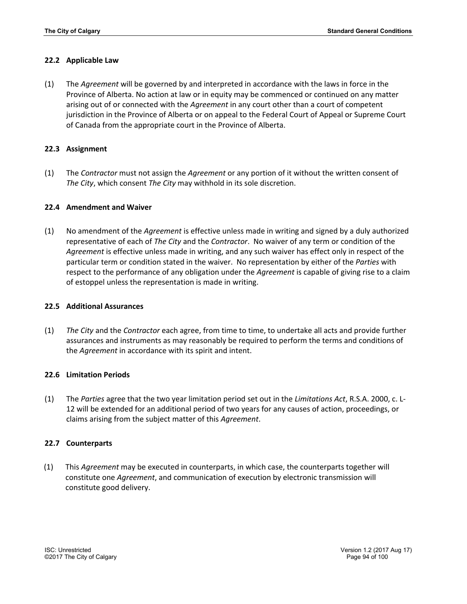### **22.2 Applicable Law**

(1) The *Agreement* will be governed by and interpreted in accordance with the laws in force in the Province of Alberta. No action at law or in equity may be commenced or continued on any matter arising out of or connected with the *Agreement* in any court other than a court of competent jurisdiction in the Province of Alberta or on appeal to the Federal Court of Appeal or Supreme Court of Canada from the appropriate court in the Province of Alberta.

## **22.3 Assignment**

(1) The *Contractor* must not assign the *Agreement* or any portion of it without the written consent of *The City*, which consent *The City* may withhold in its sole discretion.

### **22.4 Amendment and Waiver**

(1) No amendment of the *Agreement* is effective unless made in writing and signed by a duly authorized representative of each of *The City* and the *Contractor*. No waiver of any term or condition of the *Agreement* is effective unless made in writing, and any such waiver has effect only in respect of the particular term or condition stated in the waiver. No representation by either of the *Parties* with respect to the performance of any obligation under the *Agreement* is capable of giving rise to a claim of estoppel unless the representation is made in writing.

#### **22.5 Additional Assurances**

(1) *The City* and the *Contractor* each agree, from time to time, to undertake all acts and provide further assurances and instruments as may reasonably be required to perform the terms and conditions of the *Agreement* in accordance with its spirit and intent.

### **22.6 Limitation Periods**

(1) The *Parties* agree that the two year limitation period set out in the *Limitations Act*, R.S.A. 2000, c. L-12 will be extended for an additional period of two years for any causes of action, proceedings, or claims arising from the subject matter of this *Agreement*.

### **22.7 Counterparts**

(1) This *Agreement* may be executed in counterparts, in which case, the counterparts together will constitute one *Agreement*, and communication of execution by electronic transmission will constitute good delivery.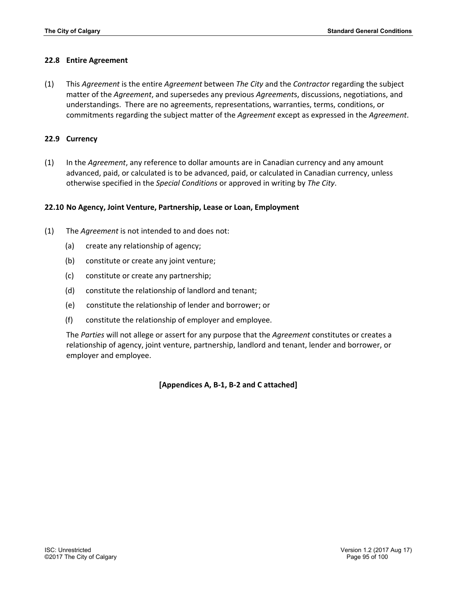#### **22.8 Entire Agreement**

(1) This *Agreement* is the entire *Agreement* between *The City* and the *Contractor* regarding the subject matter of the *Agreement*, and supersedes any previous *Agreement*s, discussions, negotiations, and understandings. There are no agreements, representations, warranties, terms, conditions, or commitments regarding the subject matter of the *Agreement* except as expressed in the *Agreement*.

#### **22.9 Currency**

(1) In the *Agreement*, any reference to dollar amounts are in Canadian currency and any amount advanced, paid, or calculated is to be advanced, paid, or calculated in Canadian currency, unless otherwise specified in the *Special Conditions* or approved in writing by *The City*.

#### **22.10 No Agency, Joint Venture, Partnership, Lease or Loan, Employment**

- (1) The *Agreement* is not intended to and does not:
	- (a) create any relationship of agency;
	- (b) constitute or create any joint venture;
	- (c) constitute or create any partnership;
	- (d) constitute the relationship of landlord and tenant;
	- (e) constitute the relationship of lender and borrower; or
	- (f) constitute the relationship of employer and employee.

The *Parties* will not allege or assert for any purpose that the *Agreement* constitutes or creates a relationship of agency, joint venture, partnership, landlord and tenant, lender and borrower, or employer and employee.

**[Appendices A, B-1, B-2 and C attached]**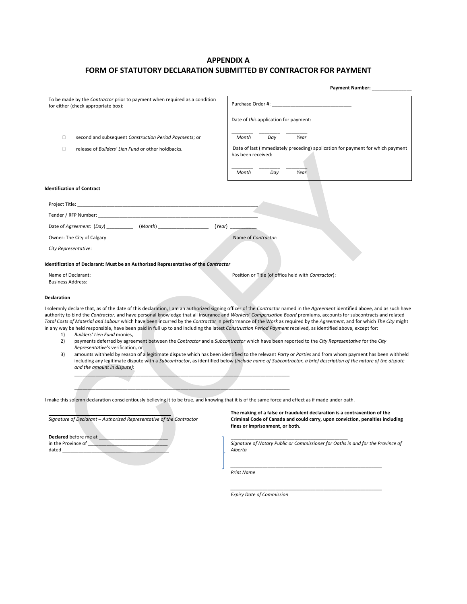# **APPENDIX A FORM OF STATUTORY DECLARATION SUBMITTED BY CONTRACTOR FOR PAYMENT**

|                                                                                                                                                                                                                                                                                                                                                                                                                                                       | Payment Number: _                                                                                                                                                                                                                                                                                                                                                                                                                                                                                                                                                                                                                                                                                                                                                                                                        |
|-------------------------------------------------------------------------------------------------------------------------------------------------------------------------------------------------------------------------------------------------------------------------------------------------------------------------------------------------------------------------------------------------------------------------------------------------------|--------------------------------------------------------------------------------------------------------------------------------------------------------------------------------------------------------------------------------------------------------------------------------------------------------------------------------------------------------------------------------------------------------------------------------------------------------------------------------------------------------------------------------------------------------------------------------------------------------------------------------------------------------------------------------------------------------------------------------------------------------------------------------------------------------------------------|
| To be made by the Contractor prior to payment when required as a condition<br>for either (check appropriate box):                                                                                                                                                                                                                                                                                                                                     |                                                                                                                                                                                                                                                                                                                                                                                                                                                                                                                                                                                                                                                                                                                                                                                                                          |
|                                                                                                                                                                                                                                                                                                                                                                                                                                                       | Date of this application for payment:                                                                                                                                                                                                                                                                                                                                                                                                                                                                                                                                                                                                                                                                                                                                                                                    |
| 0<br>second and subsequent Construction Period Payments; or                                                                                                                                                                                                                                                                                                                                                                                           | Month<br>Day<br>Year                                                                                                                                                                                                                                                                                                                                                                                                                                                                                                                                                                                                                                                                                                                                                                                                     |
| 0<br>release of Builders' Lien Fund or other holdbacks.                                                                                                                                                                                                                                                                                                                                                                                               | Date of last (immediately preceding) application for payment for which payment<br>has been received:                                                                                                                                                                                                                                                                                                                                                                                                                                                                                                                                                                                                                                                                                                                     |
|                                                                                                                                                                                                                                                                                                                                                                                                                                                       | Month<br>Day<br>Year                                                                                                                                                                                                                                                                                                                                                                                                                                                                                                                                                                                                                                                                                                                                                                                                     |
| <b>Identification of Contract</b>                                                                                                                                                                                                                                                                                                                                                                                                                     |                                                                                                                                                                                                                                                                                                                                                                                                                                                                                                                                                                                                                                                                                                                                                                                                                          |
|                                                                                                                                                                                                                                                                                                                                                                                                                                                       |                                                                                                                                                                                                                                                                                                                                                                                                                                                                                                                                                                                                                                                                                                                                                                                                                          |
|                                                                                                                                                                                                                                                                                                                                                                                                                                                       |                                                                                                                                                                                                                                                                                                                                                                                                                                                                                                                                                                                                                                                                                                                                                                                                                          |
| Date of Agreement: (Day) _____________ (Month) _____________________                                                                                                                                                                                                                                                                                                                                                                                  | (Year)                                                                                                                                                                                                                                                                                                                                                                                                                                                                                                                                                                                                                                                                                                                                                                                                                   |
| Owner: The City of Calgary                                                                                                                                                                                                                                                                                                                                                                                                                            | Name of Contractor:                                                                                                                                                                                                                                                                                                                                                                                                                                                                                                                                                                                                                                                                                                                                                                                                      |
| City Representative:                                                                                                                                                                                                                                                                                                                                                                                                                                  |                                                                                                                                                                                                                                                                                                                                                                                                                                                                                                                                                                                                                                                                                                                                                                                                                          |
| Identification of Declarant: Must be an Authorized Representative of the Contractor                                                                                                                                                                                                                                                                                                                                                                   |                                                                                                                                                                                                                                                                                                                                                                                                                                                                                                                                                                                                                                                                                                                                                                                                                          |
| Name of Declarant:<br><b>Business Address:</b>                                                                                                                                                                                                                                                                                                                                                                                                        | Position or Title (of office held with Contractor):                                                                                                                                                                                                                                                                                                                                                                                                                                                                                                                                                                                                                                                                                                                                                                      |
| Declaration                                                                                                                                                                                                                                                                                                                                                                                                                                           |                                                                                                                                                                                                                                                                                                                                                                                                                                                                                                                                                                                                                                                                                                                                                                                                                          |
| authority to bind the Contractor, and have personal knowledge that all insurance and Workers' Compensation Board premiums, accounts for subcontracts and related<br>in any way be held responsible, have been paid in full up to and including the latest Construction Period Payment received, as identified above, except for:<br>Builders' Lien Fund monies,<br>1)<br>2)<br>Representative's verification, or<br>3)<br>and the amount in dispute): | I solemnly declare that, as of the date of this declaration, I am an authorized signing officer of the Contractor named in the Agreement identified above, and as such have<br>Total Costs of Material and Labour which have been incurred by the Contractor in performance of the Work as required by the Agreement, and for which The City might<br>payments deferred by agreement between the Contractor and a Subcontractor which have been reported to the City Representative for the City<br>amounts withheld by reason of a legitimate dispute which has been identified to the relevant Party or Parties and from whom payment has been withheld<br>including any legitimate dispute with a Subcontractor, as identified below (include name of Subcontractor, a brief description of the nature of the dispute |
|                                                                                                                                                                                                                                                                                                                                                                                                                                                       |                                                                                                                                                                                                                                                                                                                                                                                                                                                                                                                                                                                                                                                                                                                                                                                                                          |
| I make this solemn declaration conscientiously believing it to be true, and knowing that it is of the same force and effect as if made under oath.                                                                                                                                                                                                                                                                                                    |                                                                                                                                                                                                                                                                                                                                                                                                                                                                                                                                                                                                                                                                                                                                                                                                                          |
| Signature of Declarant - Authorized Representative of the Contractor                                                                                                                                                                                                                                                                                                                                                                                  | The making of a false or fraudulent declaration is a contravention of the<br>Criminal Code of Canada and could carry, upon conviction, penalties including<br>fines or imprisonment, or both.                                                                                                                                                                                                                                                                                                                                                                                                                                                                                                                                                                                                                            |
| <b>Declared</b> before me at                                                                                                                                                                                                                                                                                                                                                                                                                          |                                                                                                                                                                                                                                                                                                                                                                                                                                                                                                                                                                                                                                                                                                                                                                                                                          |
| in the Province of <b>New York 10</b><br>dataed                                                                                                                                                                                                                                                                                                                                                                                                       | Signature of Notary Public or Commissioner for Oaths in and for the Province of<br>Alberta                                                                                                                                                                                                                                                                                                                                                                                                                                                                                                                                                                                                                                                                                                                               |
|                                                                                                                                                                                                                                                                                                                                                                                                                                                       |                                                                                                                                                                                                                                                                                                                                                                                                                                                                                                                                                                                                                                                                                                                                                                                                                          |
|                                                                                                                                                                                                                                                                                                                                                                                                                                                       | <b>Print Name</b>                                                                                                                                                                                                                                                                                                                                                                                                                                                                                                                                                                                                                                                                                                                                                                                                        |
|                                                                                                                                                                                                                                                                                                                                                                                                                                                       | <b>Expiry Date of Commission</b>                                                                                                                                                                                                                                                                                                                                                                                                                                                                                                                                                                                                                                                                                                                                                                                         |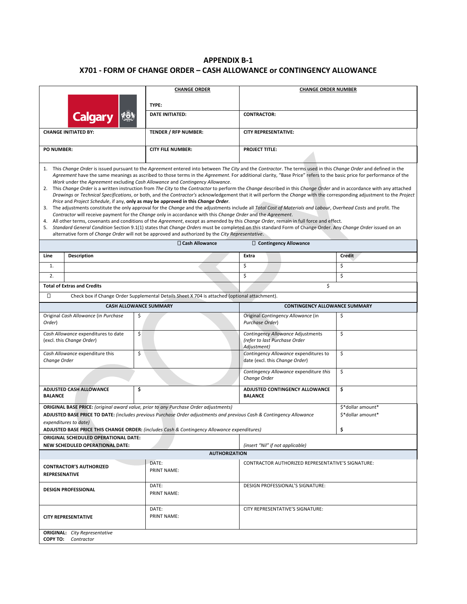## **APPENDIX B-1 X701 - FORM OF CHANGE ORDER – CASH ALLOWANCE or CONTINGENCY ALLOWANCE**

|                                                                                                                                                                                                                                                                                                                                                                                                                                                                                                                                                                                                                                                                                                                                                                                                                                                                                                                                                                                                                                                                                                                                                                                                                                                                                                                                                                                                                                                                                                                                                                     |                                                                                                                                            | <b>CHANGE ORDER</b>                                                                                                                                                                                          | <b>CHANGE ORDER NUMBER</b>                                                        |                                        |
|---------------------------------------------------------------------------------------------------------------------------------------------------------------------------------------------------------------------------------------------------------------------------------------------------------------------------------------------------------------------------------------------------------------------------------------------------------------------------------------------------------------------------------------------------------------------------------------------------------------------------------------------------------------------------------------------------------------------------------------------------------------------------------------------------------------------------------------------------------------------------------------------------------------------------------------------------------------------------------------------------------------------------------------------------------------------------------------------------------------------------------------------------------------------------------------------------------------------------------------------------------------------------------------------------------------------------------------------------------------------------------------------------------------------------------------------------------------------------------------------------------------------------------------------------------------------|--------------------------------------------------------------------------------------------------------------------------------------------|--------------------------------------------------------------------------------------------------------------------------------------------------------------------------------------------------------------|-----------------------------------------------------------------------------------|----------------------------------------|
|                                                                                                                                                                                                                                                                                                                                                                                                                                                                                                                                                                                                                                                                                                                                                                                                                                                                                                                                                                                                                                                                                                                                                                                                                                                                                                                                                                                                                                                                                                                                                                     |                                                                                                                                            | TYPE:                                                                                                                                                                                                        |                                                                                   |                                        |
|                                                                                                                                                                                                                                                                                                                                                                                                                                                                                                                                                                                                                                                                                                                                                                                                                                                                                                                                                                                                                                                                                                                                                                                                                                                                                                                                                                                                                                                                                                                                                                     | <b>Calgary</b>                                                                                                                             | <b>DATE INITIATED:</b>                                                                                                                                                                                       | <b>CONTRACTOR:</b>                                                                |                                        |
|                                                                                                                                                                                                                                                                                                                                                                                                                                                                                                                                                                                                                                                                                                                                                                                                                                                                                                                                                                                                                                                                                                                                                                                                                                                                                                                                                                                                                                                                                                                                                                     |                                                                                                                                            |                                                                                                                                                                                                              |                                                                                   |                                        |
|                                                                                                                                                                                                                                                                                                                                                                                                                                                                                                                                                                                                                                                                                                                                                                                                                                                                                                                                                                                                                                                                                                                                                                                                                                                                                                                                                                                                                                                                                                                                                                     | <b>CHANGE INITIATED BY:</b>                                                                                                                | TENDER / RFP NUMBER:                                                                                                                                                                                         | <b>CITY REPRESENTATIVE:</b>                                                       |                                        |
| <b>PO NUMBER:</b>                                                                                                                                                                                                                                                                                                                                                                                                                                                                                                                                                                                                                                                                                                                                                                                                                                                                                                                                                                                                                                                                                                                                                                                                                                                                                                                                                                                                                                                                                                                                                   |                                                                                                                                            | <b>CITY FILE NUMBER:</b>                                                                                                                                                                                     | <b>PROJECT TITLE:</b>                                                             |                                        |
|                                                                                                                                                                                                                                                                                                                                                                                                                                                                                                                                                                                                                                                                                                                                                                                                                                                                                                                                                                                                                                                                                                                                                                                                                                                                                                                                                                                                                                                                                                                                                                     |                                                                                                                                            |                                                                                                                                                                                                              |                                                                                   |                                        |
| 1. This Change Order is issued pursuant to the Agreement entered into between The City and the Contractor. The terms used in this Change Order and defined in the<br>Agreement have the same meanings as ascribed to those terms in the Agreement. For additional clarity, "Base Price" refers to the basic price for performance of the<br>Work under the Agreement excluding Cash Allowance and Contingency Allowance.<br>2. This Change Order is a written instruction from The City to the Contractor to perform the Change described in this Change Order and in accordance with any attached<br>Drawings or Technical Specifications, or both, and the Contractor's acknowledgement that it will perform the Change with the corresponding adjustment to the Project<br>Price and Project Schedule, if any, only as may be approved in this Change Order.<br>3. The adjustments constitute the only approval for the Change and the adjustments include all Total Cost of Materials and Labour, Overhead Costs and profit. The<br>Contractor will receive payment for the Change only in accordance with this Change Order and the Agreement.<br>4. All other terms, covenants and conditions of the Agreement, except as amended by this Change Order, remain in full force and effect.<br>5. Standard General Condition Section 9.1(1) states that Change Orders must be completed on this standard Form of Change Order. Any Change Order issued on an<br>alternative form of Change Order will not be approved and authorized by the City Representative. |                                                                                                                                            |                                                                                                                                                                                                              |                                                                                   |                                        |
|                                                                                                                                                                                                                                                                                                                                                                                                                                                                                                                                                                                                                                                                                                                                                                                                                                                                                                                                                                                                                                                                                                                                                                                                                                                                                                                                                                                                                                                                                                                                                                     |                                                                                                                                            | □ Cash Allowance                                                                                                                                                                                             | $\Box$ Contingency Allowance                                                      |                                        |
| Line                                                                                                                                                                                                                                                                                                                                                                                                                                                                                                                                                                                                                                                                                                                                                                                                                                                                                                                                                                                                                                                                                                                                                                                                                                                                                                                                                                                                                                                                                                                                                                | <b>Description</b>                                                                                                                         |                                                                                                                                                                                                              | Extra                                                                             | <b>Credit</b>                          |
| 1.                                                                                                                                                                                                                                                                                                                                                                                                                                                                                                                                                                                                                                                                                                                                                                                                                                                                                                                                                                                                                                                                                                                                                                                                                                                                                                                                                                                                                                                                                                                                                                  |                                                                                                                                            |                                                                                                                                                                                                              | \$                                                                                | \$                                     |
| 2.                                                                                                                                                                                                                                                                                                                                                                                                                                                                                                                                                                                                                                                                                                                                                                                                                                                                                                                                                                                                                                                                                                                                                                                                                                                                                                                                                                                                                                                                                                                                                                  | <b>Total of Extras and Credits</b>                                                                                                         |                                                                                                                                                                                                              | \$<br>\$                                                                          | \$                                     |
| $\Box$                                                                                                                                                                                                                                                                                                                                                                                                                                                                                                                                                                                                                                                                                                                                                                                                                                                                                                                                                                                                                                                                                                                                                                                                                                                                                                                                                                                                                                                                                                                                                              |                                                                                                                                            |                                                                                                                                                                                                              |                                                                                   |                                        |
|                                                                                                                                                                                                                                                                                                                                                                                                                                                                                                                                                                                                                                                                                                                                                                                                                                                                                                                                                                                                                                                                                                                                                                                                                                                                                                                                                                                                                                                                                                                                                                     |                                                                                                                                            | Check box if Change Order Supplemental Details Sheet X 704 is attached (optional attachment).                                                                                                                |                                                                                   |                                        |
|                                                                                                                                                                                                                                                                                                                                                                                                                                                                                                                                                                                                                                                                                                                                                                                                                                                                                                                                                                                                                                                                                                                                                                                                                                                                                                                                                                                                                                                                                                                                                                     | <b>CASH ALLOWANCE SUMMARY</b>                                                                                                              |                                                                                                                                                                                                              | <b>CONTINGENCY ALLOWANCE SUMMARY</b>                                              |                                        |
| Order)                                                                                                                                                                                                                                                                                                                                                                                                                                                                                                                                                                                                                                                                                                                                                                                                                                                                                                                                                                                                                                                                                                                                                                                                                                                                                                                                                                                                                                                                                                                                                              | \$<br>Original Cash Allowance (in Purchase                                                                                                 |                                                                                                                                                                                                              | Original Contingency Allowance (in<br>Purchase Order)                             | \$                                     |
|                                                                                                                                                                                                                                                                                                                                                                                                                                                                                                                                                                                                                                                                                                                                                                                                                                                                                                                                                                                                                                                                                                                                                                                                                                                                                                                                                                                                                                                                                                                                                                     | \$<br>Cash Allowance expenditures to date<br>(excl. this Change Order)                                                                     |                                                                                                                                                                                                              | Contingency Allowance Adjustments<br>(refer to last Purchase Order<br>Adjustment) | \$                                     |
| Change Order                                                                                                                                                                                                                                                                                                                                                                                                                                                                                                                                                                                                                                                                                                                                                                                                                                                                                                                                                                                                                                                                                                                                                                                                                                                                                                                                                                                                                                                                                                                                                        | \$<br>Cash Allowance expenditure this                                                                                                      |                                                                                                                                                                                                              | Contingency Allowance expenditures to<br>date (excl. this Change Order)           | \$                                     |
|                                                                                                                                                                                                                                                                                                                                                                                                                                                                                                                                                                                                                                                                                                                                                                                                                                                                                                                                                                                                                                                                                                                                                                                                                                                                                                                                                                                                                                                                                                                                                                     |                                                                                                                                            |                                                                                                                                                                                                              | Contingency Allowance expenditure this<br>Change Order                            | \$                                     |
| <b>BALANCE</b>                                                                                                                                                                                                                                                                                                                                                                                                                                                                                                                                                                                                                                                                                                                                                                                                                                                                                                                                                                                                                                                                                                                                                                                                                                                                                                                                                                                                                                                                                                                                                      | \$<br>ADJUSTED CASH ALLOWANCE                                                                                                              |                                                                                                                                                                                                              | <b>ADJUSTED CONTINGENCY ALLOWANCE</b><br><b>BALANCE</b>                           | \$                                     |
|                                                                                                                                                                                                                                                                                                                                                                                                                                                                                                                                                                                                                                                                                                                                                                                                                                                                                                                                                                                                                                                                                                                                                                                                                                                                                                                                                                                                                                                                                                                                                                     |                                                                                                                                            | ORIGINAL BASE PRICE: (original award value, prior to any Purchase Order adjustments)<br>ADJUSTED BASE PRICE TO DATE: (includes previous Purchase Order adjustments and previous Cash & Contingency Allowance |                                                                                   | \$*dollar amount*<br>\$*dollar amount* |
|                                                                                                                                                                                                                                                                                                                                                                                                                                                                                                                                                                                                                                                                                                                                                                                                                                                                                                                                                                                                                                                                                                                                                                                                                                                                                                                                                                                                                                                                                                                                                                     | expenditures to date)                                                                                                                      | ADJUSTED BASE PRICE THIS CHANGE ORDER: (includes Cash & Contingency Allowance expenditures)                                                                                                                  |                                                                                   | \$                                     |
|                                                                                                                                                                                                                                                                                                                                                                                                                                                                                                                                                                                                                                                                                                                                                                                                                                                                                                                                                                                                                                                                                                                                                                                                                                                                                                                                                                                                                                                                                                                                                                     | ORIGINAL SCHEDULED OPERATIONAL DATE:                                                                                                       |                                                                                                                                                                                                              |                                                                                   |                                        |
|                                                                                                                                                                                                                                                                                                                                                                                                                                                                                                                                                                                                                                                                                                                                                                                                                                                                                                                                                                                                                                                                                                                                                                                                                                                                                                                                                                                                                                                                                                                                                                     | NEW SCHEDULED OPERATIONAL DATE:                                                                                                            |                                                                                                                                                                                                              | (insert "Nil" if not applicable)                                                  |                                        |
| <b>AUTHORIZATION</b>                                                                                                                                                                                                                                                                                                                                                                                                                                                                                                                                                                                                                                                                                                                                                                                                                                                                                                                                                                                                                                                                                                                                                                                                                                                                                                                                                                                                                                                                                                                                                |                                                                                                                                            |                                                                                                                                                                                                              |                                                                                   |                                        |
|                                                                                                                                                                                                                                                                                                                                                                                                                                                                                                                                                                                                                                                                                                                                                                                                                                                                                                                                                                                                                                                                                                                                                                                                                                                                                                                                                                                                                                                                                                                                                                     | DATE:<br>CONTRACTOR AUTHORIZED REPRESENTATIVE'S SIGNATURE:<br><b>CONTRACTOR'S AUTHORIZED</b><br><b>PRINT NAME:</b><br><b>REPRESENATIVE</b> |                                                                                                                                                                                                              |                                                                                   |                                        |
| DATE:<br><b>DESIGN PROFESSIONAL</b><br><b>PRINT NAME:</b>                                                                                                                                                                                                                                                                                                                                                                                                                                                                                                                                                                                                                                                                                                                                                                                                                                                                                                                                                                                                                                                                                                                                                                                                                                                                                                                                                                                                                                                                                                           |                                                                                                                                            | DESIGN PROFESSIONAL'S SIGNATURE:                                                                                                                                                                             |                                                                                   |                                        |
| DATE:<br><b>PRINT NAME:</b><br><b>CITY REPRESENTATIVE</b>                                                                                                                                                                                                                                                                                                                                                                                                                                                                                                                                                                                                                                                                                                                                                                                                                                                                                                                                                                                                                                                                                                                                                                                                                                                                                                                                                                                                                                                                                                           |                                                                                                                                            |                                                                                                                                                                                                              | CITY REPRESENTATIVE'S SIGNATURE:                                                  |                                        |
|                                                                                                                                                                                                                                                                                                                                                                                                                                                                                                                                                                                                                                                                                                                                                                                                                                                                                                                                                                                                                                                                                                                                                                                                                                                                                                                                                                                                                                                                                                                                                                     | <b>ORIGINAL:</b> City Representative<br><b>COPY TO:</b> Contractor                                                                         |                                                                                                                                                                                                              |                                                                                   |                                        |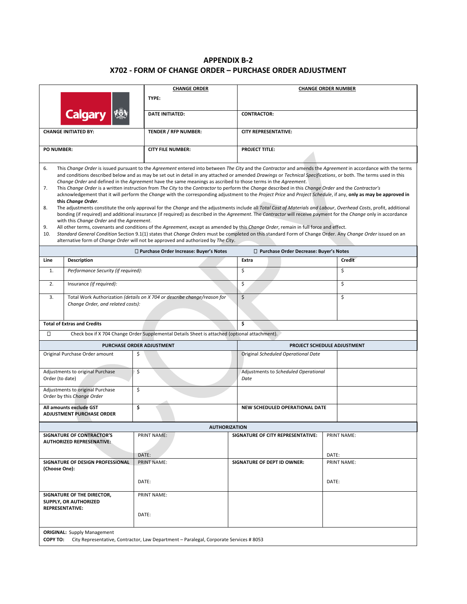### **APPENDIX B-2 X702 - FORM OF CHANGE ORDER – PURCHASE ORDER ADJUSTMENT**

|                                                                                                                                                                                                                                                                                                                                                                                                                                                                                                                                                                                                                                                                                                                                                                                                                                                                                                                                                                                                                                                                                                                                                                                                                                                                                                                                                                                                                                                                                                                                                                                                                     |                                | <b>CHANGE ORDER</b>                                                                           |                                              | <b>CHANGE ORDER NUMBER</b>             |       |                      |  |
|---------------------------------------------------------------------------------------------------------------------------------------------------------------------------------------------------------------------------------------------------------------------------------------------------------------------------------------------------------------------------------------------------------------------------------------------------------------------------------------------------------------------------------------------------------------------------------------------------------------------------------------------------------------------------------------------------------------------------------------------------------------------------------------------------------------------------------------------------------------------------------------------------------------------------------------------------------------------------------------------------------------------------------------------------------------------------------------------------------------------------------------------------------------------------------------------------------------------------------------------------------------------------------------------------------------------------------------------------------------------------------------------------------------------------------------------------------------------------------------------------------------------------------------------------------------------------------------------------------------------|--------------------------------|-----------------------------------------------------------------------------------------------|----------------------------------------------|----------------------------------------|-------|----------------------|--|
| <b>Calgary</b>                                                                                                                                                                                                                                                                                                                                                                                                                                                                                                                                                                                                                                                                                                                                                                                                                                                                                                                                                                                                                                                                                                                                                                                                                                                                                                                                                                                                                                                                                                                                                                                                      |                                | TYPE:                                                                                         |                                              |                                        |       |                      |  |
|                                                                                                                                                                                                                                                                                                                                                                                                                                                                                                                                                                                                                                                                                                                                                                                                                                                                                                                                                                                                                                                                                                                                                                                                                                                                                                                                                                                                                                                                                                                                                                                                                     |                                | <b>DATE INITIATED:</b>                                                                        |                                              | <b>CONTRACTOR:</b>                     |       |                      |  |
| <b>CHANGE INITIATED BY:</b>                                                                                                                                                                                                                                                                                                                                                                                                                                                                                                                                                                                                                                                                                                                                                                                                                                                                                                                                                                                                                                                                                                                                                                                                                                                                                                                                                                                                                                                                                                                                                                                         |                                | TENDER / RFP NUMBER:                                                                          |                                              | <b>CITY REPRESENTATIVE:</b>            |       |                      |  |
| <b>PO NUMBER:</b><br><b>CITY FILE NUMBER:</b>                                                                                                                                                                                                                                                                                                                                                                                                                                                                                                                                                                                                                                                                                                                                                                                                                                                                                                                                                                                                                                                                                                                                                                                                                                                                                                                                                                                                                                                                                                                                                                       |                                |                                                                                               | <b>PROJECT TITLE:</b>                        |                                        |       |                      |  |
|                                                                                                                                                                                                                                                                                                                                                                                                                                                                                                                                                                                                                                                                                                                                                                                                                                                                                                                                                                                                                                                                                                                                                                                                                                                                                                                                                                                                                                                                                                                                                                                                                     |                                |                                                                                               |                                              |                                        |       |                      |  |
| 6.<br>This Change Order is issued pursuant to the Agreement entered into between The City and the Contractor and amends the Agreement in accordance with the terms<br>and conditions described below and as may be set out in detail in any attached or amended Drawings or Technical Specifications, or both. The terms used in this<br>Change Order and defined in the Agreement have the same meanings as ascribed to those terms in the Agreement.<br>This Change Order is a written instruction from The City to the Contractor to perform the Change described in this Change Order and the Contractor's<br>7.<br>acknowledgement that it will perform the Change with the corresponding adjustment to the Project Price and Project Schedule, if any, only as may be approved in<br>this Change Order.<br>8.<br>The adjustments constitute the only approval for the Change and the adjustments include all Total Cost of Materials and Labour, Overhead Costs, profit, additional<br>bonding (if required) and additional insurance (if required) as described in the Agreement. The Contractor will receive payment for the Change only in accordance<br>with this Change Order and the Agreement.<br>9.<br>All other terms, covenants and conditions of the Agreement, except as amended by this Change Order, remain in full force and effect.<br>Standard General Condition Section 9.1(1) states that Change Orders must be completed on this standard Form of Change Order. Any Change Order issued on an<br>10.<br>alternative form of Change Order will not be approved and authorized by The City. |                                |                                                                                               |                                              |                                        |       |                      |  |
|                                                                                                                                                                                                                                                                                                                                                                                                                                                                                                                                                                                                                                                                                                                                                                                                                                                                                                                                                                                                                                                                                                                                                                                                                                                                                                                                                                                                                                                                                                                                                                                                                     |                                | □ Purchase Order Increase: Buyer's Notes                                                      |                                              | Purchase Order Decrease: Buyer's Notes |       |                      |  |
| Description<br>Line                                                                                                                                                                                                                                                                                                                                                                                                                                                                                                                                                                                                                                                                                                                                                                                                                                                                                                                                                                                                                                                                                                                                                                                                                                                                                                                                                                                                                                                                                                                                                                                                 |                                |                                                                                               |                                              | Extra                                  |       | Credit               |  |
| Performance Security (if required):<br>1.                                                                                                                                                                                                                                                                                                                                                                                                                                                                                                                                                                                                                                                                                                                                                                                                                                                                                                                                                                                                                                                                                                                                                                                                                                                                                                                                                                                                                                                                                                                                                                           |                                |                                                                                               |                                              | \$                                     |       | Ś.                   |  |
| 2.                                                                                                                                                                                                                                                                                                                                                                                                                                                                                                                                                                                                                                                                                                                                                                                                                                                                                                                                                                                                                                                                                                                                                                                                                                                                                                                                                                                                                                                                                                                                                                                                                  | \$<br>Insurance (if required): |                                                                                               |                                              | \$                                     |       |                      |  |
| \$<br>\$<br>Total Work Authorization (details on X 704 or describe change/reason for<br>3.<br>Change Order, and related costs):<br><b>Total of Extras and Credits</b><br>\$                                                                                                                                                                                                                                                                                                                                                                                                                                                                                                                                                                                                                                                                                                                                                                                                                                                                                                                                                                                                                                                                                                                                                                                                                                                                                                                                                                                                                                         |                                |                                                                                               |                                              |                                        |       |                      |  |
| Π                                                                                                                                                                                                                                                                                                                                                                                                                                                                                                                                                                                                                                                                                                                                                                                                                                                                                                                                                                                                                                                                                                                                                                                                                                                                                                                                                                                                                                                                                                                                                                                                                   |                                | Check box if X 704 Change Order Supplemental Details Sheet is attached (optional attachment). |                                              |                                        |       |                      |  |
| PURCHASE ORDER ADJUSTMENT                                                                                                                                                                                                                                                                                                                                                                                                                                                                                                                                                                                                                                                                                                                                                                                                                                                                                                                                                                                                                                                                                                                                                                                                                                                                                                                                                                                                                                                                                                                                                                                           |                                |                                                                                               | PROJECT SCHEDULE ADJUSTMENT                  |                                        |       |                      |  |
| Original Purchase Order amount<br>\$                                                                                                                                                                                                                                                                                                                                                                                                                                                                                                                                                                                                                                                                                                                                                                                                                                                                                                                                                                                                                                                                                                                                                                                                                                                                                                                                                                                                                                                                                                                                                                                |                                |                                                                                               | Original Scheduled Operational Date          |                                        |       |                      |  |
| Adjustments to original Purchase<br>\$<br>Order (to date)                                                                                                                                                                                                                                                                                                                                                                                                                                                                                                                                                                                                                                                                                                                                                                                                                                                                                                                                                                                                                                                                                                                                                                                                                                                                                                                                                                                                                                                                                                                                                           |                                |                                                                                               | Adjustments to Scheduled Operational<br>Date |                                        |       |                      |  |
| Adjustments to original Purchase<br>Order by this Change Order                                                                                                                                                                                                                                                                                                                                                                                                                                                                                                                                                                                                                                                                                                                                                                                                                                                                                                                                                                                                                                                                                                                                                                                                                                                                                                                                                                                                                                                                                                                                                      | \$                             |                                                                                               |                                              |                                        |       |                      |  |
| All amounts exclude GST<br><b>ADJUSTMENT PURCHASE ORDER</b>                                                                                                                                                                                                                                                                                                                                                                                                                                                                                                                                                                                                                                                                                                                                                                                                                                                                                                                                                                                                                                                                                                                                                                                                                                                                                                                                                                                                                                                                                                                                                         | \$                             |                                                                                               |                                              | NEW SCHEDULED OPERATIONAL DATE         |       |                      |  |
| <b>AUTHORIZATION</b>                                                                                                                                                                                                                                                                                                                                                                                                                                                                                                                                                                                                                                                                                                                                                                                                                                                                                                                                                                                                                                                                                                                                                                                                                                                                                                                                                                                                                                                                                                                                                                                                |                                |                                                                                               |                                              |                                        |       |                      |  |
| <b>SIGNATURE OF CONTRACTOR'S</b><br><b>AUTHORIZED REPRESENATIVE:</b>                                                                                                                                                                                                                                                                                                                                                                                                                                                                                                                                                                                                                                                                                                                                                                                                                                                                                                                                                                                                                                                                                                                                                                                                                                                                                                                                                                                                                                                                                                                                                |                                | <b>PRINT NAME:</b>                                                                            |                                              | SIGNATURE OF CITY REPRESENTATIVE:      |       | <b>PRINT NAME:</b>   |  |
| SIGNATURE OF DESIGN PROFESSIONAL<br>(Choose One):                                                                                                                                                                                                                                                                                                                                                                                                                                                                                                                                                                                                                                                                                                                                                                                                                                                                                                                                                                                                                                                                                                                                                                                                                                                                                                                                                                                                                                                                                                                                                                   |                                | DATE:<br><b>PRINT NAME:</b>                                                                   |                                              | SIGNATURE OF DEPT ID OWNER:            |       | DATE:<br>PRINT NAME: |  |
| DATE:                                                                                                                                                                                                                                                                                                                                                                                                                                                                                                                                                                                                                                                                                                                                                                                                                                                                                                                                                                                                                                                                                                                                                                                                                                                                                                                                                                                                                                                                                                                                                                                                               |                                |                                                                                               |                                              |                                        | DATE: |                      |  |
| SIGNATURE OF THE DIRECTOR,<br>SUPPLY, OR AUTHORIZED<br><b>REPRESENTATIVE:</b>                                                                                                                                                                                                                                                                                                                                                                                                                                                                                                                                                                                                                                                                                                                                                                                                                                                                                                                                                                                                                                                                                                                                                                                                                                                                                                                                                                                                                                                                                                                                       |                                | PRINT NAME:                                                                                   |                                              |                                        |       |                      |  |
|                                                                                                                                                                                                                                                                                                                                                                                                                                                                                                                                                                                                                                                                                                                                                                                                                                                                                                                                                                                                                                                                                                                                                                                                                                                                                                                                                                                                                                                                                                                                                                                                                     |                                | DATE:                                                                                         |                                              |                                        |       |                      |  |
| <b>ORIGINAL:</b> Supply Management<br><b>COPY TO:</b><br>City Representative, Contractor, Law Department - Paralegal, Corporate Services #8053                                                                                                                                                                                                                                                                                                                                                                                                                                                                                                                                                                                                                                                                                                                                                                                                                                                                                                                                                                                                                                                                                                                                                                                                                                                                                                                                                                                                                                                                      |                                |                                                                                               |                                              |                                        |       |                      |  |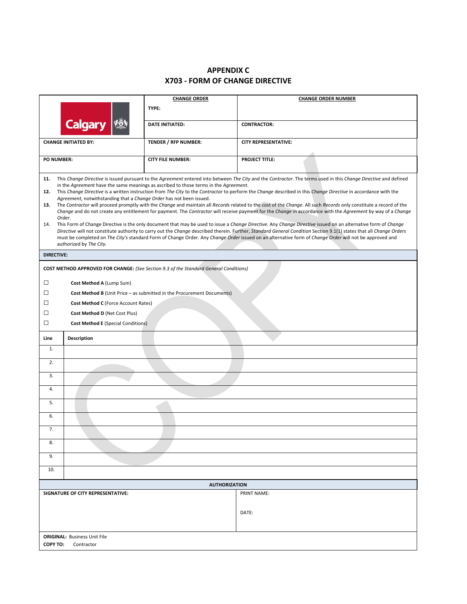# **APPENDIX C X703 - FORM OF CHANGE DIRECTIVE**

|                                                                                                                                                                                                                                                                                                                                          | <b>CHANGE ORDER</b>                                                           | <b>CHANGE ORDER NUMBER</b>                                                                                                                                                                                                                                                                                                    |  |  |
|------------------------------------------------------------------------------------------------------------------------------------------------------------------------------------------------------------------------------------------------------------------------------------------------------------------------------------------|-------------------------------------------------------------------------------|-------------------------------------------------------------------------------------------------------------------------------------------------------------------------------------------------------------------------------------------------------------------------------------------------------------------------------|--|--|
|                                                                                                                                                                                                                                                                                                                                          | TYPE:                                                                         |                                                                                                                                                                                                                                                                                                                               |  |  |
| <b>Calgary</b>                                                                                                                                                                                                                                                                                                                           | <b>DATE INITIATED:</b>                                                        | <b>CONTRACTOR:</b>                                                                                                                                                                                                                                                                                                            |  |  |
|                                                                                                                                                                                                                                                                                                                                          |                                                                               |                                                                                                                                                                                                                                                                                                                               |  |  |
| <b>TENDER / RFP NUMBER:</b><br><b>CITY REPRESENTATIVE:</b><br><b>CHANGE INITIATED BY:</b>                                                                                                                                                                                                                                                |                                                                               |                                                                                                                                                                                                                                                                                                                               |  |  |
| <b>PROJECT TITLE:</b><br><b>PO NUMBER:</b><br><b>CITY FILE NUMBER:</b>                                                                                                                                                                                                                                                                   |                                                                               |                                                                                                                                                                                                                                                                                                                               |  |  |
| This Change Directive is issued pursuant to the Agreement entered into between The City and the Contractor. The terms used in this Change Directive and defined<br>11.<br>in the Agreement have the same meanings as ascribed to those terms in the Agreement.                                                                           |                                                                               |                                                                                                                                                                                                                                                                                                                               |  |  |
| This Change Directive is a written instruction from The City to the Contractor to perform the Change described in this Change Directive in accordance with the<br>12.<br>Agreement, notwithstanding that a Change Order has not been issued.                                                                                             |                                                                               |                                                                                                                                                                                                                                                                                                                               |  |  |
| The Contractor will proceed promptly with the Change and maintain all Records related to the cost of the Change. All such Records only constitute a record of the<br>13.<br>Change and do not create any entitlement for payment. The Contractor will receive payment for the Change in accordance with the Agreement by way of a Change |                                                                               |                                                                                                                                                                                                                                                                                                                               |  |  |
| Order.<br>14.                                                                                                                                                                                                                                                                                                                            |                                                                               | This Form of Change Directive is the only document that may be used to issue a Change Directive. Any Change Directive issued on an alternative form of Change                                                                                                                                                                 |  |  |
|                                                                                                                                                                                                                                                                                                                                          |                                                                               | Directive will not constitute authority to carry out the Change described therein. Further, Standard General Condition Section 9.1(1) states that all Change Orders<br>must be completed on The City's standard Form of Change Order. Any Change Order issued on an alternative form of Change Order will not be approved and |  |  |
| authorized by The City.                                                                                                                                                                                                                                                                                                                  |                                                                               |                                                                                                                                                                                                                                                                                                                               |  |  |
| <b>DIRECTIVE:</b>                                                                                                                                                                                                                                                                                                                        |                                                                               |                                                                                                                                                                                                                                                                                                                               |  |  |
| <b>COST METHOD APPROVED FOR CHANGE:</b> (See Section 9.3 of the Standard General Conditions)                                                                                                                                                                                                                                             |                                                                               |                                                                                                                                                                                                                                                                                                                               |  |  |
| □<br>Cost Method A (Lump Sum)                                                                                                                                                                                                                                                                                                            |                                                                               |                                                                                                                                                                                                                                                                                                                               |  |  |
| □                                                                                                                                                                                                                                                                                                                                        | <b>Cost Method B</b> (Unit Price – as submitted in the Procurement Documents) |                                                                                                                                                                                                                                                                                                                               |  |  |
| □<br>Cost Method C (Force Account Rates)                                                                                                                                                                                                                                                                                                 |                                                                               |                                                                                                                                                                                                                                                                                                                               |  |  |
| □<br>Cost Method D (Net Cost Plus)                                                                                                                                                                                                                                                                                                       |                                                                               |                                                                                                                                                                                                                                                                                                                               |  |  |
| □<br><b>Cost Method E</b> (Special Conditions)                                                                                                                                                                                                                                                                                           |                                                                               |                                                                                                                                                                                                                                                                                                                               |  |  |
| <b>Description</b><br>Line                                                                                                                                                                                                                                                                                                               |                                                                               |                                                                                                                                                                                                                                                                                                                               |  |  |
| 1.                                                                                                                                                                                                                                                                                                                                       |                                                                               |                                                                                                                                                                                                                                                                                                                               |  |  |
| 2.                                                                                                                                                                                                                                                                                                                                       |                                                                               |                                                                                                                                                                                                                                                                                                                               |  |  |
| 3.                                                                                                                                                                                                                                                                                                                                       |                                                                               |                                                                                                                                                                                                                                                                                                                               |  |  |
| 4.                                                                                                                                                                                                                                                                                                                                       |                                                                               |                                                                                                                                                                                                                                                                                                                               |  |  |
| 5.                                                                                                                                                                                                                                                                                                                                       |                                                                               |                                                                                                                                                                                                                                                                                                                               |  |  |
| 6.                                                                                                                                                                                                                                                                                                                                       |                                                                               |                                                                                                                                                                                                                                                                                                                               |  |  |
| 7.                                                                                                                                                                                                                                                                                                                                       |                                                                               |                                                                                                                                                                                                                                                                                                                               |  |  |
| 8.                                                                                                                                                                                                                                                                                                                                       |                                                                               |                                                                                                                                                                                                                                                                                                                               |  |  |
| 9.                                                                                                                                                                                                                                                                                                                                       |                                                                               |                                                                                                                                                                                                                                                                                                                               |  |  |
| 10.                                                                                                                                                                                                                                                                                                                                      |                                                                               |                                                                                                                                                                                                                                                                                                                               |  |  |
| <b>AUTHORIZATION</b>                                                                                                                                                                                                                                                                                                                     |                                                                               |                                                                                                                                                                                                                                                                                                                               |  |  |
| SIGNATURE OF CITY REPRESENTATIVE:                                                                                                                                                                                                                                                                                                        |                                                                               | <b>PRINT NAME:</b>                                                                                                                                                                                                                                                                                                            |  |  |
|                                                                                                                                                                                                                                                                                                                                          |                                                                               |                                                                                                                                                                                                                                                                                                                               |  |  |
|                                                                                                                                                                                                                                                                                                                                          |                                                                               | DATE:                                                                                                                                                                                                                                                                                                                         |  |  |
|                                                                                                                                                                                                                                                                                                                                          |                                                                               |                                                                                                                                                                                                                                                                                                                               |  |  |
| <b>ORIGINAL: Business Unit File</b><br><b>COPY TO:</b><br>Contractor                                                                                                                                                                                                                                                                     |                                                                               |                                                                                                                                                                                                                                                                                                                               |  |  |